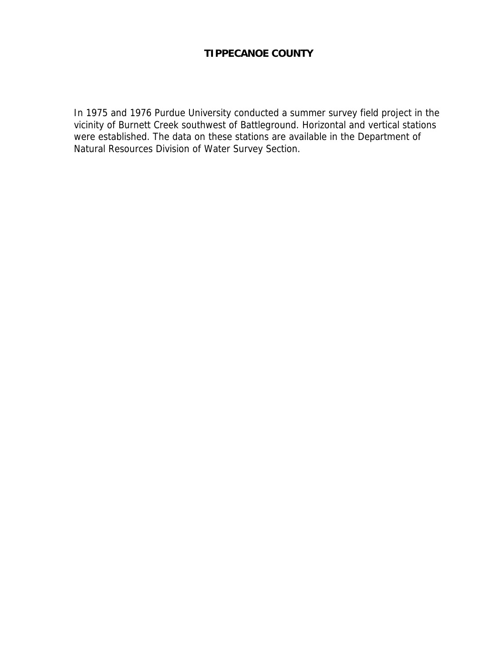# **TIPPECANOE COUNTY**

In 1975 and 1976 Purdue University conducted a summer survey field project in the vicinity of Burnett Creek southwest of Battleground. Horizontal and vertical stations were established. The data on these stations are available in the Department of Natural Resources Division of Water Survey Section.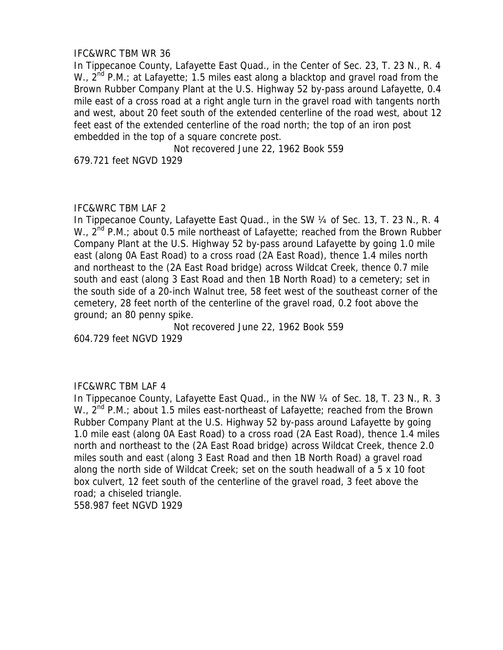# IFC&WRC TBM WR 36

In Tippecanoe County, Lafayette East Quad., in the Center of Sec. 23, T. 23 N., R. 4 W.,  $2^{nd}$  P.M.; at Lafayette; 1.5 miles east along a blacktop and gravel road from the Brown Rubber Company Plant at the U.S. Highway 52 by-pass around Lafayette, 0.4 mile east of a cross road at a right angle turn in the gravel road with tangents north and west, about 20 feet south of the extended centerline of the road west, about 12 feet east of the extended centerline of the road north; the top of an iron post embedded in the top of a square concrete post.

Not recovered June 22, 1962 Book 559

679.721 feet NGVD 1929

# IFC&WRC TBM LAF 2

In Tippecanoe County, Lafayette East Quad., in the SW 1/4 of Sec. 13, T. 23 N., R. 4 W.,  $2^{nd}$  P.M.; about 0.5 mile northeast of Lafayette; reached from the Brown Rubber Company Plant at the U.S. Highway 52 by-pass around Lafayette by going 1.0 mile east (along 0A East Road) to a cross road (2A East Road), thence 1.4 miles north and northeast to the (2A East Road bridge) across Wildcat Creek, thence 0.7 mile south and east (along 3 East Road and then 1B North Road) to a cemetery; set in the south side of a 20-inch Walnut tree, 58 feet west of the southeast corner of the cemetery, 28 feet north of the centerline of the gravel road, 0.2 foot above the ground; an 80 penny spike.

Not recovered June 22, 1962 Book 559 604.729 feet NGVD 1929

# IFC&WRC TBM LAF 4

In Tippecanoe County, Lafayette East Quad., in the NW 1/4 of Sec. 18, T. 23 N., R. 3 W., 2<sup>nd</sup> P.M.; about 1.5 miles east-northeast of Lafayette; reached from the Brown Rubber Company Plant at the U.S. Highway 52 by-pass around Lafayette by going 1.0 mile east (along 0A East Road) to a cross road (2A East Road), thence 1.4 miles north and northeast to the (2A East Road bridge) across Wildcat Creek, thence 2.0 miles south and east (along 3 East Road and then 1B North Road) a gravel road along the north side of Wildcat Creek; set on the south headwall of a 5 x 10 foot box culvert, 12 feet south of the centerline of the gravel road, 3 feet above the road; a chiseled triangle.

558.987 feet NGVD 1929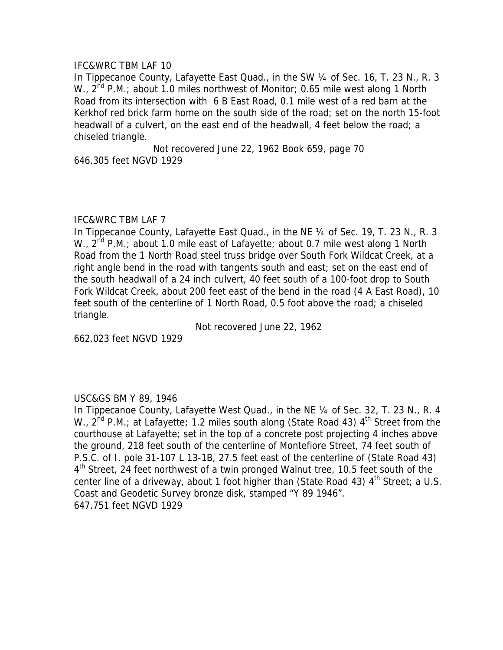#### IFC&WRC TBM LAF 10

In Tippecanoe County, Lafayette East Quad., in the SW 1/4 of Sec. 16, T. 23 N., R. 3 W.,  $2^{nd}$  P.M.; about 1.0 miles northwest of Monitor; 0.65 mile west along 1 North Road from its intersection with 6 B East Road, 0.1 mile west of a red barn at the Kerkhof red brick farm home on the south side of the road; set on the north 15-foot headwall of a culvert, on the east end of the headwall, 4 feet below the road; a chiseled triangle.

Not recovered June 22, 1962 Book 659, page 70 646.305 feet NGVD 1929

#### IFC&WRC TBM LAF 7

In Tippecanoe County, Lafayette East Quad., in the NE 1/4 of Sec. 19, T. 23 N., R. 3 W.,  $2^{nd}$  P.M.; about 1.0 mile east of Lafayette; about 0.7 mile west along 1 North Road from the 1 North Road steel truss bridge over South Fork Wildcat Creek, at a right angle bend in the road with tangents south and east; set on the east end of the south headwall of a 24 inch culvert, 40 feet south of a 100-foot drop to South Fork Wildcat Creek, about 200 feet east of the bend in the road (4 A East Road), 10 feet south of the centerline of 1 North Road, 0.5 foot above the road; a chiseled triangle.

Not recovered June 22, 1962

662.023 feet NGVD 1929

#### USC&GS BM Y 89, 1946

In Tippecanoe County, Lafayette West Quad., in the NE 1/4 of Sec. 32, T. 23 N., R. 4 W.,  $2^{nd}$  P.M.; at Lafayette; 1.2 miles south along (State Road 43)  $4^{th}$  Street from the courthouse at Lafayette; set in the top of a concrete post projecting 4 inches above the ground, 218 feet south of the centerline of Montefiore Street, 74 feet south of P.S.C. of I. pole 31-107 L 13-1B, 27.5 feet east of the centerline of (State Road 43) 4<sup>th</sup> Street, 24 feet northwest of a twin pronged Walnut tree, 10.5 feet south of the center line of a driveway, about 1 foot higher than (State Road 43)  $4<sup>th</sup>$  Street; a U.S. Coast and Geodetic Survey bronze disk, stamped "Y 89 1946". 647.751 feet NGVD 1929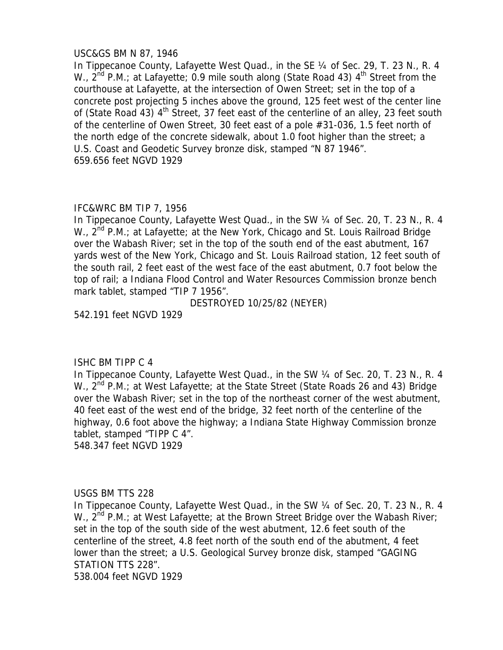### USC&GS BM N 87, 1946

In Tippecanoe County, Lafayette West Quad., in the SE 1/4 of Sec. 29, T. 23 N., R. 4 W.,  $2^{nd}$  P.M.; at Lafayette; 0.9 mile south along (State Road 43)  $4^{th}$  Street from the courthouse at Lafayette, at the intersection of Owen Street; set in the top of a concrete post projecting 5 inches above the ground, 125 feet west of the center line of (State Road 43)  $4<sup>th</sup>$  Street, 37 feet east of the centerline of an alley, 23 feet south of the centerline of Owen Street, 30 feet east of a pole #31-036, 1.5 feet north of the north edge of the concrete sidewalk, about 1.0 foot higher than the street; a U.S. Coast and Geodetic Survey bronze disk, stamped "N 87 1946". 659.656 feet NGVD 1929

### IFC&WRC BM TIP 7, 1956

In Tippecanoe County, Lafayette West Quad., in the SW ¼ of Sec. 20, T. 23 N., R. 4 W.,  $2^{nd}$  P.M.; at Lafayette; at the New York, Chicago and St. Louis Railroad Bridge over the Wabash River; set in the top of the south end of the east abutment, 167 yards west of the New York, Chicago and St. Louis Railroad station, 12 feet south of the south rail, 2 feet east of the west face of the east abutment, 0.7 foot below the top of rail; a Indiana Flood Control and Water Resources Commission bronze bench mark tablet, stamped "TIP 7 1956".

DESTROYED 10/25/82 (NEYER)

542.191 feet NGVD 1929

# ISHC BM TIPP C 4

In Tippecanoe County, Lafayette West Quad., in the SW ¼ of Sec. 20, T. 23 N., R. 4 W., 2<sup>nd</sup> P.M.; at West Lafayette; at the State Street (State Roads 26 and 43) Bridge over the Wabash River; set in the top of the northeast corner of the west abutment, 40 feet east of the west end of the bridge, 32 feet north of the centerline of the highway, 0.6 foot above the highway; a Indiana State Highway Commission bronze tablet, stamped "TIPP C 4".

548.347 feet NGVD 1929

# USGS BM TTS 228

In Tippecanoe County, Lafayette West Quad., in the SW ¼ of Sec. 20, T. 23 N., R. 4 W.,  $2^{nd}$  P.M.; at West Lafayette; at the Brown Street Bridge over the Wabash River; set in the top of the south side of the west abutment, 12.6 feet south of the centerline of the street, 4.8 feet north of the south end of the abutment, 4 feet lower than the street; a U.S. Geological Survey bronze disk, stamped "GAGING STATION TTS 228". 538.004 feet NGVD 1929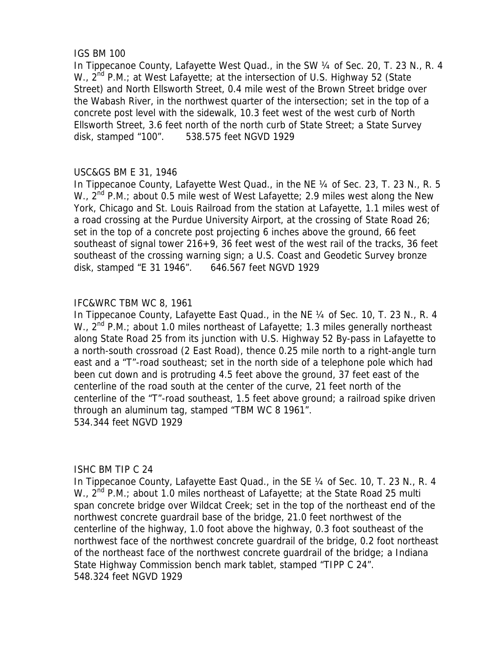### IGS BM 100

In Tippecanoe County, Lafayette West Quad., in the SW ¼ of Sec. 20, T. 23 N., R. 4 W.,  $2^{nd}$  P.M.; at West Lafayette; at the intersection of U.S. Highway 52 (State Street) and North Ellsworth Street, 0.4 mile west of the Brown Street bridge over the Wabash River, in the northwest quarter of the intersection; set in the top of a concrete post level with the sidewalk, 10.3 feet west of the west curb of North Ellsworth Street, 3.6 feet north of the north curb of State Street; a State Survey disk, stamped "100". 538.575 feet NGVD 1929

# USC&GS BM E 31, 1946

In Tippecanoe County, Lafayette West Quad., in the NE 1/4 of Sec. 23, T. 23 N., R. 5 W.,  $2^{nd}$  P.M.; about 0.5 mile west of West Lafayette; 2.9 miles west along the New York, Chicago and St. Louis Railroad from the station at Lafayette, 1.1 miles west of a road crossing at the Purdue University Airport, at the crossing of State Road 26; set in the top of a concrete post projecting 6 inches above the ground, 66 feet southeast of signal tower 216+9, 36 feet west of the west rail of the tracks, 36 feet southeast of the crossing warning sign; a U.S. Coast and Geodetic Survey bronze disk, stamped "E 31 1946". 646.567 feet NGVD 1929

# IFC&WRC TBM WC 8, 1961

In Tippecanoe County, Lafayette East Quad., in the NE 1/4 of Sec. 10, T. 23 N., R. 4 W., 2<sup>nd</sup> P.M.; about 1.0 miles northeast of Lafayette; 1.3 miles generally northeast along State Road 25 from its junction with U.S. Highway 52 By-pass in Lafayette to a north-south crossroad (2 East Road), thence 0.25 mile north to a right-angle turn east and a "T"-road southeast; set in the north side of a telephone pole which had been cut down and is protruding 4.5 feet above the ground, 37 feet east of the centerline of the road south at the center of the curve, 21 feet north of the centerline of the "T"-road southeast, 1.5 feet above ground; a railroad spike driven through an aluminum tag, stamped "TBM WC 8 1961". 534.344 feet NGVD 1929

# ISHC BM TIP C 24

In Tippecanoe County, Lafayette East Quad., in the SE 1/4 of Sec. 10, T. 23 N., R. 4 W.,  $2^{nd}$  P.M.; about 1.0 miles northeast of Lafayette; at the State Road 25 multi span concrete bridge over Wildcat Creek; set in the top of the northeast end of the northwest concrete guardrail base of the bridge, 21.0 feet northwest of the centerline of the highway, 1.0 foot above the highway, 0.3 foot southeast of the northwest face of the northwest concrete guardrail of the bridge, 0.2 foot northeast of the northeast face of the northwest concrete guardrail of the bridge; a Indiana State Highway Commission bench mark tablet, stamped "TIPP C 24". 548.324 feet NGVD 1929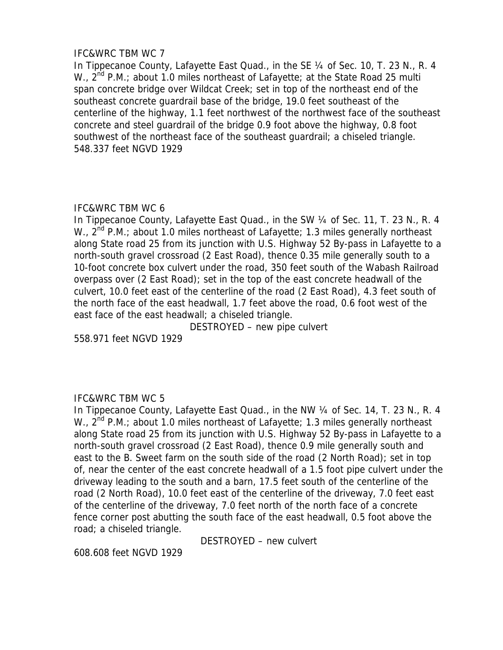### IFC&WRC TBM WC 7

In Tippecanoe County, Lafayette East Quad., in the SE 1/4 of Sec. 10, T. 23 N., R. 4 W.,  $2^{nd}$  P.M.; about 1.0 miles northeast of Lafayette; at the State Road 25 multi span concrete bridge over Wildcat Creek; set in top of the northeast end of the southeast concrete guardrail base of the bridge, 19.0 feet southeast of the centerline of the highway, 1.1 feet northwest of the northwest face of the southeast concrete and steel guardrail of the bridge 0.9 foot above the highway, 0.8 foot southwest of the northeast face of the southeast guardrail; a chiseled triangle. 548.337 feet NGVD 1929

### IFC&WRC TBM WC 6

In Tippecanoe County, Lafayette East Quad., in the SW 1/4 of Sec. 11, T. 23 N., R. 4 W.,  $2^{nd}$  P.M.; about 1.0 miles northeast of Lafayette; 1.3 miles generally northeast along State road 25 from its junction with U.S. Highway 52 By-pass in Lafayette to a north-south gravel crossroad (2 East Road), thence 0.35 mile generally south to a 10-foot concrete box culvert under the road, 350 feet south of the Wabash Railroad overpass over (2 East Road); set in the top of the east concrete headwall of the culvert, 10.0 feet east of the centerline of the road (2 East Road), 4.3 feet south of the north face of the east headwall, 1.7 feet above the road, 0.6 foot west of the east face of the east headwall; a chiseled triangle.

DESTROYED – new pipe culvert

558.971 feet NGVD 1929

# IFC&WRC TBM WC 5

In Tippecanoe County, Lafayette East Quad., in the NW 1/4 of Sec. 14, T. 23 N., R. 4 W.,  $2^{nd}$  P.M.; about 1.0 miles northeast of Lafayette; 1.3 miles generally northeast along State road 25 from its junction with U.S. Highway 52 By-pass in Lafayette to a north-south gravel crossroad (2 East Road), thence 0.9 mile generally south and east to the B. Sweet farm on the south side of the road (2 North Road); set in top of, near the center of the east concrete headwall of a 1.5 foot pipe culvert under the driveway leading to the south and a barn, 17.5 feet south of the centerline of the road (2 North Road), 10.0 feet east of the centerline of the driveway, 7.0 feet east of the centerline of the driveway, 7.0 feet north of the north face of a concrete fence corner post abutting the south face of the east headwall, 0.5 foot above the road; a chiseled triangle.

DESTROYED – new culvert

608.608 feet NGVD 1929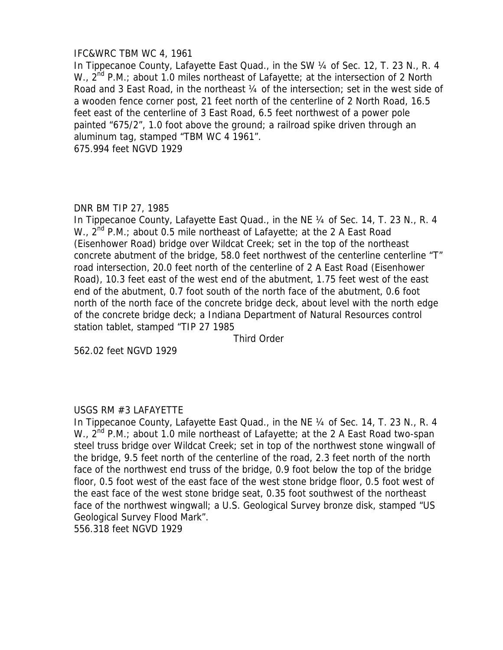# IFC&WRC TBM WC 4, 1961

In Tippecanoe County, Lafayette East Quad., in the SW 1/4 of Sec. 12, T. 23 N., R. 4 W.,  $2^{nd}$  P.M.; about 1.0 miles northeast of Lafayette; at the intersection of 2 North Road and 3 East Road, in the northeast 1/4 of the intersection; set in the west side of a wooden fence corner post, 21 feet north of the centerline of 2 North Road, 16.5 feet east of the centerline of 3 East Road, 6.5 feet northwest of a power pole painted "675/2", 1.0 foot above the ground; a railroad spike driven through an aluminum tag, stamped "TBM WC 4 1961". 675.994 feet NGVD 1929

### DNR BM TIP 27, 1985

In Tippecanoe County, Lafayette East Quad., in the NE 1/4 of Sec. 14, T. 23 N., R. 4 W.,  $2^{nd}$  P.M.; about 0.5 mile northeast of Lafayette; at the 2 A East Road (Eisenhower Road) bridge over Wildcat Creek; set in the top of the northeast concrete abutment of the bridge, 58.0 feet northwest of the centerline centerline "T" road intersection, 20.0 feet north of the centerline of 2 A East Road (Eisenhower Road), 10.3 feet east of the west end of the abutment, 1.75 feet west of the east end of the abutment, 0.7 foot south of the north face of the abutment, 0.6 foot north of the north face of the concrete bridge deck, about level with the north edge of the concrete bridge deck; a Indiana Department of Natural Resources control station tablet, stamped "TIP 27 1985

Third Order

562.02 feet NGVD 1929

# USGS RM #3 LAFAYETTE

In Tippecanoe County, Lafayette East Quad., in the NE 1/4 of Sec. 14, T. 23 N., R. 4 W.,  $2^{nd}$  P.M.; about 1.0 mile northeast of Lafayette; at the 2 A East Road two-span steel truss bridge over Wildcat Creek; set in top of the northwest stone wingwall of the bridge, 9.5 feet north of the centerline of the road, 2.3 feet north of the north face of the northwest end truss of the bridge, 0.9 foot below the top of the bridge floor, 0.5 foot west of the east face of the west stone bridge floor, 0.5 foot west of the east face of the west stone bridge seat, 0.35 foot southwest of the northeast face of the northwest wingwall; a U.S. Geological Survey bronze disk, stamped "US Geological Survey Flood Mark". 556.318 feet NGVD 1929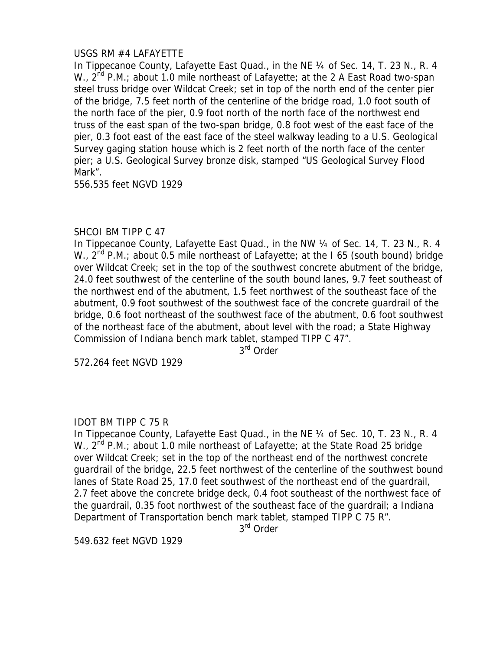# USGS RM #4 LAFAYETTE

In Tippecanoe County, Lafayette East Quad., in the NE 1/4 of Sec. 14, T. 23 N., R. 4 W.,  $2^{nd}$  P.M.; about 1.0 mile northeast of Lafayette; at the 2 A East Road two-span steel truss bridge over Wildcat Creek; set in top of the north end of the center pier of the bridge, 7.5 feet north of the centerline of the bridge road, 1.0 foot south of the north face of the pier, 0.9 foot north of the north face of the northwest end truss of the east span of the two-span bridge, 0.8 foot west of the east face of the pier, 0.3 foot east of the east face of the steel walkway leading to a U.S. Geological Survey gaging station house which is 2 feet north of the north face of the center pier; a U.S. Geological Survey bronze disk, stamped "US Geological Survey Flood Mark".

556.535 feet NGVD 1929

# SHCOI BM TIPP C 47

In Tippecanoe County, Lafayette East Quad., in the NW 1/4 of Sec. 14, T. 23 N., R. 4 W.,  $2^{nd}$  P.M.; about 0.5 mile northeast of Lafayette; at the I 65 (south bound) bridge over Wildcat Creek; set in the top of the southwest concrete abutment of the bridge, 24.0 feet southwest of the centerline of the south bound lanes, 9.7 feet southeast of the northwest end of the abutment, 1.5 feet northwest of the southeast face of the abutment, 0.9 foot southwest of the southwest face of the concrete guardrail of the bridge, 0.6 foot northeast of the southwest face of the abutment, 0.6 foot southwest of the northeast face of the abutment, about level with the road; a State Highway Commission of Indiana bench mark tablet, stamped TIPP C 47".

3<sup>rd</sup> Order

572.264 feet NGVD 1929

# IDOT BM TIPP C 75 R

In Tippecanoe County, Lafayette East Quad., in the NE 1/4 of Sec. 10, T. 23 N., R. 4 W.,  $2^{nd}$  P.M.; about 1.0 mile northeast of Lafayette; at the State Road 25 bridge over Wildcat Creek; set in the top of the northeast end of the northwest concrete guardrail of the bridge, 22.5 feet northwest of the centerline of the southwest bound lanes of State Road 25, 17.0 feet southwest of the northeast end of the guardrail, 2.7 feet above the concrete bridge deck, 0.4 foot southeast of the northwest face of the guardrail, 0.35 foot northwest of the southeast face of the guardrail; a Indiana Department of Transportation bench mark tablet, stamped TIPP C 75 R".

3rd Order

549.632 feet NGVD 1929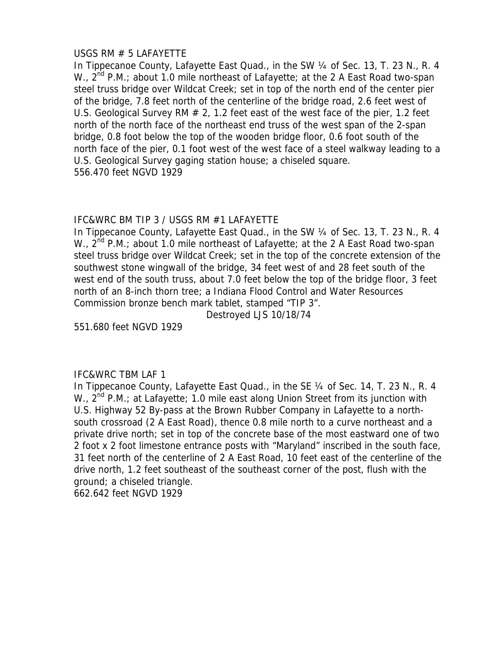### USGS RM # 5 LAFAYETTE

In Tippecanoe County, Lafayette East Quad., in the SW 1/4 of Sec. 13, T. 23 N., R. 4 W.,  $2^{nd}$  P.M.; about 1.0 mile northeast of Lafayette; at the 2 A East Road two-span steel truss bridge over Wildcat Creek; set in top of the north end of the center pier of the bridge, 7.8 feet north of the centerline of the bridge road, 2.6 feet west of U.S. Geological Survey RM  $# 2, 1.2$  feet east of the west face of the pier, 1.2 feet north of the north face of the northeast end truss of the west span of the 2-span bridge, 0.8 foot below the top of the wooden bridge floor, 0.6 foot south of the north face of the pier, 0.1 foot west of the west face of a steel walkway leading to a U.S. Geological Survey gaging station house; a chiseled square. 556.470 feet NGVD 1929

# IFC&WRC BM TIP 3 / USGS RM #1 LAFAYETTE

In Tippecanoe County, Lafayette East Quad., in the SW 1/4 of Sec. 13, T. 23 N., R. 4 W.,  $2^{nd}$  P.M.; about 1.0 mile northeast of Lafayette; at the 2 A East Road two-span steel truss bridge over Wildcat Creek; set in the top of the concrete extension of the southwest stone wingwall of the bridge, 34 feet west of and 28 feet south of the west end of the south truss, about 7.0 feet below the top of the bridge floor, 3 feet north of an 8-inch thorn tree; a Indiana Flood Control and Water Resources Commission bronze bench mark tablet, stamped "TIP 3".

Destroyed LJS 10/18/74

551.680 feet NGVD 1929

# IFC&WRC TBM LAF 1

In Tippecanoe County, Lafayette East Quad., in the SE 1/4 of Sec. 14, T. 23 N., R. 4 W.,  $2^{nd}$  P.M.; at Lafayette; 1.0 mile east along Union Street from its junction with U.S. Highway 52 By-pass at the Brown Rubber Company in Lafayette to a northsouth crossroad (2 A East Road), thence 0.8 mile north to a curve northeast and a private drive north; set in top of the concrete base of the most eastward one of two 2 foot x 2 foot limestone entrance posts with "Maryland" inscribed in the south face, 31 feet north of the centerline of 2 A East Road, 10 feet east of the centerline of the drive north, 1.2 feet southeast of the southeast corner of the post, flush with the ground; a chiseled triangle.

662.642 feet NGVD 1929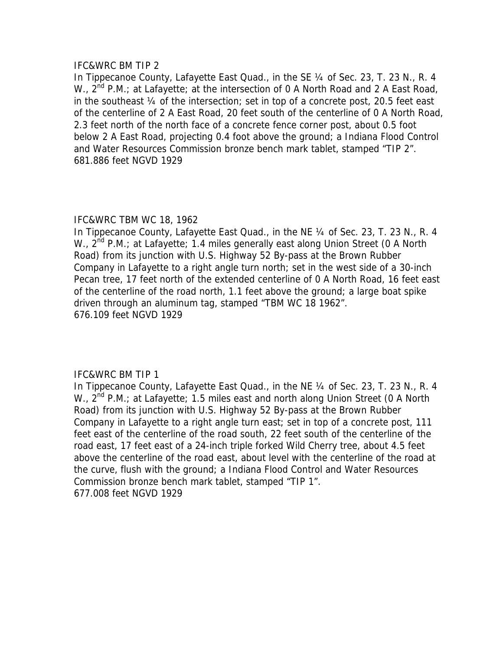#### IFC&WRC BM TIP 2

In Tippecanoe County, Lafayette East Quad., in the SE ¼ of Sec. 23, T. 23 N., R. 4 W., 2<sup>nd</sup> P.M.; at Lafayette; at the intersection of 0 A North Road and 2 A East Road, in the southeast ¼ of the intersection; set in top of a concrete post, 20.5 feet east of the centerline of 2 A East Road, 20 feet south of the centerline of 0 A North Road, 2.3 feet north of the north face of a concrete fence corner post, about 0.5 foot below 2 A East Road, projecting 0.4 foot above the ground; a Indiana Flood Control and Water Resources Commission bronze bench mark tablet, stamped "TIP 2". 681.886 feet NGVD 1929

# IFC&WRC TBM WC 18, 1962

In Tippecanoe County, Lafayette East Quad., in the NE 1/4 of Sec. 23, T. 23 N., R. 4 W.,  $2^{nd}$  P.M.; at Lafayette; 1.4 miles generally east along Union Street (0 A North Road) from its junction with U.S. Highway 52 By-pass at the Brown Rubber Company in Lafayette to a right angle turn north; set in the west side of a 30-inch Pecan tree, 17 feet north of the extended centerline of 0 A North Road, 16 feet east of the centerline of the road north, 1.1 feet above the ground; a large boat spike driven through an aluminum tag, stamped "TBM WC 18 1962". 676.109 feet NGVD 1929

# IFC&WRC BM TIP 1

In Tippecanoe County, Lafayette East Quad., in the NE 1/4 of Sec. 23, T. 23 N., R. 4 W., 2<sup>nd</sup> P.M.; at Lafayette; 1.5 miles east and north along Union Street (0 A North Road) from its junction with U.S. Highway 52 By-pass at the Brown Rubber Company in Lafayette to a right angle turn east; set in top of a concrete post, 111 feet east of the centerline of the road south, 22 feet south of the centerline of the road east, 17 feet east of a 24-inch triple forked Wild Cherry tree, about 4.5 feet above the centerline of the road east, about level with the centerline of the road at the curve, flush with the ground; a Indiana Flood Control and Water Resources Commission bronze bench mark tablet, stamped "TIP 1". 677.008 feet NGVD 1929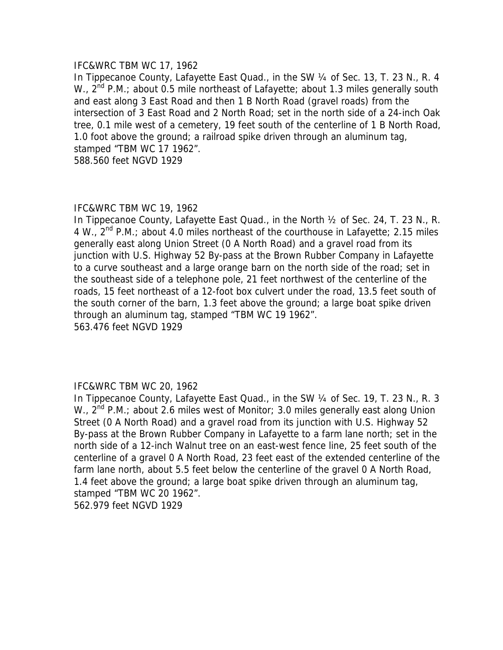#### IFC&WRC TBM WC 17, 1962

In Tippecanoe County, Lafayette East Quad., in the SW 1/4 of Sec. 13, T. 23 N., R. 4 W.,  $2^{nd}$  P.M.; about 0.5 mile northeast of Lafayette; about 1.3 miles generally south and east along 3 East Road and then 1 B North Road (gravel roads) from the intersection of 3 East Road and 2 North Road; set in the north side of a 24-inch Oak tree, 0.1 mile west of a cemetery, 19 feet south of the centerline of 1 B North Road, 1.0 foot above the ground; a railroad spike driven through an aluminum tag, stamped "TBM WC 17 1962".

588.560 feet NGVD 1929

#### IFC&WRC TBM WC 19, 1962

In Tippecanoe County, Lafayette East Quad., in the North ½ of Sec. 24, T. 23 N., R. 4 W.,  $2^{nd}$  P.M.; about 4.0 miles northeast of the courthouse in Lafayette; 2.15 miles generally east along Union Street (0 A North Road) and a gravel road from its junction with U.S. Highway 52 By-pass at the Brown Rubber Company in Lafayette to a curve southeast and a large orange barn on the north side of the road; set in the southeast side of a telephone pole, 21 feet northwest of the centerline of the roads, 15 feet northeast of a 12-foot box culvert under the road, 13.5 feet south of the south corner of the barn, 1.3 feet above the ground; a large boat spike driven through an aluminum tag, stamped "TBM WC 19 1962". 563.476 feet NGVD 1929

#### IFC&WRC TBM WC 20, 1962

In Tippecanoe County, Lafayette East Quad., in the SW 1/4 of Sec. 19, T. 23 N., R. 3 W., 2<sup>nd</sup> P.M.; about 2.6 miles west of Monitor; 3.0 miles generally east along Union Street (0 A North Road) and a gravel road from its junction with U.S. Highway 52 By-pass at the Brown Rubber Company in Lafayette to a farm lane north; set in the north side of a 12-inch Walnut tree on an east-west fence line, 25 feet south of the centerline of a gravel 0 A North Road, 23 feet east of the extended centerline of the farm lane north, about 5.5 feet below the centerline of the gravel 0 A North Road, 1.4 feet above the ground; a large boat spike driven through an aluminum tag, stamped "TBM WC 20 1962". 562.979 feet NGVD 1929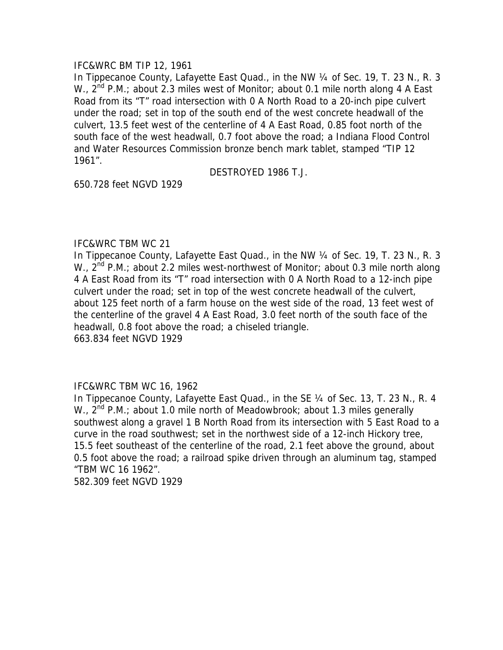### IFC&WRC BM TIP 12, 1961

In Tippecanoe County, Lafayette East Quad., in the NW 1/4 of Sec. 19, T. 23 N., R. 3 W., 2<sup>nd</sup> P.M.; about 2.3 miles west of Monitor; about 0.1 mile north along 4 A East Road from its "T" road intersection with 0 A North Road to a 20-inch pipe culvert under the road; set in top of the south end of the west concrete headwall of the culvert, 13.5 feet west of the centerline of 4 A East Road, 0.85 foot north of the south face of the west headwall, 0.7 foot above the road; a Indiana Flood Control and Water Resources Commission bronze bench mark tablet, stamped "TIP 12 1961".

DESTROYED 1986 T.J.

650.728 feet NGVD 1929

### IFC&WRC TBM WC 21

In Tippecanoe County, Lafayette East Quad., in the NW 1/4 of Sec. 19, T. 23 N., R. 3 W., 2<sup>nd</sup> P.M.; about 2.2 miles west-northwest of Monitor; about 0.3 mile north along 4 A East Road from its "T" road intersection with 0 A North Road to a 12-inch pipe culvert under the road; set in top of the west concrete headwall of the culvert, about 125 feet north of a farm house on the west side of the road, 13 feet west of the centerline of the gravel 4 A East Road, 3.0 feet north of the south face of the headwall, 0.8 foot above the road; a chiseled triangle. 663.834 feet NGVD 1929

# IFC&WRC TBM WC 16, 1962

In Tippecanoe County, Lafayette East Quad., in the SE 1/4 of Sec. 13, T. 23 N., R. 4 W., 2<sup>nd</sup> P.M.; about 1.0 mile north of Meadowbrook; about 1.3 miles generally southwest along a gravel 1 B North Road from its intersection with 5 East Road to a curve in the road southwest; set in the northwest side of a 12-inch Hickory tree, 15.5 feet southeast of the centerline of the road, 2.1 feet above the ground, about 0.5 foot above the road; a railroad spike driven through an aluminum tag, stamped "TBM WC 16 1962". 582.309 feet NGVD 1929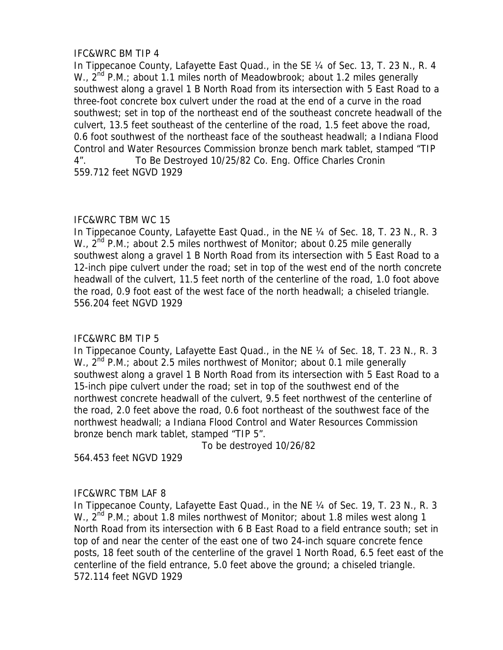# IFC&WRC BM TIP 4

In Tippecanoe County, Lafayette East Quad., in the SE 1/4 of Sec. 13, T. 23 N., R. 4 W.,  $2^{nd}$  P.M.; about 1.1 miles north of Meadowbrook; about 1.2 miles generally southwest along a gravel 1 B North Road from its intersection with 5 East Road to a three-foot concrete box culvert under the road at the end of a curve in the road southwest; set in top of the northeast end of the southeast concrete headwall of the culvert, 13.5 feet southeast of the centerline of the road, 1.5 feet above the road, 0.6 foot southwest of the northeast face of the southeast headwall; a Indiana Flood Control and Water Resources Commission bronze bench mark tablet, stamped "TIP 4". To Be Destroyed 10/25/82 Co. Eng. Office Charles Cronin 559.712 feet NGVD 1929

# IFC&WRC TBM WC 15

In Tippecanoe County, Lafayette East Quad., in the NE 1/4 of Sec. 18, T. 23 N., R. 3 W.,  $2^{nd}$  P.M.; about 2.5 miles northwest of Monitor; about 0.25 mile generally southwest along a gravel 1 B North Road from its intersection with 5 East Road to a 12-inch pipe culvert under the road; set in top of the west end of the north concrete headwall of the culvert, 11.5 feet north of the centerline of the road, 1.0 foot above the road, 0.9 foot east of the west face of the north headwall; a chiseled triangle. 556.204 feet NGVD 1929

# IFC&WRC BM TIP 5

In Tippecanoe County, Lafayette East Quad., in the NE ¼ of Sec. 18, T. 23 N., R. 3 W.,  $2^{nd}$  P.M.; about 2.5 miles northwest of Monitor; about 0.1 mile generally southwest along a gravel 1 B North Road from its intersection with 5 East Road to a 15-inch pipe culvert under the road; set in top of the southwest end of the northwest concrete headwall of the culvert, 9.5 feet northwest of the centerline of the road, 2.0 feet above the road, 0.6 foot northeast of the southwest face of the northwest headwall; a Indiana Flood Control and Water Resources Commission bronze bench mark tablet, stamped "TIP 5".

To be destroyed 10/26/82

564.453 feet NGVD 1929

# IFC&WRC TBM LAF 8

In Tippecanoe County, Lafayette East Quad., in the NE 1/4 of Sec. 19, T. 23 N., R. 3 W.,  $2^{nd}$  P.M.; about 1.8 miles northwest of Monitor; about 1.8 miles west along 1 North Road from its intersection with 6 B East Road to a field entrance south; set in top of and near the center of the east one of two 24-inch square concrete fence posts, 18 feet south of the centerline of the gravel 1 North Road, 6.5 feet east of the centerline of the field entrance, 5.0 feet above the ground; a chiseled triangle. 572.114 feet NGVD 1929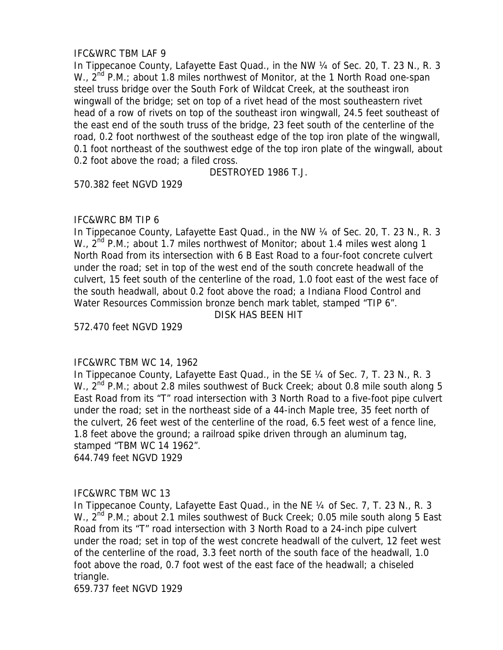# IFC&WRC TBM LAF 9

In Tippecanoe County, Lafayette East Quad., in the NW 1/4 of Sec. 20, T. 23 N., R. 3 W.,  $2^{nd}$  P.M.; about 1.8 miles northwest of Monitor, at the 1 North Road one-span steel truss bridge over the South Fork of Wildcat Creek, at the southeast iron wingwall of the bridge; set on top of a rivet head of the most southeastern rivet head of a row of rivets on top of the southeast iron wingwall, 24.5 feet southeast of the east end of the south truss of the bridge, 23 feet south of the centerline of the road, 0.2 foot northwest of the southeast edge of the top iron plate of the wingwall, 0.1 foot northeast of the southwest edge of the top iron plate of the wingwall, about 0.2 foot above the road; a filed cross.

DESTROYED 1986 T.J.

570.382 feet NGVD 1929

# IFC&WRC BM TIP 6

In Tippecanoe County, Lafayette East Quad., in the NW 1/4 of Sec. 20, T. 23 N., R. 3 W.,  $2^{nd}$  P.M.; about 1.7 miles northwest of Monitor; about 1.4 miles west along 1 North Road from its intersection with 6 B East Road to a four-foot concrete culvert under the road; set in top of the west end of the south concrete headwall of the culvert, 15 feet south of the centerline of the road, 1.0 foot east of the west face of the south headwall, about 0.2 foot above the road; a Indiana Flood Control and Water Resources Commission bronze bench mark tablet, stamped "TIP 6".

DISK HAS BEEN HIT

572.470 feet NGVD 1929

# IFC&WRC TBM WC 14, 1962

In Tippecanoe County, Lafayette East Quad., in the SE 1/4 of Sec. 7, T. 23 N., R. 3 W., 2<sup>nd</sup> P.M.; about 2.8 miles southwest of Buck Creek; about 0.8 mile south along 5 East Road from its "T" road intersection with 3 North Road to a five-foot pipe culvert under the road; set in the northeast side of a 44-inch Maple tree, 35 feet north of the culvert, 26 feet west of the centerline of the road, 6.5 feet west of a fence line, 1.8 feet above the ground; a railroad spike driven through an aluminum tag, stamped "TBM WC 14 1962". 644.749 feet NGVD 1929

# IFC&WRC TBM WC 13

In Tippecanoe County, Lafayette East Quad., in the NE 1/4 of Sec. 7, T. 23 N., R. 3 W.,  $2^{nd}$  P.M.; about 2.1 miles southwest of Buck Creek; 0.05 mile south along 5 East Road from its "T" road intersection with 3 North Road to a 24-inch pipe culvert under the road; set in top of the west concrete headwall of the culvert, 12 feet west of the centerline of the road, 3.3 feet north of the south face of the headwall, 1.0 foot above the road, 0.7 foot west of the east face of the headwall; a chiseled triangle.

659.737 feet NGVD 1929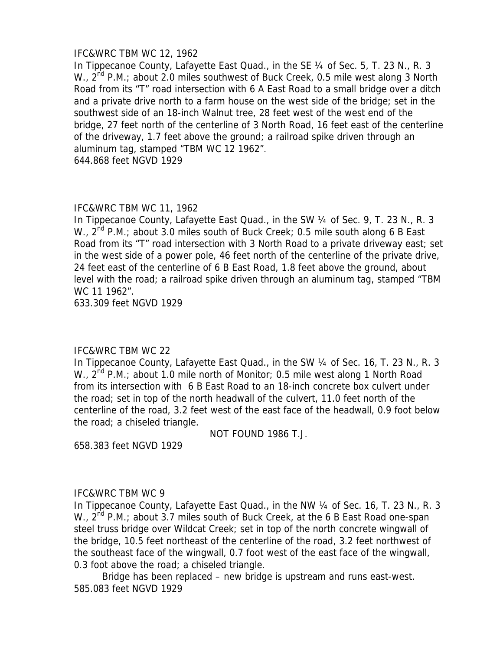### IFC&WRC TBM WC 12, 1962

In Tippecanoe County, Lafayette East Quad., in the SE 1/4 of Sec. 5, T. 23 N., R. 3 W.,  $2^{nd}$  P.M.; about 2.0 miles southwest of Buck Creek, 0.5 mile west along 3 North Road from its "T" road intersection with 6 A East Road to a small bridge over a ditch and a private drive north to a farm house on the west side of the bridge; set in the southwest side of an 18-inch Walnut tree, 28 feet west of the west end of the bridge, 27 feet north of the centerline of 3 North Road, 16 feet east of the centerline of the driveway, 1.7 feet above the ground; a railroad spike driven through an aluminum tag, stamped "TBM WC 12 1962".

644.868 feet NGVD 1929

# IFC&WRC TBM WC 11, 1962

In Tippecanoe County, Lafayette East Quad., in the SW ¼ of Sec. 9, T. 23 N., R. 3 W.,  $2^{nd}$  P.M.; about 3.0 miles south of Buck Creek; 0.5 mile south along 6 B East Road from its "T" road intersection with 3 North Road to a private driveway east; set in the west side of a power pole, 46 feet north of the centerline of the private drive, 24 feet east of the centerline of 6 B East Road, 1.8 feet above the ground, about level with the road; a railroad spike driven through an aluminum tag, stamped "TBM WC 11 1962".

633.309 feet NGVD 1929

# IFC&WRC TBM WC 22

In Tippecanoe County, Lafayette East Quad., in the SW 1/4 of Sec. 16, T. 23 N., R. 3 W.,  $2^{nd}$  P.M.; about 1.0 mile north of Monitor; 0.5 mile west along 1 North Road from its intersection with 6 B East Road to an 18-inch concrete box culvert under the road; set in top of the north headwall of the culvert, 11.0 feet north of the centerline of the road, 3.2 feet west of the east face of the headwall, 0.9 foot below the road; a chiseled triangle.

NOT FOUND 1986 T.J.

658.383 feet NGVD 1929

# IFC&WRC TBM WC 9

In Tippecanoe County, Lafayette East Quad., in the NW 1/4 of Sec. 16, T. 23 N., R. 3 W.,  $2^{nd}$  P.M.; about 3.7 miles south of Buck Creek, at the 6 B East Road one-span steel truss bridge over Wildcat Creek; set in top of the north concrete wingwall of the bridge, 10.5 feet northeast of the centerline of the road, 3.2 feet northwest of the southeast face of the wingwall, 0.7 foot west of the east face of the wingwall, 0.3 foot above the road; a chiseled triangle.

Bridge has been replaced – new bridge is upstream and runs east-west. 585.083 feet NGVD 1929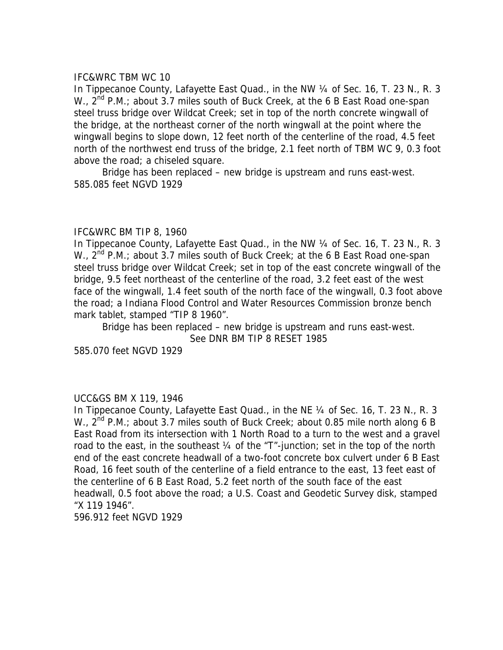#### IFC&WRC TBM WC 10

In Tippecanoe County, Lafayette East Quad., in the NW 1/4 of Sec. 16, T. 23 N., R. 3 W.,  $2^{nd}$  P.M.; about 3.7 miles south of Buck Creek, at the 6 B East Road one-span steel truss bridge over Wildcat Creek; set in top of the north concrete wingwall of the bridge, at the northeast corner of the north wingwall at the point where the wingwall begins to slope down, 12 feet north of the centerline of the road, 4.5 feet north of the northwest end truss of the bridge, 2.1 feet north of TBM WC 9, 0.3 foot above the road; a chiseled square.

Bridge has been replaced – new bridge is upstream and runs east-west. 585.085 feet NGVD 1929

#### IFC&WRC BM TIP 8, 1960

In Tippecanoe County, Lafayette East Quad., in the NW 1/4 of Sec. 16, T. 23 N., R. 3 W., 2<sup>nd</sup> P.M.; about 3.7 miles south of Buck Creek; at the 6 B East Road one-span steel truss bridge over Wildcat Creek; set in top of the east concrete wingwall of the bridge, 9.5 feet northeast of the centerline of the road, 3.2 feet east of the west face of the wingwall, 1.4 feet south of the north face of the wingwall, 0.3 foot above the road; a Indiana Flood Control and Water Resources Commission bronze bench mark tablet, stamped "TIP 8 1960".

Bridge has been replaced – new bridge is upstream and runs east-west. See DNR BM TIP 8 RESET 1985

585.070 feet NGVD 1929

#### UCC&GS BM X 119, 1946

In Tippecanoe County, Lafayette East Quad., in the NE 1/4 of Sec. 16, T. 23 N., R. 3 W., 2<sup>nd</sup> P.M.; about 3.7 miles south of Buck Creek; about 0.85 mile north along 6 B East Road from its intersection with 1 North Road to a turn to the west and a gravel road to the east, in the southeast 1/4 of the "T"-junction; set in the top of the north end of the east concrete headwall of a two-foot concrete box culvert under 6 B East Road, 16 feet south of the centerline of a field entrance to the east, 13 feet east of the centerline of 6 B East Road, 5.2 feet north of the south face of the east headwall, 0.5 foot above the road; a U.S. Coast and Geodetic Survey disk, stamped "X 119 1946".

596.912 feet NGVD 1929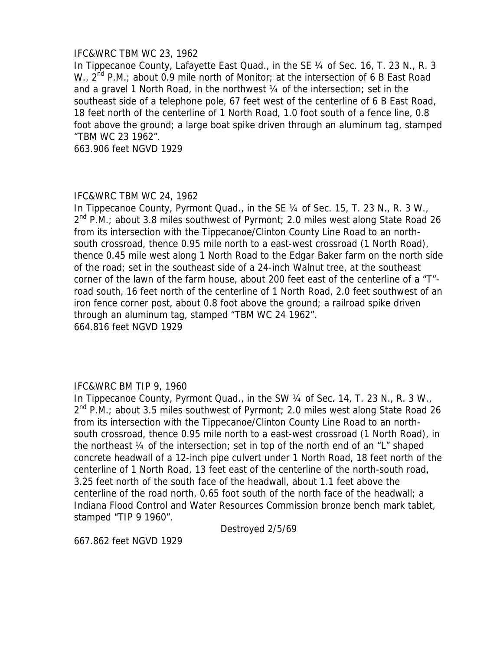### IFC&WRC TBM WC 23, 1962

In Tippecanoe County, Lafayette East Quad., in the SE 1/4 of Sec. 16, T. 23 N., R. 3 W.,  $2^{nd}$  P.M.; about 0.9 mile north of Monitor; at the intersection of 6 B East Road and a gravel 1 North Road, in the northwest ¼ of the intersection; set in the southeast side of a telephone pole, 67 feet west of the centerline of 6 B East Road, 18 feet north of the centerline of 1 North Road, 1.0 foot south of a fence line, 0.8 foot above the ground; a large boat spike driven through an aluminum tag, stamped "TBM WC 23 1962".

663.906 feet NGVD 1929

### IFC&WRC TBM WC 24, 1962

In Tippecanoe County, Pyrmont Quad., in the SE 1/4 of Sec. 15, T. 23 N., R. 3 W.,  $2^{nd}$  P.M.; about 3.8 miles southwest of Pyrmont; 2.0 miles west along State Road 26 from its intersection with the Tippecanoe/Clinton County Line Road to an northsouth crossroad, thence 0.95 mile north to a east-west crossroad (1 North Road), thence 0.45 mile west along 1 North Road to the Edgar Baker farm on the north side of the road; set in the southeast side of a 24-inch Walnut tree, at the southeast corner of the lawn of the farm house, about 200 feet east of the centerline of a "T" road south, 16 feet north of the centerline of 1 North Road, 2.0 feet southwest of an iron fence corner post, about 0.8 foot above the ground; a railroad spike driven through an aluminum tag, stamped "TBM WC 24 1962". 664.816 feet NGVD 1929

# IFC&WRC BM TIP 9, 1960

In Tippecanoe County, Pyrmont Quad., in the SW 1/4 of Sec. 14, T. 23 N., R. 3 W.,  $2^{nd}$  P.M.; about 3.5 miles southwest of Pyrmont; 2.0 miles west along State Road 26 from its intersection with the Tippecanoe/Clinton County Line Road to an northsouth crossroad, thence 0.95 mile north to a east-west crossroad (1 North Road), in the northeast ¼ of the intersection; set in top of the north end of an "L" shaped concrete headwall of a 12-inch pipe culvert under 1 North Road, 18 feet north of the centerline of 1 North Road, 13 feet east of the centerline of the north-south road, 3.25 feet north of the south face of the headwall, about 1.1 feet above the centerline of the road north, 0.65 foot south of the north face of the headwall; a Indiana Flood Control and Water Resources Commission bronze bench mark tablet, stamped "TIP 9 1960".

Destroyed 2/5/69

667.862 feet NGVD 1929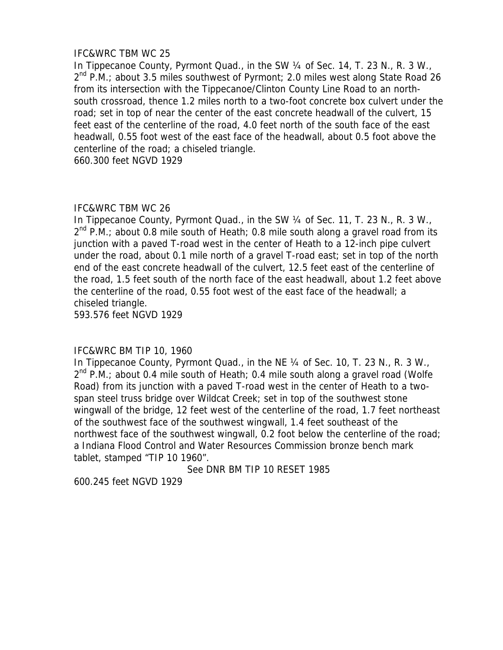### IFC&WRC TBM WC 25

In Tippecanoe County, Pyrmont Quad., in the SW 1/4 of Sec. 14, T. 23 N., R. 3 W.,  $2^{nd}$  P.M.; about 3.5 miles southwest of Pyrmont; 2.0 miles west along State Road 26 from its intersection with the Tippecanoe/Clinton County Line Road to an northsouth crossroad, thence 1.2 miles north to a two-foot concrete box culvert under the road; set in top of near the center of the east concrete headwall of the culvert, 15 feet east of the centerline of the road, 4.0 feet north of the south face of the east headwall, 0.55 foot west of the east face of the headwall, about 0.5 foot above the centerline of the road; a chiseled triangle.

660.300 feet NGVD 1929

# IFC&WRC TBM WC 26

In Tippecanoe County, Pyrmont Quad., in the SW 1/4 of Sec. 11, T. 23 N., R. 3 W.,  $2^{nd}$  P.M.; about 0.8 mile south of Heath; 0.8 mile south along a gravel road from its junction with a paved T-road west in the center of Heath to a 12-inch pipe culvert under the road, about 0.1 mile north of a gravel T-road east; set in top of the north end of the east concrete headwall of the culvert, 12.5 feet east of the centerline of the road, 1.5 feet south of the north face of the east headwall, about 1.2 feet above the centerline of the road, 0.55 foot west of the east face of the headwall; a chiseled triangle.

593.576 feet NGVD 1929

# IFC&WRC BM TIP 10, 1960

In Tippecanoe County, Pyrmont Quad., in the NE 1/4 of Sec. 10, T. 23 N., R. 3 W.,  $2^{nd}$  P.M.; about 0.4 mile south of Heath; 0.4 mile south along a gravel road (Wolfe Road) from its junction with a paved T-road west in the center of Heath to a twospan steel truss bridge over Wildcat Creek; set in top of the southwest stone wingwall of the bridge, 12 feet west of the centerline of the road, 1.7 feet northeast of the southwest face of the southwest wingwall, 1.4 feet southeast of the northwest face of the southwest wingwall, 0.2 foot below the centerline of the road; a Indiana Flood Control and Water Resources Commission bronze bench mark tablet, stamped "TIP 10 1960".

See DNR BM TIP 10 RESET 1985

600.245 feet NGVD 1929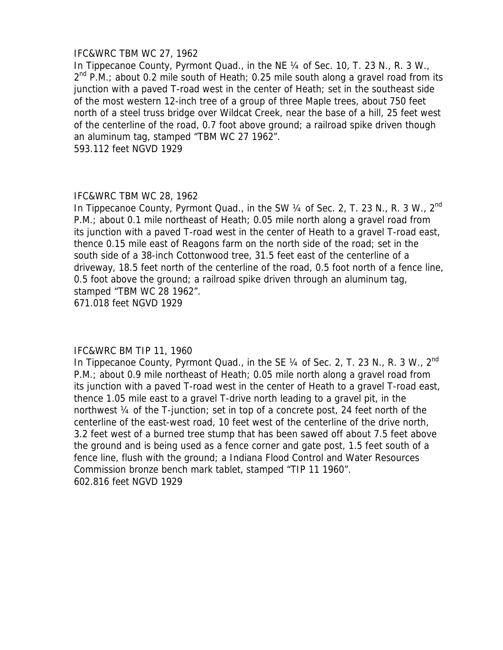### IFC&WRC TBM WC 27, 1962

In Tippecanoe County, Pyrmont Quad., in the NE 1/4 of Sec. 10, T. 23 N., R. 3 W.,  $2^{nd}$  P.M.; about 0.2 mile south of Heath; 0.25 mile south along a gravel road from its junction with a paved T-road west in the center of Heath; set in the southeast side of the most western 12-inch tree of a group of three Maple trees, about 750 feet north of a steel truss bridge over Wildcat Creek, near the base of a hill, 25 feet west of the centerline of the road, 0.7 foot above ground; a railroad spike driven though an aluminum tag, stamped "TBM WC 27 1962". 593.112 feet NGVD 1929

### IFC&WRC TBM WC 28, 1962

In Tippecanoe County, Pyrmont Quad., in the SW 1/4 of Sec. 2, T. 23 N., R. 3 W., 2<sup>nd</sup> P.M.; about 0.1 mile northeast of Heath; 0.05 mile north along a gravel road from its junction with a paved T-road west in the center of Heath to a gravel T-road east, thence 0.15 mile east of Reagons farm on the north side of the road; set in the south side of a 38-inch Cottonwood tree, 31.5 feet east of the centerline of a driveway, 18.5 feet north of the centerline of the road, 0.5 foot north of a fence line, 0.5 foot above the ground; a railroad spike driven through an aluminum tag, stamped "TBM WC 28 1962".

671.018 feet NGVD 1929

#### IFC&WRC BM TIP 11, 1960

In Tippecanoe County, Pyrmont Quad., in the SE 1/4 of Sec. 2, T. 23 N., R. 3 W., 2<sup>nd</sup> P.M.; about 0.9 mile northeast of Heath; 0.05 mile north along a gravel road from its junction with a paved T-road west in the center of Heath to a gravel T-road east, thence 1.05 mile east to a gravel T-drive north leading to a gravel pit, in the northwest ¼ of the T-junction; set in top of a concrete post, 24 feet north of the centerline of the east-west road, 10 feet west of the centerline of the drive north, 3.2 feet west of a burned tree stump that has been sawed off about 7.5 feet above the ground and is being used as a fence corner and gate post, 1.5 feet south of a fence line, flush with the ground; a Indiana Flood Control and Water Resources Commission bronze bench mark tablet, stamped "TIP 11 1960". 602.816 feet NGVD 1929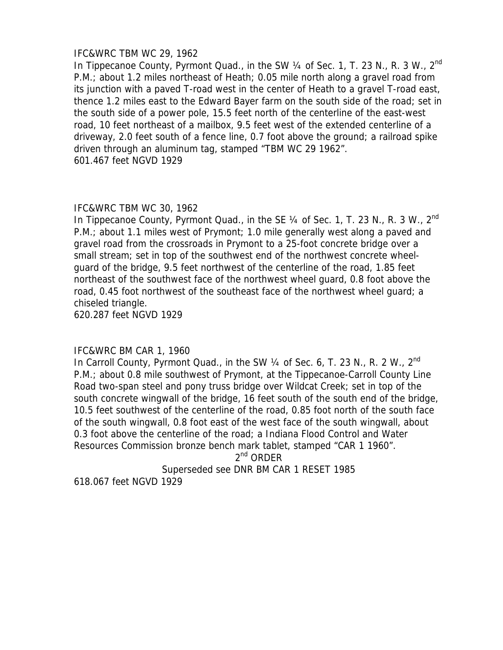### IFC&WRC TBM WC 29, 1962

In Tippecanoe County, Pyrmont Quad., in the SW  $\frac{1}{4}$  of Sec. 1, T. 23 N., R. 3 W., 2<sup>nd</sup> P.M.; about 1.2 miles northeast of Heath; 0.05 mile north along a gravel road from its junction with a paved T-road west in the center of Heath to a gravel T-road east, thence 1.2 miles east to the Edward Bayer farm on the south side of the road; set in the south side of a power pole, 15.5 feet north of the centerline of the east-west road, 10 feet northeast of a mailbox, 9.5 feet west of the extended centerline of a driveway, 2.0 feet south of a fence line, 0.7 foot above the ground; a railroad spike driven through an aluminum tag, stamped "TBM WC 29 1962". 601.467 feet NGVD 1929

### IFC&WRC TBM WC 30, 1962

In Tippecanoe County, Pyrmont Quad., in the SE  $\frac{1}{4}$  of Sec. 1, T. 23 N., R. 3 W.,  $2^{nd}$ P.M.; about 1.1 miles west of Prymont; 1.0 mile generally west along a paved and gravel road from the crossroads in Prymont to a 25-foot concrete bridge over a small stream; set in top of the southwest end of the northwest concrete wheelguard of the bridge, 9.5 feet northwest of the centerline of the road, 1.85 feet northeast of the southwest face of the northwest wheel guard, 0.8 foot above the road, 0.45 foot northwest of the southeast face of the northwest wheel guard; a chiseled triangle.

620.287 feet NGVD 1929

# IFC&WRC BM CAR 1, 1960

In Carroll County, Pyrmont Quad., in the SW 1/4 of Sec. 6, T. 23 N., R. 2 W., 2<sup>nd</sup> P.M.; about 0.8 mile southwest of Prymont, at the Tippecanoe-Carroll County Line Road two-span steel and pony truss bridge over Wildcat Creek; set in top of the south concrete wingwall of the bridge, 16 feet south of the south end of the bridge, 10.5 feet southwest of the centerline of the road, 0.85 foot north of the south face of the south wingwall, 0.8 foot east of the west face of the south wingwall, about 0.3 foot above the centerline of the road; a Indiana Flood Control and Water Resources Commission bronze bench mark tablet, stamped "CAR 1 1960".

 $2^{nd}$  ORDER

Superseded see DNR BM CAR 1 RESET 1985

618.067 feet NGVD 1929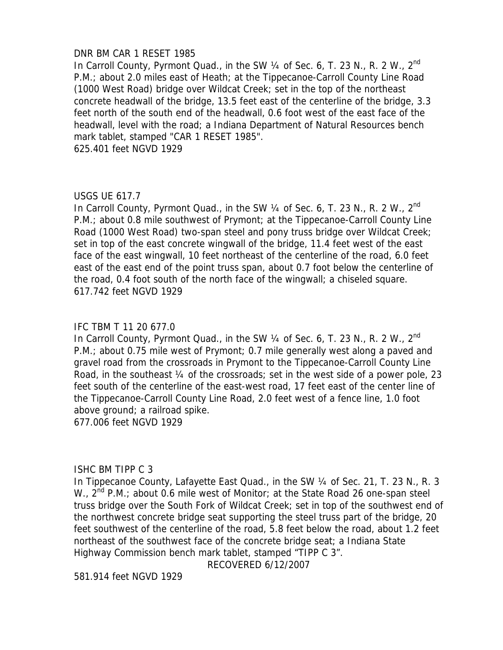#### DNR BM CAR 1 RESET 1985

In Carroll County, Pyrmont Quad., in the SW 1/4 of Sec. 6, T. 23 N., R. 2 W., 2<sup>nd</sup> P.M.; about 2.0 miles east of Heath; at the Tippecanoe-Carroll County Line Road (1000 West Road) bridge over Wildcat Creek; set in the top of the northeast concrete headwall of the bridge, 13.5 feet east of the centerline of the bridge, 3.3 feet north of the south end of the headwall, 0.6 foot west of the east face of the headwall, level with the road; a Indiana Department of Natural Resources bench mark tablet, stamped "CAR 1 RESET 1985".

625.401 feet NGVD 1929

### USGS UE 617.7

In Carroll County, Pyrmont Quad., in the SW 1/4 of Sec. 6, T. 23 N., R. 2 W., 2<sup>nd</sup> P.M.; about 0.8 mile southwest of Prymont; at the Tippecanoe-Carroll County Line Road (1000 West Road) two-span steel and pony truss bridge over Wildcat Creek; set in top of the east concrete wingwall of the bridge, 11.4 feet west of the east face of the east wingwall, 10 feet northeast of the centerline of the road, 6.0 feet east of the east end of the point truss span, about 0.7 foot below the centerline of the road, 0.4 foot south of the north face of the wingwall; a chiseled square. 617.742 feet NGVD 1929

### IFC TBM T 11 20 677.0

In Carroll County, Pyrmont Quad., in the SW 1/4 of Sec. 6, T. 23 N., R. 2 W., 2<sup>nd</sup> P.M.; about 0.75 mile west of Prymont; 0.7 mile generally west along a paved and gravel road from the crossroads in Prymont to the Tippecanoe-Carroll County Line Road, in the southeast ¼ of the crossroads; set in the west side of a power pole, 23 feet south of the centerline of the east-west road, 17 feet east of the center line of the Tippecanoe-Carroll County Line Road, 2.0 feet west of a fence line, 1.0 foot above ground; a railroad spike.

677.006 feet NGVD 1929

# ISHC BM TIPP C 3

In Tippecanoe County, Lafayette East Quad., in the SW 1/4 of Sec. 21, T. 23 N., R. 3 W.,  $2^{nd}$  P.M.; about 0.6 mile west of Monitor; at the State Road 26 one-span steel truss bridge over the South Fork of Wildcat Creek; set in top of the southwest end of the northwest concrete bridge seat supporting the steel truss part of the bridge, 20 feet southwest of the centerline of the road, 5.8 feet below the road, about 1.2 feet northeast of the southwest face of the concrete bridge seat; a Indiana State Highway Commission bench mark tablet, stamped "TIPP C 3".

RECOVERED 6/12/2007

581.914 feet NGVD 1929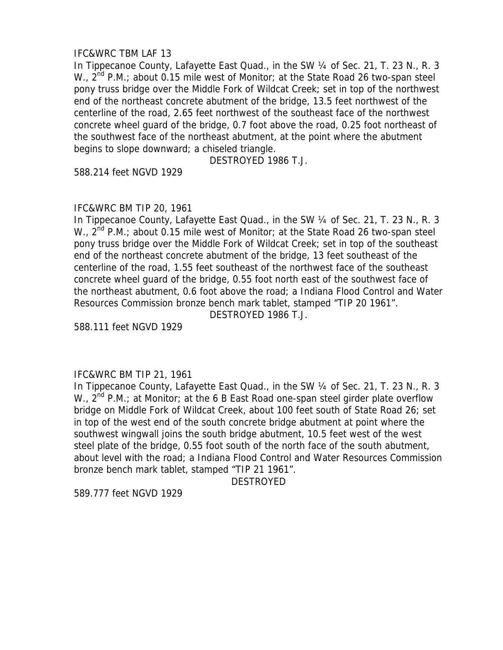# IFC&WRC TBM LAF 13

In Tippecanoe County, Lafayette East Quad., in the SW 1/4 of Sec. 21, T. 23 N., R. 3 W.,  $2^{nd}$  P.M.; about 0.15 mile west of Monitor; at the State Road 26 two-span steel pony truss bridge over the Middle Fork of Wildcat Creek; set in top of the northwest end of the northeast concrete abutment of the bridge, 13.5 feet northwest of the centerline of the road, 2.65 feet northwest of the southeast face of the northwest concrete wheel guard of the bridge, 0.7 foot above the road, 0.25 foot northeast of the southwest face of the northeast abutment, at the point where the abutment begins to slope downward; a chiseled triangle.

DESTROYED 1986 T.J.

588.214 feet NGVD 1929

# IFC&WRC BM TIP 20, 1961

In Tippecanoe County, Lafayette East Quad., in the SW 1/4 of Sec. 21, T. 23 N., R. 3 W.,  $2^{nd}$  P.M.; about 0.15 mile west of Monitor; at the State Road 26 two-span steel pony truss bridge over the Middle Fork of Wildcat Creek; set in top of the southeast end of the northeast concrete abutment of the bridge, 13 feet southeast of the centerline of the road, 1.55 feet southeast of the northwest face of the southeast concrete wheel guard of the bridge, 0.55 foot north east of the southwest face of the northeast abutment, 0.6 foot above the road; a Indiana Flood Control and Water Resources Commission bronze bench mark tablet, stamped "TIP 20 1961".

DESTROYED 1986 T.J.

588.111 feet NGVD 1929

# IFC&WRC BM TIP 21, 1961

In Tippecanoe County, Lafayette East Quad., in the SW 1/4 of Sec. 21, T. 23 N., R. 3 W.,  $2^{nd}$  P.M.; at Monitor; at the 6 B East Road one-span steel girder plate overflow bridge on Middle Fork of Wildcat Creek, about 100 feet south of State Road 26; set in top of the west end of the south concrete bridge abutment at point where the southwest wingwall joins the south bridge abutment, 10.5 feet west of the west steel plate of the bridge, 0.55 foot south of the north face of the south abutment, about level with the road; a Indiana Flood Control and Water Resources Commission bronze bench mark tablet, stamped "TIP 21 1961".

DESTROYED

589.777 feet NGVD 1929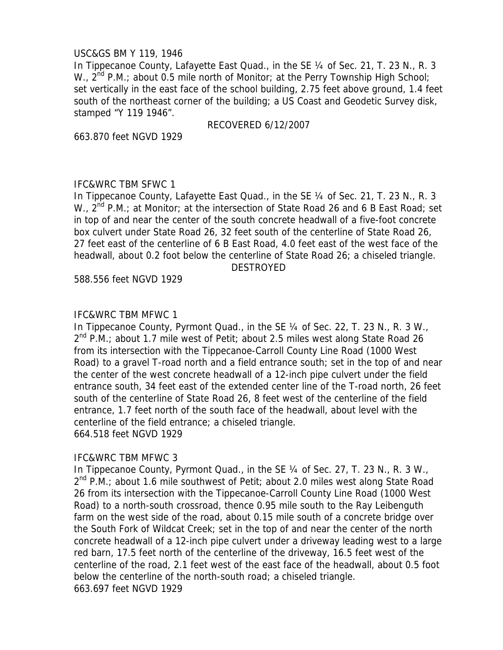### USC&GS BM Y 119, 1946

In Tippecanoe County, Lafayette East Quad., in the SE ¼ of Sec. 21, T. 23 N., R. 3 W.,  $2^{nd}$  P.M.; about 0.5 mile north of Monitor; at the Perry Township High School; set vertically in the east face of the school building, 2.75 feet above ground, 1.4 feet south of the northeast corner of the building; a US Coast and Geodetic Survey disk, stamped "Y 119 1946".

RECOVERED 6/12/2007

663.870 feet NGVD 1929

# IFC&WRC TBM SFWC 1

In Tippecanoe County, Lafayette East Quad., in the SE 1/4 of Sec. 21, T. 23 N., R. 3 W., 2<sup>nd</sup> P.M.; at Monitor; at the intersection of State Road 26 and 6 B East Road; set in top of and near the center of the south concrete headwall of a five-foot concrete box culvert under State Road 26, 32 feet south of the centerline of State Road 26, 27 feet east of the centerline of 6 B East Road, 4.0 feet east of the west face of the headwall, about 0.2 foot below the centerline of State Road 26; a chiseled triangle. DESTROYED

588.556 feet NGVD 1929

### IFC&WRC TBM MFWC 1

In Tippecanoe County, Pyrmont Quad., in the SE 1/4 of Sec. 22, T. 23 N., R. 3 W., 2<sup>nd</sup> P.M.; about 1.7 mile west of Petit; about 2.5 miles west along State Road 26 from its intersection with the Tippecanoe-Carroll County Line Road (1000 West Road) to a gravel T-road north and a field entrance south; set in the top of and near the center of the west concrete headwall of a 12-inch pipe culvert under the field entrance south, 34 feet east of the extended center line of the T-road north, 26 feet south of the centerline of State Road 26, 8 feet west of the centerline of the field entrance, 1.7 feet north of the south face of the headwall, about level with the centerline of the field entrance; a chiseled triangle. 664.518 feet NGVD 1929

# IFC&WRC TBM MFWC 3

In Tippecanoe County, Pyrmont Quad., in the SE 1/4 of Sec. 27, T. 23 N., R. 3 W., 2<sup>nd</sup> P.M.; about 1.6 mile southwest of Petit; about 2.0 miles west along State Road 26 from its intersection with the Tippecanoe-Carroll County Line Road (1000 West Road) to a north-south crossroad, thence 0.95 mile south to the Ray Leibenguth farm on the west side of the road, about 0.15 mile south of a concrete bridge over the South Fork of Wildcat Creek; set in the top of and near the center of the north concrete headwall of a 12-inch pipe culvert under a driveway leading west to a large red barn, 17.5 feet north of the centerline of the driveway, 16.5 feet west of the centerline of the road, 2.1 feet west of the east face of the headwall, about 0.5 foot below the centerline of the north-south road; a chiseled triangle. 663.697 feet NGVD 1929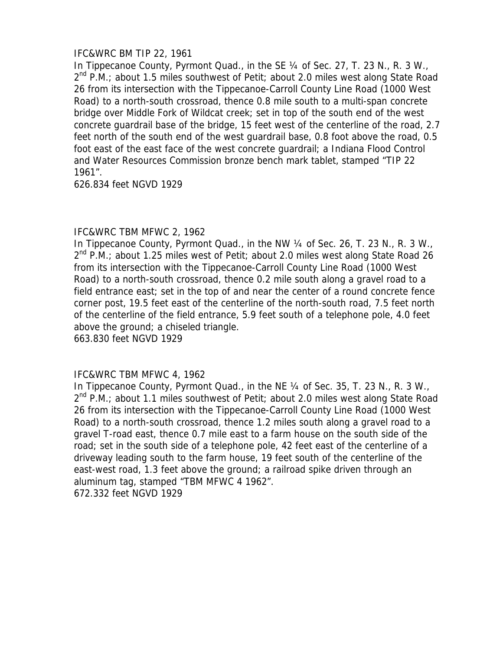# IFC&WRC BM TIP 22, 1961

In Tippecanoe County, Pyrmont Quad., in the SE 1/4 of Sec. 27, T. 23 N., R. 3 W.,  $2^{nd}$  P.M.; about 1.5 miles southwest of Petit; about 2.0 miles west along State Road 26 from its intersection with the Tippecanoe-Carroll County Line Road (1000 West Road) to a north-south crossroad, thence 0.8 mile south to a multi-span concrete bridge over Middle Fork of Wildcat creek; set in top of the south end of the west concrete guardrail base of the bridge, 15 feet west of the centerline of the road, 2.7 feet north of the south end of the west guardrail base, 0.8 foot above the road, 0.5 foot east of the east face of the west concrete guardrail; a Indiana Flood Control and Water Resources Commission bronze bench mark tablet, stamped "TIP 22 1961".

626.834 feet NGVD 1929

# IFC&WRC TBM MFWC 2, 1962

In Tippecanoe County, Pyrmont Quad., in the NW 1/4 of Sec. 26, T. 23 N., R. 3 W.,  $2^{nd}$  P.M.; about 1.25 miles west of Petit; about 2.0 miles west along State Road 26 from its intersection with the Tippecanoe-Carroll County Line Road (1000 West Road) to a north-south crossroad, thence 0.2 mile south along a gravel road to a field entrance east; set in the top of and near the center of a round concrete fence corner post, 19.5 feet east of the centerline of the north-south road, 7.5 feet north of the centerline of the field entrance, 5.9 feet south of a telephone pole, 4.0 feet above the ground; a chiseled triangle.

663.830 feet NGVD 1929

# IFC&WRC TBM MFWC 4, 1962

In Tippecanoe County, Pyrmont Quad., in the NE 1/4 of Sec. 35, T. 23 N., R. 3 W., 2<sup>nd</sup> P.M.; about 1.1 miles southwest of Petit; about 2.0 miles west along State Road 26 from its intersection with the Tippecanoe-Carroll County Line Road (1000 West Road) to a north-south crossroad, thence 1.2 miles south along a gravel road to a gravel T-road east, thence 0.7 mile east to a farm house on the south side of the road; set in the south side of a telephone pole, 42 feet east of the centerline of a driveway leading south to the farm house, 19 feet south of the centerline of the east-west road, 1.3 feet above the ground; a railroad spike driven through an aluminum tag, stamped "TBM MFWC 4 1962". 672.332 feet NGVD 1929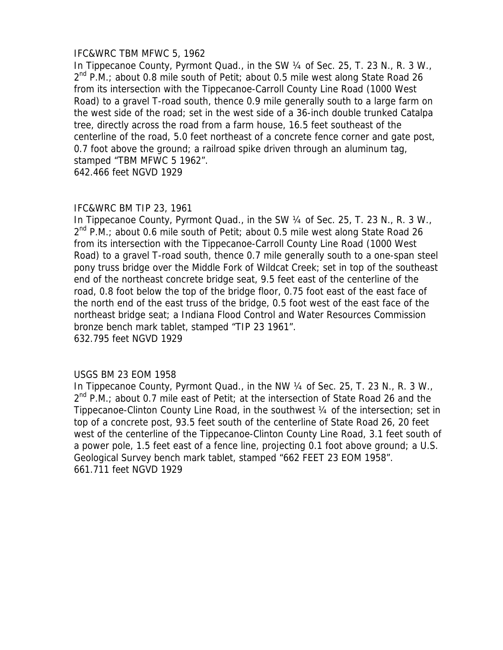### IFC&WRC TBM MFWC 5, 1962

In Tippecanoe County, Pyrmont Quad., in the SW 1/4 of Sec. 25, T. 23 N., R. 3 W.,  $2^{nd}$  P.M.; about 0.8 mile south of Petit; about 0.5 mile west along State Road 26 from its intersection with the Tippecanoe-Carroll County Line Road (1000 West Road) to a gravel T-road south, thence 0.9 mile generally south to a large farm on the west side of the road; set in the west side of a 36-inch double trunked Catalpa tree, directly across the road from a farm house, 16.5 feet southeast of the centerline of the road, 5.0 feet northeast of a concrete fence corner and gate post, 0.7 foot above the ground; a railroad spike driven through an aluminum tag, stamped "TBM MFWC 5 1962".

642.466 feet NGVD 1929

### IFC&WRC BM TIP 23, 1961

In Tippecanoe County, Pyrmont Quad., in the SW 1/4 of Sec. 25, T. 23 N., R. 3 W.,  $2^{nd}$  P.M.; about 0.6 mile south of Petit; about 0.5 mile west along State Road 26 from its intersection with the Tippecanoe-Carroll County Line Road (1000 West Road) to a gravel T-road south, thence 0.7 mile generally south to a one-span steel pony truss bridge over the Middle Fork of Wildcat Creek; set in top of the southeast end of the northeast concrete bridge seat, 9.5 feet east of the centerline of the road, 0.8 foot below the top of the bridge floor, 0.75 foot east of the east face of the north end of the east truss of the bridge, 0.5 foot west of the east face of the northeast bridge seat; a Indiana Flood Control and Water Resources Commission bronze bench mark tablet, stamped "TIP 23 1961". 632.795 feet NGVD 1929

#### USGS BM 23 EOM 1958

In Tippecanoe County, Pyrmont Quad., in the NW 1/4 of Sec. 25, T. 23 N., R. 3 W.,  $2<sup>nd</sup>$  P.M.; about 0.7 mile east of Petit; at the intersection of State Road 26 and the Tippecanoe-Clinton County Line Road, in the southwest ¼ of the intersection; set in top of a concrete post, 93.5 feet south of the centerline of State Road 26, 20 feet west of the centerline of the Tippecanoe-Clinton County Line Road, 3.1 feet south of a power pole, 1.5 feet east of a fence line, projecting 0.1 foot above ground; a U.S. Geological Survey bench mark tablet, stamped "662 FEET 23 EOM 1958". 661.711 feet NGVD 1929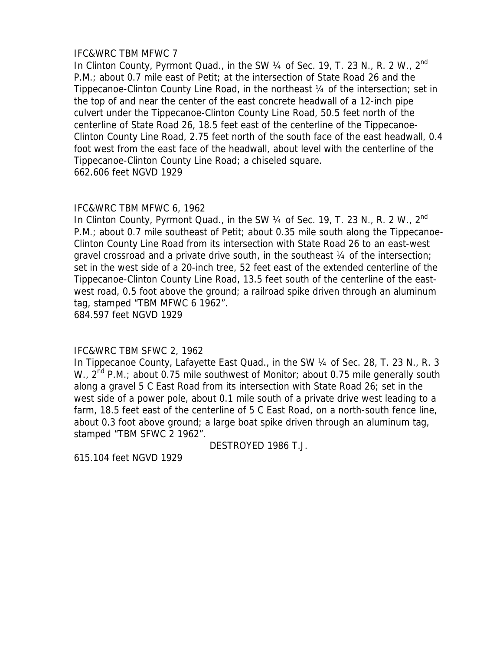# IFC&WRC TBM MFWC 7

In Clinton County, Pyrmont Quad., in the SW 1/4 of Sec. 19, T. 23 N., R. 2 W., 2<sup>nd</sup> P.M.; about 0.7 mile east of Petit; at the intersection of State Road 26 and the Tippecanoe-Clinton County Line Road, in the northeast ¼ of the intersection; set in the top of and near the center of the east concrete headwall of a 12-inch pipe culvert under the Tippecanoe-Clinton County Line Road, 50.5 feet north of the centerline of State Road 26, 18.5 feet east of the centerline of the Tippecanoe-Clinton County Line Road, 2.75 feet north of the south face of the east headwall, 0.4 foot west from the east face of the headwall, about level with the centerline of the Tippecanoe-Clinton County Line Road; a chiseled square. 662.606 feet NGVD 1929

# IFC&WRC TBM MFWC 6, 1962

In Clinton County, Pyrmont Quad., in the SW  $\frac{1}{4}$  of Sec. 19, T. 23 N., R. 2 W.,  $2^{nd}$ P.M.; about 0.7 mile southeast of Petit; about 0.35 mile south along the Tippecanoe-Clinton County Line Road from its intersection with State Road 26 to an east-west gravel crossroad and a private drive south, in the southeast 1/4 of the intersection; set in the west side of a 20-inch tree, 52 feet east of the extended centerline of the Tippecanoe-Clinton County Line Road, 13.5 feet south of the centerline of the eastwest road, 0.5 foot above the ground; a railroad spike driven through an aluminum tag, stamped "TBM MFWC 6 1962". 684.597 feet NGVD 1929

# IFC&WRC TBM SFWC 2, 1962

In Tippecanoe County, Lafayette East Quad., in the SW 1/4 of Sec. 28, T. 23 N., R. 3 W.,  $2^{nd}$  P.M.; about 0.75 mile southwest of Monitor; about 0.75 mile generally south along a gravel 5 C East Road from its intersection with State Road 26; set in the west side of a power pole, about 0.1 mile south of a private drive west leading to a farm, 18.5 feet east of the centerline of 5 C East Road, on a north-south fence line, about 0.3 foot above ground; a large boat spike driven through an aluminum tag, stamped "TBM SFWC 2 1962".

DESTROYED 1986 T.J.

615.104 feet NGVD 1929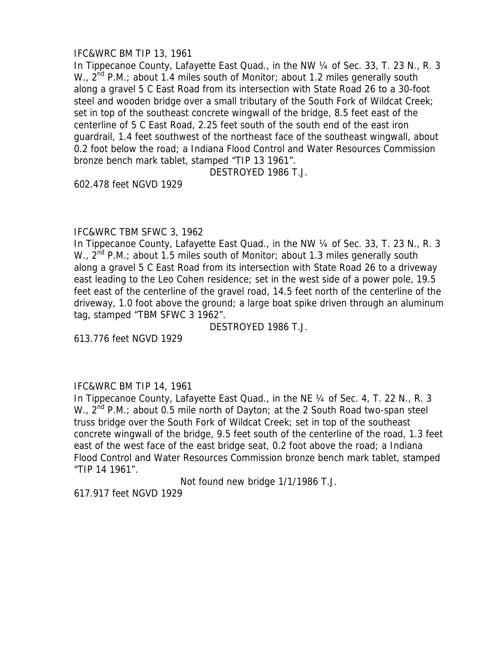# IFC&WRC BM TIP 13, 1961

In Tippecanoe County, Lafayette East Quad., in the NW 1/4 of Sec. 33, T. 23 N., R. 3 W.,  $2^{nd}$  P.M.; about 1.4 miles south of Monitor; about 1.2 miles generally south along a gravel 5 C East Road from its intersection with State Road 26 to a 30-foot steel and wooden bridge over a small tributary of the South Fork of Wildcat Creek; set in top of the southeast concrete wingwall of the bridge, 8.5 feet east of the centerline of 5 C East Road, 2.25 feet south of the south end of the east iron guardrail, 1.4 feet southwest of the northeast face of the southeast wingwall, about 0.2 foot below the road; a Indiana Flood Control and Water Resources Commission bronze bench mark tablet, stamped "TIP 13 1961".

DESTROYED 1986 T.J.

602.478 feet NGVD 1929

# IFC&WRC TBM SFWC 3, 1962

In Tippecanoe County, Lafayette East Quad., in the NW 1/4 of Sec. 33, T. 23 N., R. 3 W.,  $2^{nd}$  P.M.; about 1.5 miles south of Monitor; about 1.3 miles generally south along a gravel 5 C East Road from its intersection with State Road 26 to a driveway east leading to the Leo Cohen residence; set in the west side of a power pole, 19.5 feet east of the centerline of the gravel road, 14.5 feet north of the centerline of the driveway, 1.0 foot above the ground; a large boat spike driven through an aluminum tag, stamped "TBM SFWC 3 1962".

DESTROYED 1986 T.J.

613.776 feet NGVD 1929

# IFC&WRC BM TIP 14, 1961

In Tippecanoe County, Lafayette East Quad., in the NE 1/4 of Sec. 4, T. 22 N., R. 3 W., 2<sup>nd</sup> P.M.; about 0.5 mile north of Dayton; at the 2 South Road two-span steel truss bridge over the South Fork of Wildcat Creek; set in top of the southeast concrete wingwall of the bridge, 9.5 feet south of the centerline of the road, 1.3 feet east of the west face of the east bridge seat, 0.2 foot above the road; a Indiana Flood Control and Water Resources Commission bronze bench mark tablet, stamped "TIP 14 1961".

Not found new bridge 1/1/1986 T.J.

617.917 feet NGVD 1929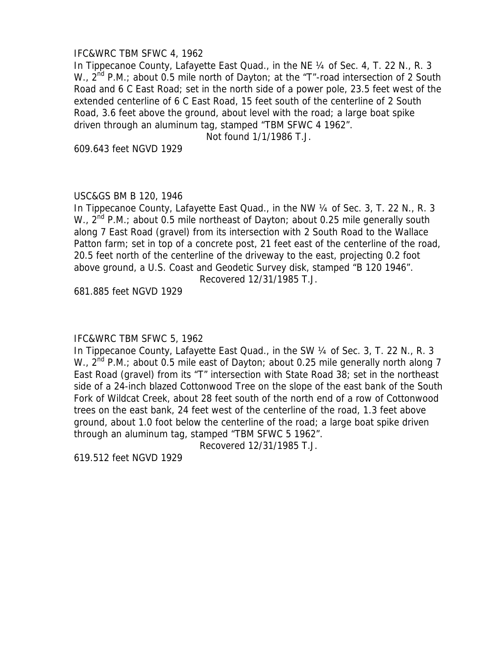### IFC&WRC TBM SFWC 4, 1962

In Tippecanoe County, Lafayette East Quad., in the NE 1/4 of Sec. 4, T. 22 N., R. 3 W., 2<sup>nd</sup> P.M.; about 0.5 mile north of Dayton; at the "T"-road intersection of 2 South Road and 6 C East Road; set in the north side of a power pole, 23.5 feet west of the extended centerline of 6 C East Road, 15 feet south of the centerline of 2 South Road, 3.6 feet above the ground, about level with the road; a large boat spike driven through an aluminum tag, stamped "TBM SFWC 4 1962".

Not found 1/1/1986 T.J.

609.643 feet NGVD 1929

### USC&GS BM B 120, 1946

In Tippecanoe County, Lafayette East Quad., in the NW 1/4 of Sec. 3, T. 22 N., R. 3 W.,  $2^{nd}$  P.M.; about 0.5 mile northeast of Dayton; about 0.25 mile generally south along 7 East Road (gravel) from its intersection with 2 South Road to the Wallace Patton farm; set in top of a concrete post, 21 feet east of the centerline of the road, 20.5 feet north of the centerline of the driveway to the east, projecting 0.2 foot above ground, a U.S. Coast and Geodetic Survey disk, stamped "B 120 1946".

Recovered 12/31/1985 T.J.

681.885 feet NGVD 1929

#### IFC&WRC TBM SFWC 5, 1962

In Tippecanoe County, Lafayette East Quad., in the SW ¼ of Sec. 3, T. 22 N., R. 3 W.,  $2^{nd}$  P.M.; about 0.5 mile east of Dayton; about 0.25 mile generally north along 7 East Road (gravel) from its "T" intersection with State Road 38; set in the northeast side of a 24-inch blazed Cottonwood Tree on the slope of the east bank of the South Fork of Wildcat Creek, about 28 feet south of the north end of a row of Cottonwood trees on the east bank, 24 feet west of the centerline of the road, 1.3 feet above ground, about 1.0 foot below the centerline of the road; a large boat spike driven through an aluminum tag, stamped "TBM SFWC 5 1962".

Recovered 12/31/1985 T.J.

619.512 feet NGVD 1929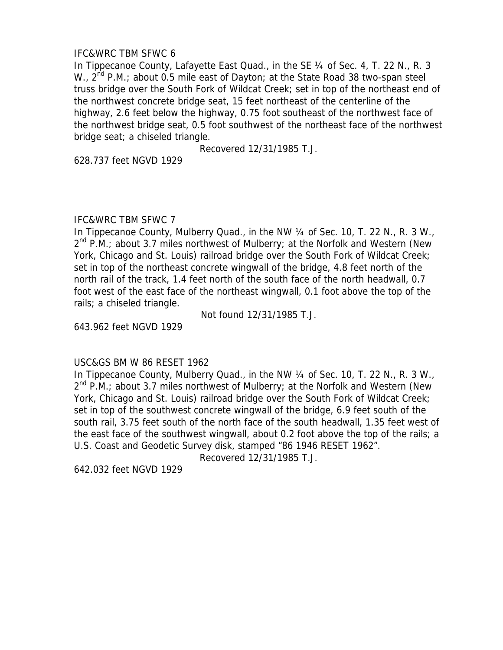# IFC&WRC TBM SFWC 6

In Tippecanoe County, Lafayette East Quad., in the SE 1/4 of Sec. 4, T. 22 N., R. 3 W.,  $2^{nd}$  P.M.; about 0.5 mile east of Dayton; at the State Road 38 two-span steel truss bridge over the South Fork of Wildcat Creek; set in top of the northeast end of the northwest concrete bridge seat, 15 feet northeast of the centerline of the highway, 2.6 feet below the highway, 0.75 foot southeast of the northwest face of the northwest bridge seat, 0.5 foot southwest of the northeast face of the northwest bridge seat; a chiseled triangle.

Recovered 12/31/1985 T.J.

628.737 feet NGVD 1929

### IFC&WRC TBM SFWC 7

In Tippecanoe County, Mulberry Quad., in the NW 1/4 of Sec. 10, T. 22 N., R. 3 W.,  $2^{nd}$  P.M.; about 3.7 miles northwest of Mulberry; at the Norfolk and Western (New York, Chicago and St. Louis) railroad bridge over the South Fork of Wildcat Creek; set in top of the northeast concrete wingwall of the bridge, 4.8 feet north of the north rail of the track, 1.4 feet north of the south face of the north headwall, 0.7 foot west of the east face of the northeast wingwall, 0.1 foot above the top of the rails; a chiseled triangle.

Not found 12/31/1985 T.J.

643.962 feet NGVD 1929

#### USC&GS BM W 86 RESET 1962

In Tippecanoe County, Mulberry Quad., in the NW 1/4 of Sec. 10, T. 22 N., R. 3 W.,  $2^{nd}$  P.M.; about 3.7 miles northwest of Mulberry; at the Norfolk and Western (New York, Chicago and St. Louis) railroad bridge over the South Fork of Wildcat Creek; set in top of the southwest concrete wingwall of the bridge, 6.9 feet south of the south rail, 3.75 feet south of the north face of the south headwall, 1.35 feet west of the east face of the southwest wingwall, about 0.2 foot above the top of the rails; a U.S. Coast and Geodetic Survey disk, stamped "86 1946 RESET 1962".

Recovered 12/31/1985 T.J.

642.032 feet NGVD 1929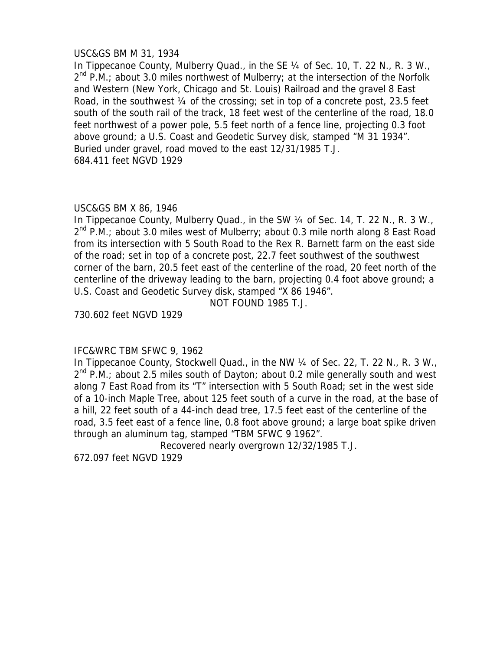### USC&GS BM M 31, 1934

In Tippecanoe County, Mulberry Quad., in the SE 1/4 of Sec. 10, T. 22 N., R. 3 W.,  $2^{nd}$  P.M.; about 3.0 miles northwest of Mulberry; at the intersection of the Norfolk and Western (New York, Chicago and St. Louis) Railroad and the gravel 8 East Road, in the southwest  $\frac{1}{4}$  of the crossing; set in top of a concrete post, 23.5 feet south of the south rail of the track, 18 feet west of the centerline of the road, 18.0 feet northwest of a power pole, 5.5 feet north of a fence line, projecting 0.3 foot above ground; a U.S. Coast and Geodetic Survey disk, stamped "M 31 1934". Buried under gravel, road moved to the east 12/31/1985 T.J. 684.411 feet NGVD 1929

### USC&GS BM X 86, 1946

In Tippecanoe County, Mulberry Quad., in the SW 1/4 of Sec. 14, T. 22 N., R. 3 W., 2<sup>nd</sup> P.M.; about 3.0 miles west of Mulberry; about 0.3 mile north along 8 East Road from its intersection with 5 South Road to the Rex R. Barnett farm on the east side of the road; set in top of a concrete post, 22.7 feet southwest of the southwest corner of the barn, 20.5 feet east of the centerline of the road, 20 feet north of the centerline of the driveway leading to the barn, projecting 0.4 foot above ground; a U.S. Coast and Geodetic Survey disk, stamped "X 86 1946".

NOT FOUND 1985 T.J.

730.602 feet NGVD 1929

# IFC&WRC TBM SFWC 9, 1962

In Tippecanoe County, Stockwell Quad., in the NW 1/4 of Sec. 22, T. 22 N., R. 3 W.,  $2^{nd}$  P.M.; about 2.5 miles south of Dayton; about 0.2 mile generally south and west along 7 East Road from its "T" intersection with 5 South Road; set in the west side of a 10-inch Maple Tree, about 125 feet south of a curve in the road, at the base of a hill, 22 feet south of a 44-inch dead tree, 17.5 feet east of the centerline of the road, 3.5 feet east of a fence line, 0.8 foot above ground; a large boat spike driven through an aluminum tag, stamped "TBM SFWC 9 1962".

Recovered nearly overgrown 12/32/1985 T.J.

672.097 feet NGVD 1929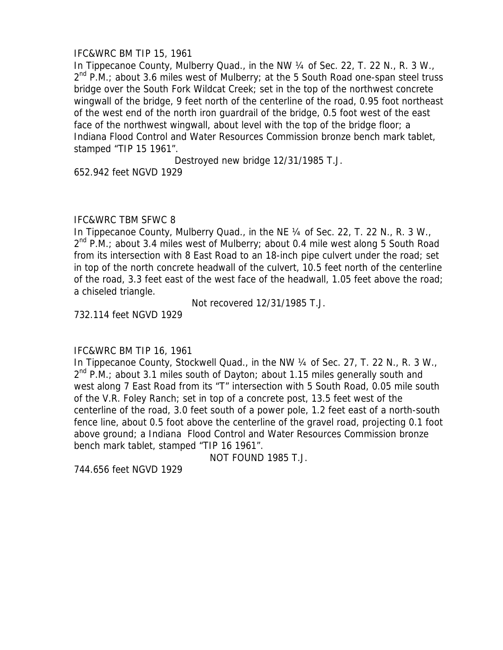# IFC&WRC BM TIP 15, 1961

In Tippecanoe County, Mulberry Quad., in the NW 1/4 of Sec. 22, T. 22 N., R. 3 W.,  $2^{nd}$  P.M.; about 3.6 miles west of Mulberry; at the 5 South Road one-span steel truss bridge over the South Fork Wildcat Creek; set in the top of the northwest concrete wingwall of the bridge, 9 feet north of the centerline of the road, 0.95 foot northeast of the west end of the north iron guardrail of the bridge, 0.5 foot west of the east face of the northwest wingwall, about level with the top of the bridge floor; a Indiana Flood Control and Water Resources Commission bronze bench mark tablet, stamped "TIP 15 1961".

Destroyed new bridge 12/31/1985 T.J.

652.942 feet NGVD 1929

### IFC&WRC TBM SFWC 8

In Tippecanoe County, Mulberry Quad., in the NE 1/4 of Sec. 22, T. 22 N., R. 3 W.,  $2^{nd}$  P.M.; about 3.4 miles west of Mulberry; about 0.4 mile west along 5 South Road from its intersection with 8 East Road to an 18-inch pipe culvert under the road; set in top of the north concrete headwall of the culvert, 10.5 feet north of the centerline of the road, 3.3 feet east of the west face of the headwall, 1.05 feet above the road; a chiseled triangle.

Not recovered 12/31/1985 T.J.

732.114 feet NGVD 1929

# IFC&WRC BM TIP 16, 1961

In Tippecanoe County, Stockwell Quad., in the NW 1/4 of Sec. 27, T. 22 N., R. 3 W.,  $2^{nd}$  P.M.; about 3.1 miles south of Dayton; about 1.15 miles generally south and west along 7 East Road from its "T" intersection with 5 South Road, 0.05 mile south of the V.R. Foley Ranch; set in top of a concrete post, 13.5 feet west of the centerline of the road, 3.0 feet south of a power pole, 1.2 feet east of a north-south fence line, about 0.5 foot above the centerline of the gravel road, projecting 0.1 foot above ground; a Indiana Flood Control and Water Resources Commission bronze bench mark tablet, stamped "TIP 16 1961".

NOT FOUND 1985 T.J.

744.656 feet NGVD 1929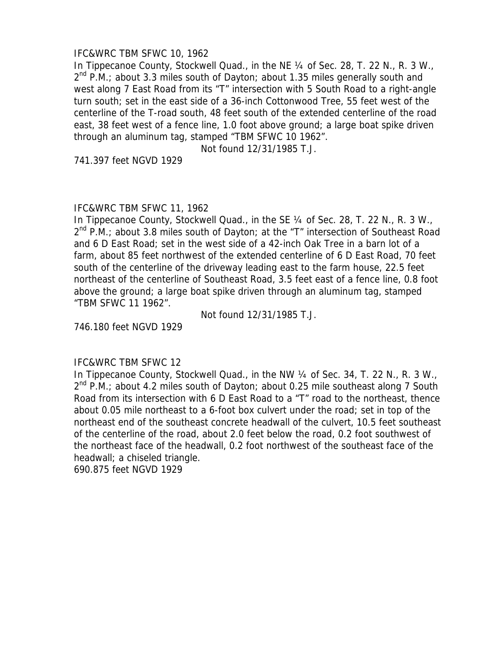### IFC&WRC TBM SFWC 10, 1962

In Tippecanoe County, Stockwell Quad., in the NE 1/4 of Sec. 28, T. 22 N., R. 3 W.,  $2^{nd}$  P.M.; about 3.3 miles south of Dayton; about 1.35 miles generally south and west along 7 East Road from its "T" intersection with 5 South Road to a right-angle turn south; set in the east side of a 36-inch Cottonwood Tree, 55 feet west of the centerline of the T-road south, 48 feet south of the extended centerline of the road east, 38 feet west of a fence line, 1.0 foot above ground; a large boat spike driven through an aluminum tag, stamped "TBM SFWC 10 1962".

Not found 12/31/1985 T.J.

741.397 feet NGVD 1929

### IFC&WRC TBM SFWC 11, 1962

In Tippecanoe County, Stockwell Quad., in the SE 1/4 of Sec. 28, T. 22 N., R. 3 W., 2<sup>nd</sup> P.M.; about 3.8 miles south of Dayton; at the "T" intersection of Southeast Road and 6 D East Road; set in the west side of a 42-inch Oak Tree in a barn lot of a farm, about 85 feet northwest of the extended centerline of 6 D East Road, 70 feet south of the centerline of the driveway leading east to the farm house, 22.5 feet northeast of the centerline of Southeast Road, 3.5 feet east of a fence line, 0.8 foot above the ground; a large boat spike driven through an aluminum tag, stamped "TBM SFWC 11 1962".

Not found 12/31/1985 T.J.

746.180 feet NGVD 1929

#### IFC&WRC TBM SFWC 12

In Tippecanoe County, Stockwell Quad., in the NW 1/4 of Sec. 34, T. 22 N., R. 3 W., 2<sup>nd</sup> P.M.; about 4.2 miles south of Dayton; about 0.25 mile southeast along 7 South Road from its intersection with 6 D East Road to a "T" road to the northeast, thence about 0.05 mile northeast to a 6-foot box culvert under the road; set in top of the northeast end of the southeast concrete headwall of the culvert, 10.5 feet southeast of the centerline of the road, about 2.0 feet below the road, 0.2 foot southwest of the northeast face of the headwall, 0.2 foot northwest of the southeast face of the headwall; a chiseled triangle.

690.875 feet NGVD 1929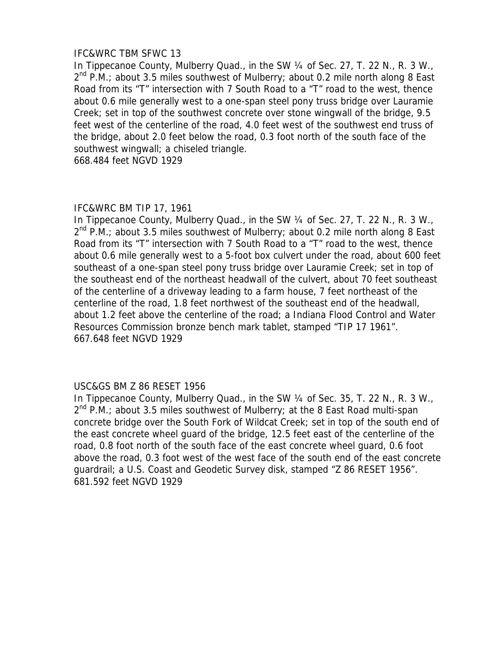### IFC&WRC TBM SFWC 13

In Tippecanoe County, Mulberry Quad., in the SW 1/4 of Sec. 27, T. 22 N., R. 3 W.,  $2^{nd}$  P.M.; about 3.5 miles southwest of Mulberry; about 0.2 mile north along 8 East Road from its "T" intersection with 7 South Road to a "T" road to the west, thence about 0.6 mile generally west to a one-span steel pony truss bridge over Lauramie Creek; set in top of the southwest concrete over stone wingwall of the bridge, 9.5 feet west of the centerline of the road, 4.0 feet west of the southwest end truss of the bridge, about 2.0 feet below the road, 0.3 foot north of the south face of the southwest wingwall; a chiseled triangle.

668.484 feet NGVD 1929

#### IFC&WRC BM TIP 17, 1961

In Tippecanoe County, Mulberry Quad., in the SW 1/4 of Sec. 27, T. 22 N., R. 3 W., 2<sup>nd</sup> P.M.; about 3.5 miles southwest of Mulberry; about 0.2 mile north along 8 East Road from its "T" intersection with 7 South Road to a "T" road to the west, thence about 0.6 mile generally west to a 5-foot box culvert under the road, about 600 feet southeast of a one-span steel pony truss bridge over Lauramie Creek; set in top of the southeast end of the northeast headwall of the culvert, about 70 feet southeast of the centerline of a driveway leading to a farm house, 7 feet northeast of the centerline of the road, 1.8 feet northwest of the southeast end of the headwall, about 1.2 feet above the centerline of the road; a Indiana Flood Control and Water Resources Commission bronze bench mark tablet, stamped "TIP 17 1961". 667.648 feet NGVD 1929

# USC&GS BM Z 86 RESET 1956

In Tippecanoe County, Mulberry Quad., in the SW 1/4 of Sec. 35, T. 22 N., R. 3 W.,  $2^{nd}$  P.M.; about 3.5 miles southwest of Mulberry; at the 8 East Road multi-span concrete bridge over the South Fork of Wildcat Creek; set in top of the south end of the east concrete wheel guard of the bridge, 12.5 feet east of the centerline of the road, 0.8 foot north of the south face of the east concrete wheel guard, 0.6 foot above the road, 0.3 foot west of the west face of the south end of the east concrete guardrail; a U.S. Coast and Geodetic Survey disk, stamped "Z 86 RESET 1956". 681.592 feet NGVD 1929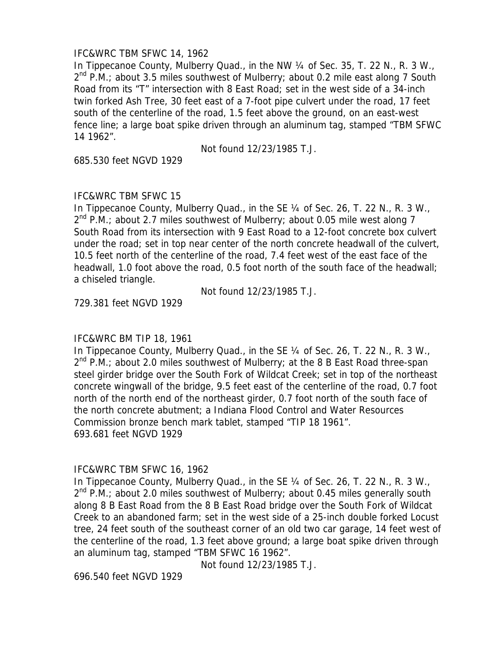### IFC&WRC TBM SFWC 14, 1962

In Tippecanoe County, Mulberry Quad., in the NW 1/4 of Sec. 35, T. 22 N., R. 3 W.,  $2^{nd}$  P.M.; about 3.5 miles southwest of Mulberry; about 0.2 mile east along 7 South Road from its "T" intersection with 8 East Road; set in the west side of a 34-inch twin forked Ash Tree, 30 feet east of a 7-foot pipe culvert under the road, 17 feet south of the centerline of the road, 1.5 feet above the ground, on an east-west fence line; a large boat spike driven through an aluminum tag, stamped "TBM SFWC 14 1962".

Not found 12/23/1985 T.J.

685.530 feet NGVD 1929

# IFC&WRC TBM SFWC 15

In Tippecanoe County, Mulberry Quad., in the SE 1/4 of Sec. 26, T. 22 N., R. 3 W.,  $2^{nd}$  P.M.; about 2.7 miles southwest of Mulberry; about 0.05 mile west along 7 South Road from its intersection with 9 East Road to a 12-foot concrete box culvert under the road; set in top near center of the north concrete headwall of the culvert, 10.5 feet north of the centerline of the road, 7.4 feet west of the east face of the headwall, 1.0 foot above the road, 0.5 foot north of the south face of the headwall; a chiseled triangle.

Not found 12/23/1985 T.J.

729.381 feet NGVD 1929

# IFC&WRC BM TIP 18, 1961

In Tippecanoe County, Mulberry Quad., in the SE 1/4 of Sec. 26, T. 22 N., R. 3 W.,  $2^{nd}$  P.M.; about 2.0 miles southwest of Mulberry; at the 8 B East Road three-span steel girder bridge over the South Fork of Wildcat Creek; set in top of the northeast concrete wingwall of the bridge, 9.5 feet east of the centerline of the road, 0.7 foot north of the north end of the northeast girder, 0.7 foot north of the south face of the north concrete abutment; a Indiana Flood Control and Water Resources Commission bronze bench mark tablet, stamped "TIP 18 1961". 693.681 feet NGVD 1929

#### IFC&WRC TBM SFWC 16, 1962

In Tippecanoe County, Mulberry Quad., in the SE 1/4 of Sec. 26, T. 22 N., R. 3 W.,  $2^{nd}$  P.M.; about 2.0 miles southwest of Mulberry; about 0.45 miles generally south along 8 B East Road from the 8 B East Road bridge over the South Fork of Wildcat Creek to an abandoned farm; set in the west side of a 25-inch double forked Locust tree, 24 feet south of the southeast corner of an old two car garage, 14 feet west of the centerline of the road, 1.3 feet above ground; a large boat spike driven through an aluminum tag, stamped "TBM SFWC 16 1962".

Not found 12/23/1985 T.J.

696.540 feet NGVD 1929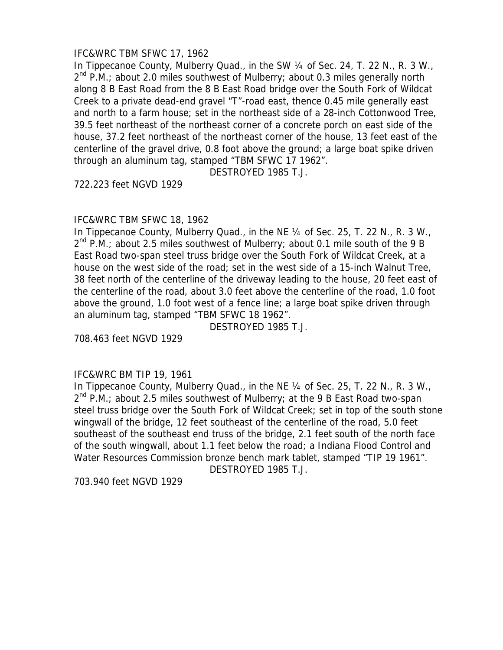### IFC&WRC TBM SFWC 17, 1962

In Tippecanoe County, Mulberry Quad., in the SW 1/4 of Sec. 24, T. 22 N., R. 3 W.,  $2^{nd}$  P.M.; about 2.0 miles southwest of Mulberry; about 0.3 miles generally north along 8 B East Road from the 8 B East Road bridge over the South Fork of Wildcat Creek to a private dead-end gravel "T"-road east, thence 0.45 mile generally east and north to a farm house; set in the northeast side of a 28-inch Cottonwood Tree, 39.5 feet northeast of the northeast corner of a concrete porch on east side of the house, 37.2 feet northeast of the northeast corner of the house, 13 feet east of the centerline of the gravel drive, 0.8 foot above the ground; a large boat spike driven through an aluminum tag, stamped "TBM SFWC 17 1962".

DESTROYED 1985 T.J.

722.223 feet NGVD 1929

#### IFC&WRC TBM SFWC 18, 1962

In Tippecanoe County, Mulberry Quad., in the NE 1/4 of Sec. 25, T. 22 N., R. 3 W.,  $2^{nd}$  P.M.; about 2.5 miles southwest of Mulberry; about 0.1 mile south of the 9 B East Road two-span steel truss bridge over the South Fork of Wildcat Creek, at a house on the west side of the road; set in the west side of a 15-inch Walnut Tree, 38 feet north of the centerline of the driveway leading to the house, 20 feet east of the centerline of the road, about 3.0 feet above the centerline of the road, 1.0 foot above the ground, 1.0 foot west of a fence line; a large boat spike driven through an aluminum tag, stamped "TBM SFWC 18 1962".

DESTROYED 1985 T.J.

708.463 feet NGVD 1929

#### IFC&WRC BM TIP 19, 1961

In Tippecanoe County, Mulberry Quad., in the NE 1/4 of Sec. 25, T. 22 N., R. 3 W.,  $2<sup>nd</sup>$  P.M.; about 2.5 miles southwest of Mulberry; at the 9 B East Road two-span steel truss bridge over the South Fork of Wildcat Creek; set in top of the south stone wingwall of the bridge, 12 feet southeast of the centerline of the road, 5.0 feet southeast of the southeast end truss of the bridge, 2.1 feet south of the north face of the south wingwall, about 1.1 feet below the road; a Indiana Flood Control and Water Resources Commission bronze bench mark tablet, stamped "TIP 19 1961".

DESTROYED 1985 T.J.

703.940 feet NGVD 1929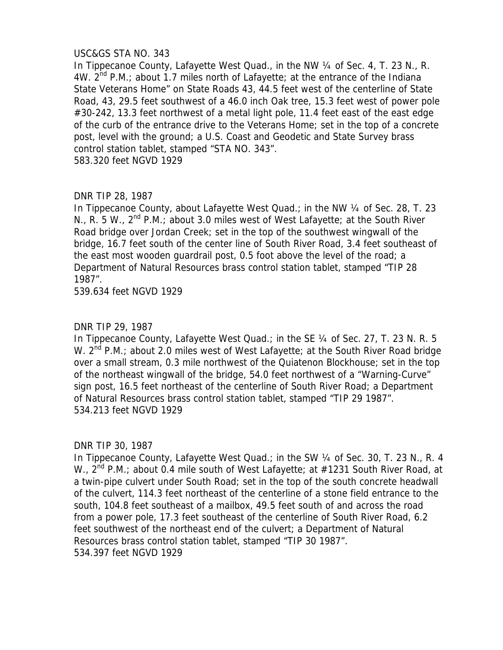# USC&GS STA NO. 343

In Tippecanoe County, Lafayette West Quad., in the NW 1/4 of Sec. 4, T. 23 N., R. 4W.  $2^{nd}$  P.M.; about 1.7 miles north of Lafayette; at the entrance of the Indiana State Veterans Home" on State Roads 43, 44.5 feet west of the centerline of State Road, 43, 29.5 feet southwest of a 46.0 inch Oak tree, 15.3 feet west of power pole #30-242, 13.3 feet northwest of a metal light pole, 11.4 feet east of the east edge of the curb of the entrance drive to the Veterans Home; set in the top of a concrete post, level with the ground; a U.S. Coast and Geodetic and State Survey brass control station tablet, stamped "STA NO. 343". 583.320 feet NGVD 1929

# DNR TIP 28, 1987

In Tippecanoe County, about Lafayette West Quad.; in the NW 1/4 of Sec. 28, T. 23 N., R. 5 W.,  $2^{nd}$  P.M.; about 3.0 miles west of West Lafayette; at the South River Road bridge over Jordan Creek; set in the top of the southwest wingwall of the bridge, 16.7 feet south of the center line of South River Road, 3.4 feet southeast of the east most wooden guardrail post, 0.5 foot above the level of the road; a Department of Natural Resources brass control station tablet, stamped "TIP 28 1987".

539.634 feet NGVD 1929

# DNR TIP 29, 1987

In Tippecanoe County, Lafayette West Quad.; in the SE 1/4 of Sec. 27, T. 23 N. R. 5 W.  $2^{nd}$  P.M.; about 2.0 miles west of West Lafayette; at the South River Road bridge over a small stream, 0.3 mile northwest of the Quiatenon Blockhouse; set in the top of the northeast wingwall of the bridge, 54.0 feet northwest of a "Warning-Curve" sign post, 16.5 feet northeast of the centerline of South River Road; a Department of Natural Resources brass control station tablet, stamped "TIP 29 1987". 534.213 feet NGVD 1929

# DNR TIP 30, 1987

In Tippecanoe County, Lafayette West Quad.; in the SW 1/4 of Sec. 30, T. 23 N., R. 4 W.,  $2^{nd}$  P.M.; about 0.4 mile south of West Lafayette; at  $\#1231$  South River Road, at a twin-pipe culvert under South Road; set in the top of the south concrete headwall of the culvert, 114.3 feet northeast of the centerline of a stone field entrance to the south, 104.8 feet southeast of a mailbox, 49.5 feet south of and across the road from a power pole, 17.3 feet southeast of the centerline of South River Road, 6.2 feet southwest of the northeast end of the culvert; a Department of Natural Resources brass control station tablet, stamped "TIP 30 1987". 534.397 feet NGVD 1929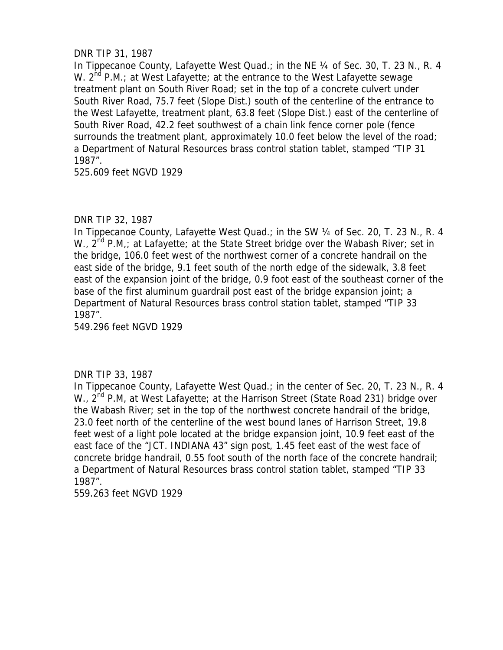# DNR TIP 31, 1987

In Tippecanoe County, Lafayette West Quad.; in the NE 1/4 of Sec. 30, T. 23 N., R. 4 W.  $2^{nd}$  P.M.; at West Lafayette; at the entrance to the West Lafayette sewage treatment plant on South River Road; set in the top of a concrete culvert under South River Road, 75.7 feet (Slope Dist.) south of the centerline of the entrance to the West Lafayette, treatment plant, 63.8 feet (Slope Dist.) east of the centerline of South River Road, 42.2 feet southwest of a chain link fence corner pole (fence surrounds the treatment plant, approximately 10.0 feet below the level of the road; a Department of Natural Resources brass control station tablet, stamped "TIP 31 1987".

525.609 feet NGVD 1929

# DNR TIP 32, 1987

In Tippecanoe County, Lafayette West Quad.; in the SW 1/4 of Sec. 20, T. 23 N., R. 4 W.,  $2^{nd}$  P.M,; at Lafayette; at the State Street bridge over the Wabash River; set in the bridge, 106.0 feet west of the northwest corner of a concrete handrail on the east side of the bridge, 9.1 feet south of the north edge of the sidewalk, 3.8 feet east of the expansion joint of the bridge, 0.9 foot east of the southeast corner of the base of the first aluminum guardrail post east of the bridge expansion joint; a Department of Natural Resources brass control station tablet, stamped "TIP 33 1987".

549.296 feet NGVD 1929

# DNR TIP 33, 1987

In Tippecanoe County, Lafayette West Quad.; in the center of Sec. 20, T. 23 N., R. 4 W., 2<sup>nd</sup> P.M, at West Lafayette; at the Harrison Street (State Road 231) bridge over the Wabash River; set in the top of the northwest concrete handrail of the bridge, 23.0 feet north of the centerline of the west bound lanes of Harrison Street, 19.8 feet west of a light pole located at the bridge expansion joint, 10.9 feet east of the east face of the "JCT. INDIANA 43" sign post, 1.45 feet east of the west face of concrete bridge handrail, 0.55 foot south of the north face of the concrete handrail; a Department of Natural Resources brass control station tablet, stamped "TIP 33 1987".

559.263 feet NGVD 1929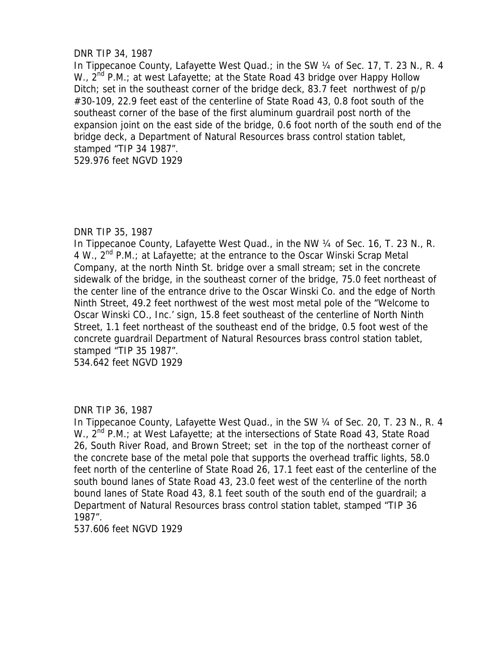# DNR TIP 34, 1987

In Tippecanoe County, Lafayette West Quad.; in the SW 1/4 of Sec. 17, T. 23 N., R. 4 W.,  $2^{nd}$  P.M.; at west Lafayette; at the State Road 43 bridge over Happy Hollow Ditch; set in the southeast corner of the bridge deck, 83.7 feet northwest of p/p #30-109, 22.9 feet east of the centerline of State Road 43, 0.8 foot south of the southeast corner of the base of the first aluminum guardrail post north of the expansion joint on the east side of the bridge, 0.6 foot north of the south end of the bridge deck, a Department of Natural Resources brass control station tablet, stamped "TIP 34 1987".

529.976 feet NGVD 1929

# DNR TIP 35, 1987

In Tippecanoe County, Lafayette West Quad., in the NW 1/4 of Sec. 16, T. 23 N., R. 4 W.,  $2^{nd}$  P.M.; at Lafayette; at the entrance to the Oscar Winski Scrap Metal Company, at the north Ninth St. bridge over a small stream; set in the concrete sidewalk of the bridge, in the southeast corner of the bridge, 75.0 feet northeast of the center line of the entrance drive to the Oscar Winski Co. and the edge of North Ninth Street, 49.2 feet northwest of the west most metal pole of the "Welcome to Oscar Winski CO., Inc.' sign, 15.8 feet southeast of the centerline of North Ninth Street, 1.1 feet northeast of the southeast end of the bridge, 0.5 foot west of the concrete guardrail Department of Natural Resources brass control station tablet, stamped "TIP 35 1987".

534.642 feet NGVD 1929

# DNR TIP 36, 1987

In Tippecanoe County, Lafayette West Quad., in the SW ¼ of Sec. 20, T. 23 N., R. 4 W., 2<sup>nd</sup> P.M.; at West Lafayette; at the intersections of State Road 43, State Road 26, South River Road, and Brown Street; set in the top of the northeast corner of the concrete base of the metal pole that supports the overhead traffic lights, 58.0 feet north of the centerline of State Road 26, 17.1 feet east of the centerline of the south bound lanes of State Road 43, 23.0 feet west of the centerline of the north bound lanes of State Road 43, 8.1 feet south of the south end of the guardrail; a Department of Natural Resources brass control station tablet, stamped "TIP 36 1987".

537.606 feet NGVD 1929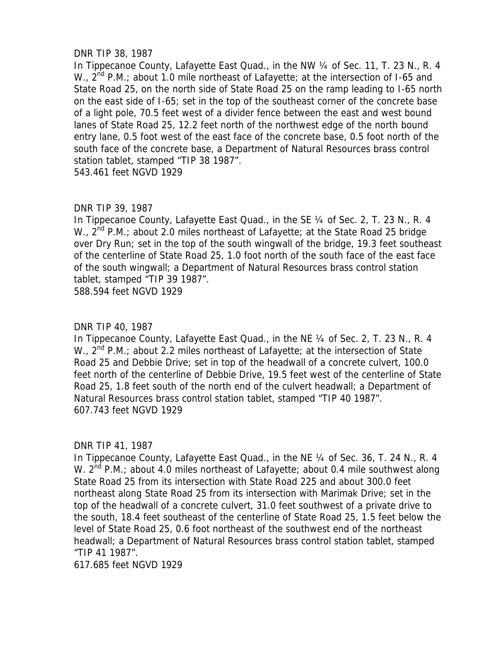# DNR TIP 38, 1987

In Tippecanoe County, Lafayette East Quad., in the NW 1/4 of Sec. 11, T. 23 N., R. 4 W.,  $2^{nd}$  P.M.; about 1.0 mile northeast of Lafayette; at the intersection of I-65 and State Road 25, on the north side of State Road 25 on the ramp leading to I-65 north on the east side of I-65; set in the top of the southeast corner of the concrete base of a light pole, 70.5 feet west of a divider fence between the east and west bound lanes of State Road 25, 12.2 feet north of the northwest edge of the north bound entry lane, 0.5 foot west of the east face of the concrete base, 0.5 foot north of the south face of the concrete base, a Department of Natural Resources brass control station tablet, stamped "TIP 38 1987".

543.461 feet NGVD 1929

# DNR TIP 39, 1987

In Tippecanoe County, Lafayette East Quad., in the SE 1/4 of Sec. 2, T. 23 N., R. 4 W.,  $2^{nd}$  P.M.; about 2.0 miles northeast of Lafayette; at the State Road 25 bridge over Dry Run; set in the top of the south wingwall of the bridge, 19.3 feet southeast of the centerline of State Road 25, 1.0 foot north of the south face of the east face of the south wingwall; a Department of Natural Resources brass control station tablet, stamped "TIP 39 1987". 588.594 feet NGVD 1929

# DNR TIP 40, 1987

In Tippecanoe County, Lafayette East Quad., in the NE ¼ of Sec. 2, T. 23 N., R. 4 W.,  $2^{nd}$  P.M.; about 2.2 miles northeast of Lafayette; at the intersection of State Road 25 and Debbie Drive; set in top of the headwall of a concrete culvert, 100.0 feet north of the centerline of Debbie Drive, 19.5 feet west of the centerline of State Road 25, 1.8 feet south of the north end of the culvert headwall; a Department of Natural Resources brass control station tablet, stamped "TIP 40 1987". 607.743 feet NGVD 1929

# DNR TIP 41, 1987

In Tippecanoe County, Lafayette East Quad., in the NE 1/4 of Sec. 36, T. 24 N., R. 4 W.  $2^{nd}$  P.M.; about 4.0 miles northeast of Lafayette; about 0.4 mile southwest along State Road 25 from its intersection with State Road 225 and about 300.0 feet northeast along State Road 25 from its intersection with Marimak Drive; set in the top of the headwall of a concrete culvert, 31.0 feet southwest of a private drive to the south, 18.4 feet southeast of the centerline of State Road 25, 1.5 feet below the level of State Road 25, 0.6 foot northeast of the southwest end of the northeast headwall; a Department of Natural Resources brass control station tablet, stamped "TIP 41 1987".

617.685 feet NGVD 1929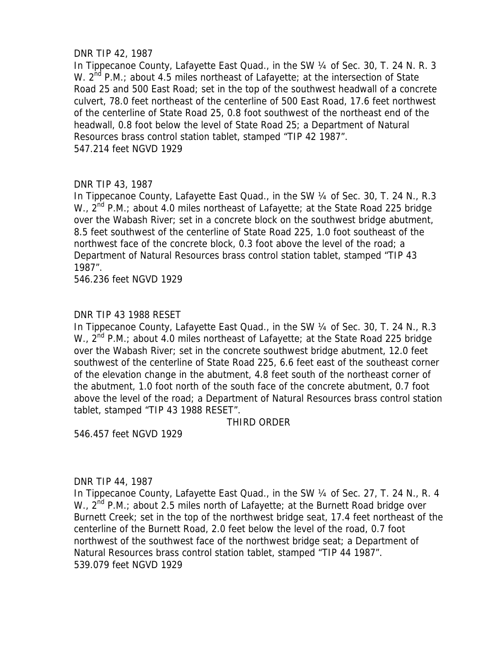# DNR TIP 42, 1987

In Tippecanoe County, Lafayette East Quad., in the SW ¼ of Sec. 30, T. 24 N. R. 3 W.  $2^{nd}$  P.M.; about 4.5 miles northeast of Lafayette; at the intersection of State Road 25 and 500 East Road; set in the top of the southwest headwall of a concrete culvert, 78.0 feet northeast of the centerline of 500 East Road, 17.6 feet northwest of the centerline of State Road 25, 0.8 foot southwest of the northeast end of the headwall, 0.8 foot below the level of State Road 25; a Department of Natural Resources brass control station tablet, stamped "TIP 42 1987". 547.214 feet NGVD 1929

# DNR TIP 43, 1987

In Tippecanoe County, Lafayette East Quad., in the SW ¼ of Sec. 30, T. 24 N., R.3 W., 2<sup>nd</sup> P.M.; about 4.0 miles northeast of Lafayette; at the State Road 225 bridge over the Wabash River; set in a concrete block on the southwest bridge abutment, 8.5 feet southwest of the centerline of State Road 225, 1.0 foot southeast of the northwest face of the concrete block, 0.3 foot above the level of the road; a Department of Natural Resources brass control station tablet, stamped "TIP 43 1987".

546.236 feet NGVD 1929

# DNR TIP 43 1988 RESET

In Tippecanoe County, Lafayette East Quad., in the SW ¼ of Sec. 30, T. 24 N., R.3 W., 2<sup>nd</sup> P.M.; about 4.0 miles northeast of Lafayette; at the State Road 225 bridge over the Wabash River; set in the concrete southwest bridge abutment, 12.0 feet southwest of the centerline of State Road 225, 6.6 feet east of the southeast corner of the elevation change in the abutment, 4.8 feet south of the northeast corner of the abutment, 1.0 foot north of the south face of the concrete abutment, 0.7 foot above the level of the road; a Department of Natural Resources brass control station tablet, stamped "TIP 43 1988 RESET".

THIRD ORDER

546.457 feet NGVD 1929

# DNR TIP 44, 1987

In Tippecanoe County, Lafayette East Quad., in the SW 1/4 of Sec. 27, T. 24 N., R. 4 W., 2<sup>nd</sup> P.M.; about 2.5 miles north of Lafayette; at the Burnett Road bridge over Burnett Creek; set in the top of the northwest bridge seat, 17.4 feet northeast of the centerline of the Burnett Road, 2.0 feet below the level of the road, 0.7 foot northwest of the southwest face of the northwest bridge seat; a Department of Natural Resources brass control station tablet, stamped "TIP 44 1987". 539.079 feet NGVD 1929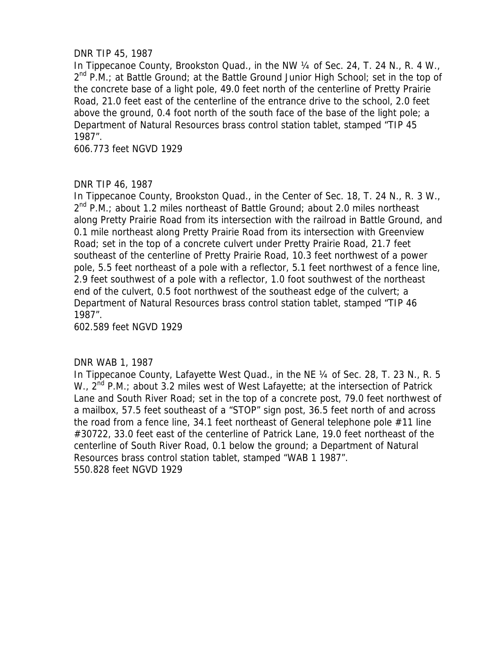# DNR TIP 45, 1987

In Tippecanoe County, Brookston Quad., in the NW 1/4 of Sec. 24, T. 24 N., R. 4 W.,  $2^{nd}$  P.M.; at Battle Ground; at the Battle Ground Junior High School; set in the top of the concrete base of a light pole, 49.0 feet north of the centerline of Pretty Prairie Road, 21.0 feet east of the centerline of the entrance drive to the school, 2.0 feet above the ground, 0.4 foot north of the south face of the base of the light pole; a Department of Natural Resources brass control station tablet, stamped "TIP 45 1987".

606.773 feet NGVD 1929

## DNR TIP 46, 1987

In Tippecanoe County, Brookston Quad., in the Center of Sec. 18, T. 24 N., R. 3 W.,  $2^{nd}$  P.M.; about 1.2 miles northeast of Battle Ground; about 2.0 miles northeast along Pretty Prairie Road from its intersection with the railroad in Battle Ground, and 0.1 mile northeast along Pretty Prairie Road from its intersection with Greenview Road; set in the top of a concrete culvert under Pretty Prairie Road, 21.7 feet southeast of the centerline of Pretty Prairie Road, 10.3 feet northwest of a power pole, 5.5 feet northeast of a pole with a reflector, 5.1 feet northwest of a fence line, 2.9 feet southwest of a pole with a reflector, 1.0 foot southwest of the northeast end of the culvert, 0.5 foot northwest of the southeast edge of the culvert; a Department of Natural Resources brass control station tablet, stamped "TIP 46 1987".

602.589 feet NGVD 1929

### DNR WAB 1, 1987

In Tippecanoe County, Lafayette West Quad., in the NE 1/4 of Sec. 28, T. 23 N., R. 5 W., 2<sup>nd</sup> P.M.; about 3.2 miles west of West Lafayette; at the intersection of Patrick Lane and South River Road; set in the top of a concrete post, 79.0 feet northwest of a mailbox, 57.5 feet southeast of a "STOP" sign post, 36.5 feet north of and across the road from a fence line, 34.1 feet northeast of General telephone pole #11 line #30722, 33.0 feet east of the centerline of Patrick Lane, 19.0 feet northeast of the centerline of South River Road, 0.1 below the ground; a Department of Natural Resources brass control station tablet, stamped "WAB 1 1987". 550.828 feet NGVD 1929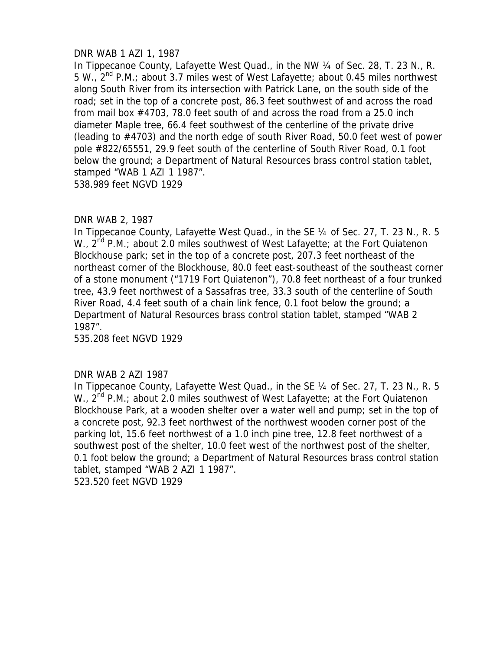# DNR WAB 1 AZI 1, 1987

In Tippecanoe County, Lafayette West Quad., in the NW 1/4 of Sec. 28, T. 23 N., R. 5 W.,  $2^{nd}$  P.M.; about 3.7 miles west of West Lafayette; about 0.45 miles northwest along South River from its intersection with Patrick Lane, on the south side of the road; set in the top of a concrete post, 86.3 feet southwest of and across the road from mail box #4703, 78.0 feet south of and across the road from a 25.0 inch diameter Maple tree, 66.4 feet southwest of the centerline of the private drive (leading to #4703) and the north edge of south River Road, 50.0 feet west of power pole #822/65551, 29.9 feet south of the centerline of South River Road, 0.1 foot below the ground; a Department of Natural Resources brass control station tablet, stamped "WAB 1 AZI 1 1987". 538.989 feet NGVD 1929

## DNR WAB 2, 1987

In Tippecanoe County, Lafayette West Quad., in the SE 1/4 of Sec. 27, T. 23 N., R. 5 W.,  $2^{nd}$  P.M.; about 2.0 miles southwest of West Lafayette; at the Fort Quiatenon Blockhouse park; set in the top of a concrete post, 207.3 feet northeast of the northeast corner of the Blockhouse, 80.0 feet east-southeast of the southeast corner of a stone monument ("1719 Fort Quiatenon"), 70.8 feet northeast of a four trunked tree, 43.9 feet northwest of a Sassafras tree, 33.3 south of the centerline of South River Road, 4.4 feet south of a chain link fence, 0.1 foot below the ground; a Department of Natural Resources brass control station tablet, stamped "WAB 2 1987".

535.208 feet NGVD 1929

### DNR WAB 2 AZI 1987

In Tippecanoe County, Lafayette West Quad., in the SE 1/4 of Sec. 27, T. 23 N., R. 5 W.,  $2^{nd}$  P.M.; about 2.0 miles southwest of West Lafayette; at the Fort Quiatenon Blockhouse Park, at a wooden shelter over a water well and pump; set in the top of a concrete post, 92.3 feet northwest of the northwest wooden corner post of the parking lot, 15.6 feet northwest of a 1.0 inch pine tree, 12.8 feet northwest of a southwest post of the shelter, 10.0 feet west of the northwest post of the shelter, 0.1 foot below the ground; a Department of Natural Resources brass control station tablet, stamped "WAB 2 AZI 1 1987". 523.520 feet NGVD 1929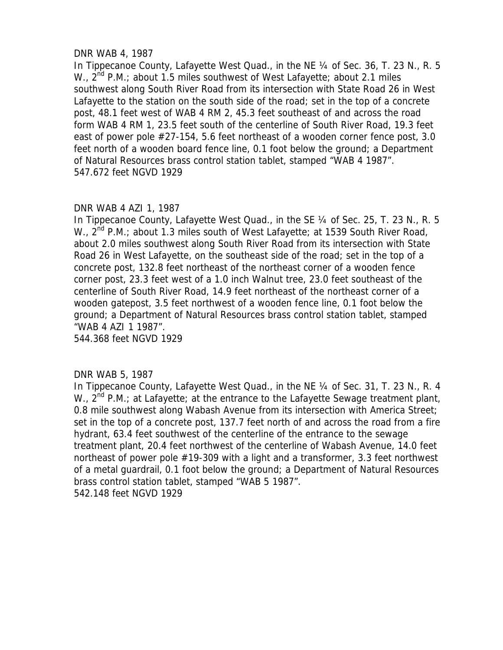# DNR WAB 4, 1987

In Tippecanoe County, Lafayette West Quad., in the NE 1/4 of Sec. 36, T. 23 N., R. 5 W.,  $2^{nd}$  P.M.; about 1.5 miles southwest of West Lafayette; about 2.1 miles southwest along South River Road from its intersection with State Road 26 in West Lafayette to the station on the south side of the road; set in the top of a concrete post, 48.1 feet west of WAB 4 RM 2, 45.3 feet southeast of and across the road form WAB 4 RM 1, 23.5 feet south of the centerline of South River Road, 19.3 feet east of power pole #27-154, 5.6 feet northeast of a wooden corner fence post, 3.0 feet north of a wooden board fence line, 0.1 foot below the ground; a Department of Natural Resources brass control station tablet, stamped "WAB 4 1987". 547.672 feet NGVD 1929

# DNR WAB 4 AZI 1, 1987

In Tippecanoe County, Lafayette West Quad., in the SE 1/4 of Sec. 25, T. 23 N., R. 5 W.,  $2^{nd}$  P.M.; about 1.3 miles south of West Lafayette; at 1539 South River Road, about 2.0 miles southwest along South River Road from its intersection with State Road 26 in West Lafayette, on the southeast side of the road; set in the top of a concrete post, 132.8 feet northeast of the northeast corner of a wooden fence corner post, 23.3 feet west of a 1.0 inch Walnut tree, 23.0 feet southeast of the centerline of South River Road, 14.9 feet northeast of the northeast corner of a wooden gatepost, 3.5 feet northwest of a wooden fence line, 0.1 foot below the ground; a Department of Natural Resources brass control station tablet, stamped "WAB 4 AZI 1 1987".

544.368 feet NGVD 1929

# DNR WAB 5, 1987

In Tippecanoe County, Lafayette West Quad., in the NE 1/4 of Sec. 31, T. 23 N., R. 4 W.,  $2^{nd}$  P.M.; at Lafayette; at the entrance to the Lafayette Sewage treatment plant, 0.8 mile southwest along Wabash Avenue from its intersection with America Street; set in the top of a concrete post, 137.7 feet north of and across the road from a fire hydrant, 63.4 feet southwest of the centerline of the entrance to the sewage treatment plant, 20.4 feet northwest of the centerline of Wabash Avenue, 14.0 feet northeast of power pole #19-309 with a light and a transformer, 3.3 feet northwest of a metal guardrail, 0.1 foot below the ground; a Department of Natural Resources brass control station tablet, stamped "WAB 5 1987". 542.148 feet NGVD 1929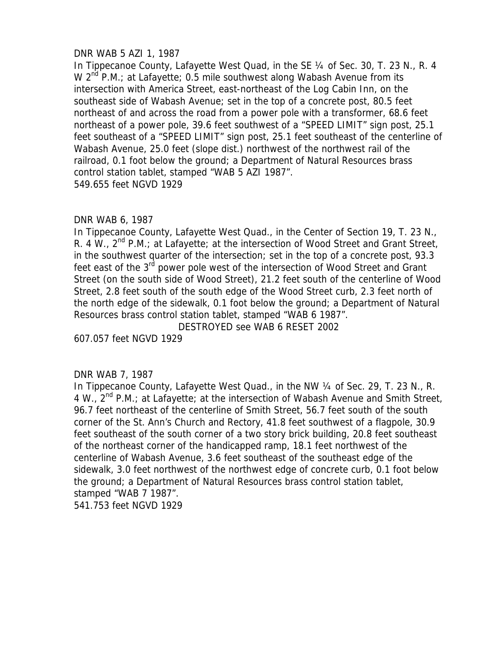# DNR WAB 5 AZI 1, 1987

In Tippecanoe County, Lafayette West Quad, in the SE ¼ of Sec. 30, T. 23 N., R. 4 W  $2^{nd}$  P.M.; at Lafayette; 0.5 mile southwest along Wabash Avenue from its intersection with America Street, east-northeast of the Log Cabin Inn, on the southeast side of Wabash Avenue; set in the top of a concrete post, 80.5 feet northeast of and across the road from a power pole with a transformer, 68.6 feet northeast of a power pole, 39.6 feet southwest of a "SPEED LIMIT" sign post, 25.1 feet southeast of a "SPEED LIMIT" sign post, 25.1 feet southeast of the centerline of Wabash Avenue, 25.0 feet (slope dist.) northwest of the northwest rail of the railroad, 0.1 foot below the ground; a Department of Natural Resources brass control station tablet, stamped "WAB 5 AZI 1987". 549.655 feet NGVD 1929

## DNR WAB 6, 1987

In Tippecanoe County, Lafayette West Quad., in the Center of Section 19, T. 23 N., R. 4 W.,  $2^{nd}$  P.M.; at Lafayette; at the intersection of Wood Street and Grant Street, in the southwest quarter of the intersection; set in the top of a concrete post, 93.3 feet east of the 3<sup>rd</sup> power pole west of the intersection of Wood Street and Grant Street (on the south side of Wood Street), 21.2 feet south of the centerline of Wood Street, 2.8 feet south of the south edge of the Wood Street curb, 2.3 feet north of the north edge of the sidewalk, 0.1 foot below the ground; a Department of Natural Resources brass control station tablet, stamped "WAB 6 1987".

DESTROYED see WAB 6 RESET 2002

607.057 feet NGVD 1929

### DNR WAB 7, 1987

In Tippecanoe County, Lafayette West Quad., in the NW 1/4 of Sec. 29, T. 23 N., R. 4 W., 2nd P.M.; at Lafayette; at the intersection of Wabash Avenue and Smith Street, 96.7 feet northeast of the centerline of Smith Street, 56.7 feet south of the south corner of the St. Ann's Church and Rectory, 41.8 feet southwest of a flagpole, 30.9 feet southeast of the south corner of a two story brick building, 20.8 feet southeast of the northeast corner of the handicapped ramp, 18.1 feet northwest of the centerline of Wabash Avenue, 3.6 feet southeast of the southeast edge of the sidewalk, 3.0 feet northwest of the northwest edge of concrete curb, 0.1 foot below the ground; a Department of Natural Resources brass control station tablet, stamped "WAB 7 1987".

541.753 feet NGVD 1929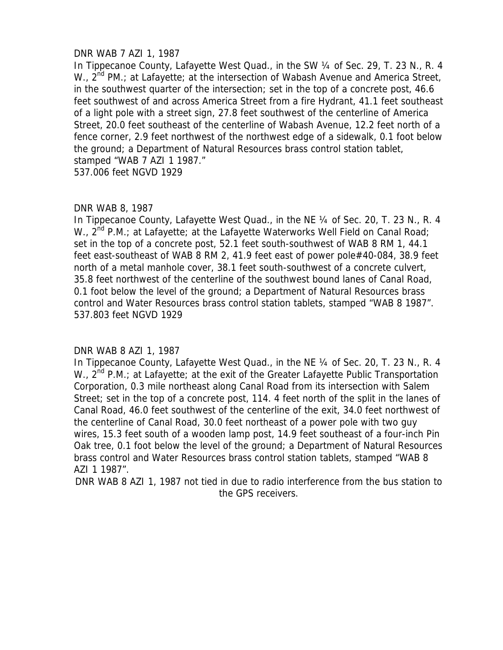# DNR WAB 7 AZI 1, 1987

In Tippecanoe County, Lafayette West Quad., in the SW ¼ of Sec. 29, T. 23 N., R. 4 W.,  $2^{nd}$  PM.; at Lafayette; at the intersection of Wabash Avenue and America Street, in the southwest quarter of the intersection; set in the top of a concrete post, 46.6 feet southwest of and across America Street from a fire Hydrant, 41.1 feet southeast of a light pole with a street sign, 27.8 feet southwest of the centerline of America Street, 20.0 feet southeast of the centerline of Wabash Avenue, 12.2 feet north of a fence corner, 2.9 feet northwest of the northwest edge of a sidewalk, 0.1 foot below the ground; a Department of Natural Resources brass control station tablet, stamped "WAB 7 AZI 1 1987."

537.006 feet NGVD 1929

## DNR WAB 8, 1987

In Tippecanoe County, Lafayette West Quad., in the NE 1/4 of Sec. 20, T. 23 N., R. 4 W.,  $2^{nd}$  P.M.; at Lafayette; at the Lafayette Waterworks Well Field on Canal Road; set in the top of a concrete post, 52.1 feet south-southwest of WAB 8 RM 1, 44.1 feet east-southeast of WAB 8 RM 2, 41.9 feet east of power pole#40-084, 38.9 feet north of a metal manhole cover, 38.1 feet south-southwest of a concrete culvert, 35.8 feet northwest of the centerline of the southwest bound lanes of Canal Road, 0.1 foot below the level of the ground; a Department of Natural Resources brass control and Water Resources brass control station tablets, stamped "WAB 8 1987". 537.803 feet NGVD 1929

# DNR WAB 8 AZI 1, 1987

In Tippecanoe County, Lafayette West Quad., in the NE 1/4 of Sec. 20, T. 23 N., R. 4 W.,  $2^{nd}$  P.M.; at Lafayette; at the exit of the Greater Lafayette Public Transportation Corporation, 0.3 mile northeast along Canal Road from its intersection with Salem Street; set in the top of a concrete post, 114. 4 feet north of the split in the lanes of Canal Road, 46.0 feet southwest of the centerline of the exit, 34.0 feet northwest of the centerline of Canal Road, 30.0 feet northeast of a power pole with two guy wires, 15.3 feet south of a wooden lamp post, 14.9 feet southeast of a four-inch Pin Oak tree, 0.1 foot below the level of the ground; a Department of Natural Resources brass control and Water Resources brass control station tablets, stamped "WAB 8 AZI 1 1987".

DNR WAB 8 AZI 1, 1987 not tied in due to radio interference from the bus station to the GPS receivers.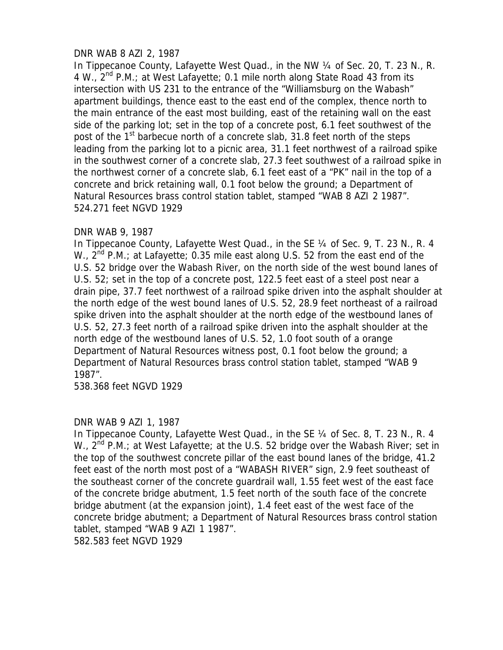# DNR WAB 8 AZI 2, 1987

In Tippecanoe County, Lafayette West Quad., in the NW 1/4 of Sec. 20, T. 23 N., R. 4 W.,  $2^{nd}$  P.M.; at West Lafayette; 0.1 mile north along State Road 43 from its intersection with US 231 to the entrance of the "Williamsburg on the Wabash" apartment buildings, thence east to the east end of the complex, thence north to the main entrance of the east most building, east of the retaining wall on the east side of the parking lot; set in the top of a concrete post, 6.1 feet southwest of the post of the 1<sup>st</sup> barbecue north of a concrete slab, 31.8 feet north of the steps leading from the parking lot to a picnic area, 31.1 feet northwest of a railroad spike in the southwest corner of a concrete slab, 27.3 feet southwest of a railroad spike in the northwest corner of a concrete slab, 6.1 feet east of a "PK" nail in the top of a concrete and brick retaining wall, 0.1 foot below the ground; a Department of Natural Resources brass control station tablet, stamped "WAB 8 AZI 2 1987". 524.271 feet NGVD 1929

# DNR WAB 9, 1987

In Tippecanoe County, Lafayette West Quad., in the SE ¼ of Sec. 9, T. 23 N., R. 4 W.,  $2^{nd}$  P.M.; at Lafayette; 0.35 mile east along U.S. 52 from the east end of the U.S. 52 bridge over the Wabash River, on the north side of the west bound lanes of U.S. 52; set in the top of a concrete post, 122.5 feet east of a steel post near a drain pipe, 37.7 feet northwest of a railroad spike driven into the asphalt shoulder at the north edge of the west bound lanes of U.S. 52, 28.9 feet northeast of a railroad spike driven into the asphalt shoulder at the north edge of the westbound lanes of U.S. 52, 27.3 feet north of a railroad spike driven into the asphalt shoulder at the north edge of the westbound lanes of U.S. 52, 1.0 foot south of a orange Department of Natural Resources witness post, 0.1 foot below the ground; a Department of Natural Resources brass control station tablet, stamped "WAB 9 1987".

538.368 feet NGVD 1929

# DNR WAB 9 AZI 1, 1987

In Tippecanoe County, Lafayette West Quad., in the SE ¼ of Sec. 8, T. 23 N., R. 4 W.,  $2^{nd}$  P.M.; at West Lafayette; at the U.S. 52 bridge over the Wabash River; set in the top of the southwest concrete pillar of the east bound lanes of the bridge, 41.2 feet east of the north most post of a "WABASH RIVER" sign, 2.9 feet southeast of the southeast corner of the concrete guardrail wall, 1.55 feet west of the east face of the concrete bridge abutment, 1.5 feet north of the south face of the concrete bridge abutment (at the expansion joint), 1.4 feet east of the west face of the concrete bridge abutment; a Department of Natural Resources brass control station tablet, stamped "WAB 9 AZI 1 1987". 582.583 feet NGVD 1929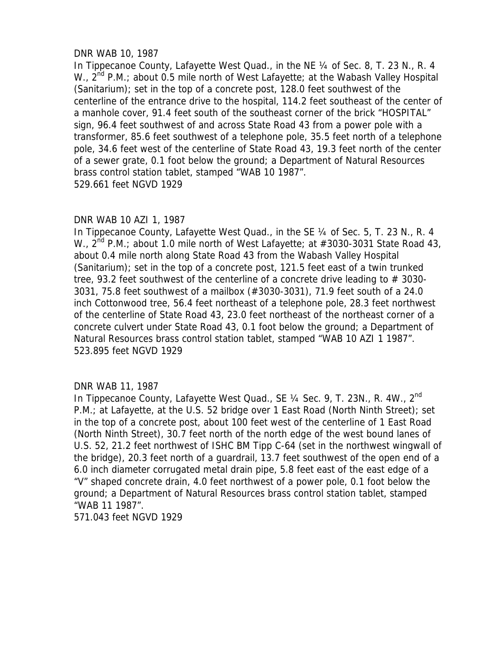# DNR WAB 10, 1987

In Tippecanoe County, Lafayette West Quad., in the NE 1/4 of Sec. 8, T. 23 N., R. 4 W.,  $2^{nd}$  P.M.; about 0.5 mile north of West Lafayette; at the Wabash Valley Hospital (Sanitarium); set in the top of a concrete post, 128.0 feet southwest of the centerline of the entrance drive to the hospital, 114.2 feet southeast of the center of a manhole cover, 91.4 feet south of the southeast corner of the brick "HOSPITAL" sign, 96.4 feet southwest of and across State Road 43 from a power pole with a transformer, 85.6 feet southwest of a telephone pole, 35.5 feet north of a telephone pole, 34.6 feet west of the centerline of State Road 43, 19.3 feet north of the center of a sewer grate, 0.1 foot below the ground; a Department of Natural Resources brass control station tablet, stamped "WAB 10 1987". 529.661 feet NGVD 1929

## DNR WAB 10 AZI 1, 1987

In Tippecanoe County, Lafayette West Quad., in the SE 1/4 of Sec. 5, T. 23 N., R. 4 W.,  $2^{nd}$  P.M.; about 1.0 mile north of West Lafayette; at #3030-3031 State Road 43, about 0.4 mile north along State Road 43 from the Wabash Valley Hospital (Sanitarium); set in the top of a concrete post, 121.5 feet east of a twin trunked tree, 93.2 feet southwest of the centerline of a concrete drive leading to  $#$  3030-3031, 75.8 feet southwest of a mailbox (#3030-3031), 71.9 feet south of a 24.0 inch Cottonwood tree, 56.4 feet northeast of a telephone pole, 28.3 feet northwest of the centerline of State Road 43, 23.0 feet northeast of the northeast corner of a concrete culvert under State Road 43, 0.1 foot below the ground; a Department of Natural Resources brass control station tablet, stamped "WAB 10 AZI 1 1987". 523.895 feet NGVD 1929

# DNR WAB 11, 1987

In Tippecanoe County, Lafayette West Quad., SE 1/4 Sec. 9, T. 23N., R. 4W., 2nd P.M.; at Lafayette, at the U.S. 52 bridge over 1 East Road (North Ninth Street); set in the top of a concrete post, about 100 feet west of the centerline of 1 East Road (North Ninth Street), 30.7 feet north of the north edge of the west bound lanes of U.S. 52, 21.2 feet northwest of ISHC BM Tipp C-64 (set in the northwest wingwall of the bridge), 20.3 feet north of a guardrail, 13.7 feet southwest of the open end of a 6.0 inch diameter corrugated metal drain pipe, 5.8 feet east of the east edge of a "V" shaped concrete drain, 4.0 feet northwest of a power pole, 0.1 foot below the ground; a Department of Natural Resources brass control station tablet, stamped "WAB 11 1987".

571.043 feet NGVD 1929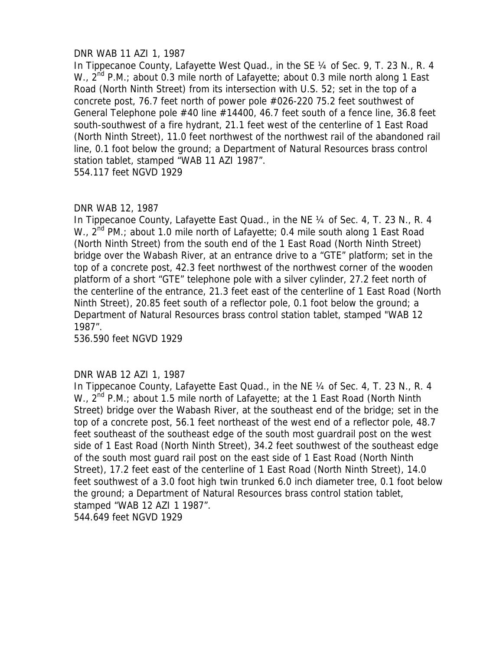# DNR WAB 11 AZI 1, 1987

In Tippecanoe County, Lafayette West Quad., in the SE ¼ of Sec. 9, T. 23 N., R. 4 W.,  $2^{nd}$  P.M.; about 0.3 mile north of Lafayette; about 0.3 mile north along 1 East Road (North Ninth Street) from its intersection with U.S. 52; set in the top of a concrete post, 76.7 feet north of power pole #026-220 75.2 feet southwest of General Telephone pole #40 line #14400, 46.7 feet south of a fence line, 36.8 feet south-southwest of a fire hydrant, 21.1 feet west of the centerline of 1 East Road (North Ninth Street), 11.0 feet northwest of the northwest rail of the abandoned rail line, 0.1 foot below the ground; a Department of Natural Resources brass control station tablet, stamped "WAB 11 AZI 1987".

554.117 feet NGVD 1929

# DNR WAB 12, 1987

In Tippecanoe County, Lafayette East Quad., in the NE ¼ of Sec. 4, T. 23 N., R. 4 W.,  $2^{nd}$  PM.; about 1.0 mile north of Lafayette; 0.4 mile south along 1 East Road (North Ninth Street) from the south end of the 1 East Road (North Ninth Street) bridge over the Wabash River, at an entrance drive to a "GTE" platform; set in the top of a concrete post, 42.3 feet northwest of the northwest corner of the wooden platform of a short "GTE" telephone pole with a silver cylinder, 27.2 feet north of the centerline of the entrance, 21.3 feet east of the centerline of 1 East Road (North Ninth Street), 20.85 feet south of a reflector pole, 0.1 foot below the ground; a Department of Natural Resources brass control station tablet, stamped "WAB 12 1987".

536.590 feet NGVD 1929

# DNR WAB 12 AZI 1, 1987

In Tippecanoe County, Lafayette East Quad., in the NE 1/4 of Sec. 4, T. 23 N., R. 4 W.,  $2^{nd}$  P.M.; about 1.5 mile north of Lafayette; at the 1 East Road (North Ninth) Street) bridge over the Wabash River, at the southeast end of the bridge; set in the top of a concrete post, 56.1 feet northeast of the west end of a reflector pole, 48.7 feet southeast of the southeast edge of the south most guardrail post on the west side of 1 East Road (North Ninth Street), 34.2 feet southwest of the southeast edge of the south most guard rail post on the east side of 1 East Road (North Ninth Street), 17.2 feet east of the centerline of 1 East Road (North Ninth Street), 14.0 feet southwest of a 3.0 foot high twin trunked 6.0 inch diameter tree, 0.1 foot below the ground; a Department of Natural Resources brass control station tablet, stamped "WAB 12 AZI 1 1987".

544.649 feet NGVD 1929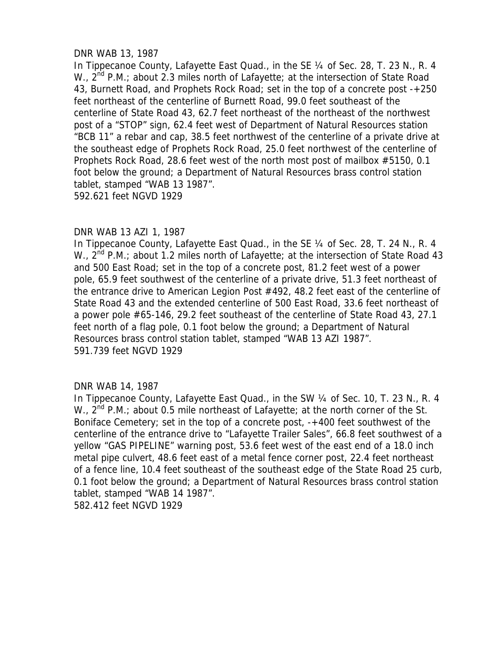# DNR WAB 13, 1987

In Tippecanoe County, Lafayette East Quad., in the SE 1/4 of Sec. 28, T. 23 N., R. 4 W.,  $2^{nd}$  P.M.; about 2.3 miles north of Lafayette; at the intersection of State Road 43, Burnett Road, and Prophets Rock Road; set in the top of a concrete post -+250 feet northeast of the centerline of Burnett Road, 99.0 feet southeast of the centerline of State Road 43, 62.7 feet northeast of the northeast of the northwest post of a "STOP" sign, 62.4 feet west of Department of Natural Resources station "BCB 11" a rebar and cap, 38.5 feet northwest of the centerline of a private drive at the southeast edge of Prophets Rock Road, 25.0 feet northwest of the centerline of Prophets Rock Road, 28.6 feet west of the north most post of mailbox #5150, 0.1 foot below the ground; a Department of Natural Resources brass control station tablet, stamped "WAB 13 1987". 592.621 feet NGVD 1929

## DNR WAB 13 AZI 1, 1987

In Tippecanoe County, Lafayette East Quad., in the SE ¼ of Sec. 28, T. 24 N., R. 4 W.,  $2^{nd}$  P.M.; about 1.2 miles north of Lafayette; at the intersection of State Road 43 and 500 East Road; set in the top of a concrete post, 81.2 feet west of a power pole, 65.9 feet southwest of the centerline of a private drive, 51.3 feet northeast of the entrance drive to American Legion Post #492, 48.2 feet east of the centerline of State Road 43 and the extended centerline of 500 East Road, 33.6 feet northeast of a power pole #65-146, 29.2 feet southeast of the centerline of State Road 43, 27.1 feet north of a flag pole, 0.1 foot below the ground; a Department of Natural Resources brass control station tablet, stamped "WAB 13 AZI 1987". 591.739 feet NGVD 1929

### DNR WAB 14, 1987

In Tippecanoe County, Lafayette East Quad., in the SW 1/4 of Sec. 10, T. 23 N., R. 4 W.,  $2^{nd}$  P.M.; about 0.5 mile northeast of Lafayette; at the north corner of the St. Boniface Cemetery; set in the top of a concrete post, -+400 feet southwest of the centerline of the entrance drive to "Lafayette Trailer Sales", 66.8 feet southwest of a yellow "GAS PIPELINE" warning post, 53.6 feet west of the east end of a 18.0 inch metal pipe culvert, 48.6 feet east of a metal fence corner post, 22.4 feet northeast of a fence line, 10.4 feet southeast of the southeast edge of the State Road 25 curb, 0.1 foot below the ground; a Department of Natural Resources brass control station tablet, stamped "WAB 14 1987". 582.412 feet NGVD 1929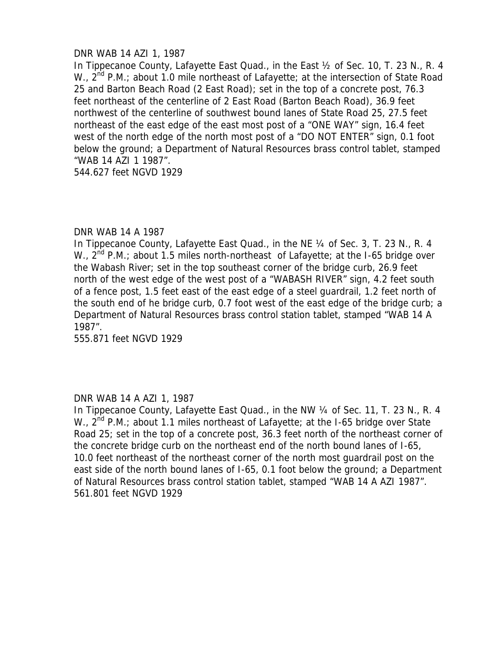# DNR WAB 14 AZI 1, 1987

In Tippecanoe County, Lafayette East Quad., in the East ½ of Sec. 10, T. 23 N., R. 4 W.,  $2^{nd}$  P.M.; about 1.0 mile northeast of Lafayette; at the intersection of State Road 25 and Barton Beach Road (2 East Road); set in the top of a concrete post, 76.3 feet northeast of the centerline of 2 East Road (Barton Beach Road), 36.9 feet northwest of the centerline of southwest bound lanes of State Road 25, 27.5 feet northeast of the east edge of the east most post of a "ONE WAY" sign, 16.4 feet west of the north edge of the north most post of a "DO NOT ENTER" sign, 0.1 foot below the ground; a Department of Natural Resources brass control tablet, stamped "WAB 14 AZI 1 1987".

544.627 feet NGVD 1929

### DNR WAB 14 A 1987

In Tippecanoe County, Lafayette East Quad., in the NE 1/4 of Sec. 3, T. 23 N., R. 4 W.,  $2^{nd}$  P.M.; about 1.5 miles north-northeast of Lafayette; at the I-65 bridge over the Wabash River; set in the top southeast corner of the bridge curb, 26.9 feet north of the west edge of the west post of a "WABASH RIVER" sign, 4.2 feet south of a fence post, 1.5 feet east of the east edge of a steel guardrail, 1.2 feet north of the south end of he bridge curb, 0.7 foot west of the east edge of the bridge curb; a Department of Natural Resources brass control station tablet, stamped "WAB 14 A 1987".

555.871 feet NGVD 1929

### DNR WAB 14 A AZI 1, 1987

In Tippecanoe County, Lafayette East Quad., in the NW 1/4 of Sec. 11, T. 23 N., R. 4 W.,  $2^{nd}$  P.M.; about 1.1 miles northeast of Lafayette; at the I-65 bridge over State Road 25; set in the top of a concrete post, 36.3 feet north of the northeast corner of the concrete bridge curb on the northeast end of the north bound lanes of I-65, 10.0 feet northeast of the northeast corner of the north most guardrail post on the east side of the north bound lanes of I-65, 0.1 foot below the ground; a Department of Natural Resources brass control station tablet, stamped "WAB 14 A AZI 1987". 561.801 feet NGVD 1929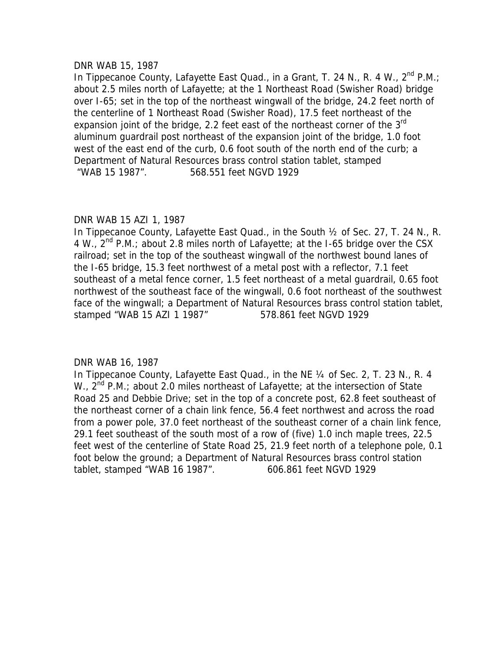### DNR WAB 15, 1987

In Tippecanoe County, Lafayette East Quad., in a Grant, T. 24 N., R. 4 W.,  $2^{nd}$  P.M.; about 2.5 miles north of Lafayette; at the 1 Northeast Road (Swisher Road) bridge over I-65; set in the top of the northeast wingwall of the bridge, 24.2 feet north of the centerline of 1 Northeast Road (Swisher Road), 17.5 feet northeast of the expansion joint of the bridge, 2.2 feet east of the northeast corner of the  $3<sup>rd</sup>$ aluminum guardrail post northeast of the expansion joint of the bridge, 1.0 foot west of the east end of the curb, 0.6 foot south of the north end of the curb; a Department of Natural Resources brass control station tablet, stamped "WAB 15 1987". 568.551 feet NGVD 1929

# DNR WAB 15 AZI 1, 1987

In Tippecanoe County, Lafayette East Quad., in the South ½ of Sec. 27, T. 24 N., R. 4 W.,  $2^{nd}$  P.M.; about 2.8 miles north of Lafayette; at the I-65 bridge over the CSX railroad; set in the top of the southeast wingwall of the northwest bound lanes of the I-65 bridge, 15.3 feet northwest of a metal post with a reflector, 7.1 feet southeast of a metal fence corner, 1.5 feet northeast of a metal guardrail, 0.65 foot northwest of the southeast face of the wingwall, 0.6 foot northeast of the southwest face of the wingwall; a Department of Natural Resources brass control station tablet, stamped "WAB 15 AZI 1 1987" 578.861 feet NGVD 1929

# DNR WAB 16, 1987

In Tippecanoe County, Lafayette East Quad., in the NE ¼ of Sec. 2, T. 23 N., R. 4 W.,  $2^{nd}$  P.M.; about 2.0 miles northeast of Lafayette; at the intersection of State Road 25 and Debbie Drive; set in the top of a concrete post, 62.8 feet southeast of the northeast corner of a chain link fence, 56.4 feet northwest and across the road from a power pole, 37.0 feet northeast of the southeast corner of a chain link fence, 29.1 feet southeast of the south most of a row of (five) 1.0 inch maple trees, 22.5 feet west of the centerline of State Road 25, 21.9 feet north of a telephone pole, 0.1 foot below the ground; a Department of Natural Resources brass control station tablet, stamped "WAB 16 1987". 606.861 feet NGVD 1929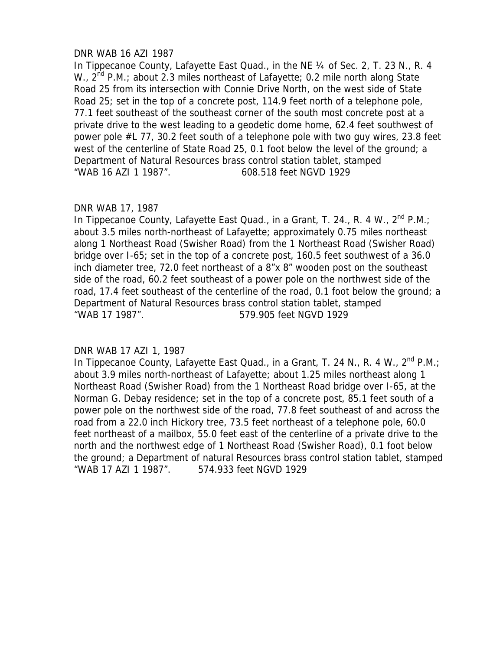# DNR WAB 16 AZI 1987

In Tippecanoe County, Lafayette East Quad., in the NE ¼ of Sec. 2, T. 23 N., R. 4 W.,  $2^{nd}$  P.M.; about 2.3 miles northeast of Lafayette; 0.2 mile north along State Road 25 from its intersection with Connie Drive North, on the west side of State Road 25; set in the top of a concrete post, 114.9 feet north of a telephone pole, 77.1 feet southeast of the southeast corner of the south most concrete post at a private drive to the west leading to a geodetic dome home, 62.4 feet southwest of power pole #L 77, 30.2 feet south of a telephone pole with two guy wires, 23.8 feet west of the centerline of State Road 25, 0.1 foot below the level of the ground; a Department of Natural Resources brass control station tablet, stamped "WAB 16 AZI 1 1987". 608.518 feet NGVD 1929

## DNR WAB 17, 1987

In Tippecanoe County, Lafayette East Quad., in a Grant, T. 24., R. 4 W.,  $2^{nd}$  P.M.; about 3.5 miles north-northeast of Lafayette; approximately 0.75 miles northeast along 1 Northeast Road (Swisher Road) from the 1 Northeast Road (Swisher Road) bridge over I-65; set in the top of a concrete post, 160.5 feet southwest of a 36.0 inch diameter tree, 72.0 feet northeast of a 8"x 8" wooden post on the southeast side of the road, 60.2 feet southeast of a power pole on the northwest side of the road, 17.4 feet southeast of the centerline of the road, 0.1 foot below the ground; a Department of Natural Resources brass control station tablet, stamped "WAB 17 1987". 579.905 feet NGVD 1929

# DNR WAB 17 AZI 1, 1987

In Tippecanoe County, Lafayette East Quad., in a Grant, T. 24 N., R. 4 W., 2<sup>nd</sup> P.M.; about 3.9 miles north-northeast of Lafayette; about 1.25 miles northeast along 1 Northeast Road (Swisher Road) from the 1 Northeast Road bridge over I-65, at the Norman G. Debay residence; set in the top of a concrete post, 85.1 feet south of a power pole on the northwest side of the road, 77.8 feet southeast of and across the road from a 22.0 inch Hickory tree, 73.5 feet northeast of a telephone pole, 60.0 feet northeast of a mailbox, 55.0 feet east of the centerline of a private drive to the north and the northwest edge of 1 Northeast Road (Swisher Road), 0.1 foot below the ground; a Department of natural Resources brass control station tablet, stamped "WAB 17 AZI 1 1987". 574.933 feet NGVD 1929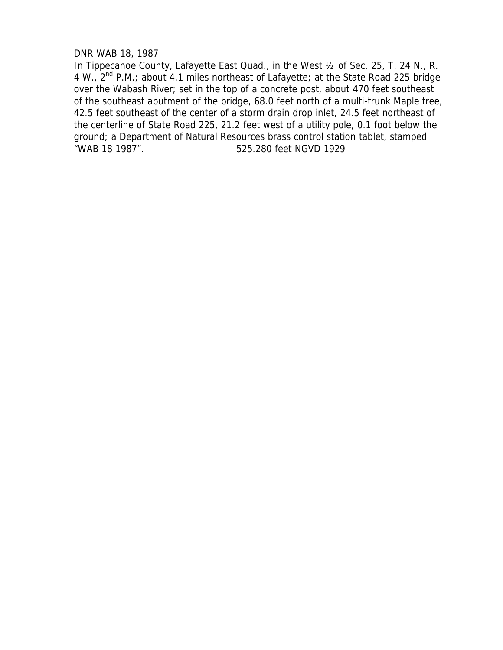# DNR WAB 18, 1987

In Tippecanoe County, Lafayette East Quad., in the West ½ of Sec. 25, T. 24 N., R. 4 W., 2nd P.M.; about 4.1 miles northeast of Lafayette; at the State Road 225 bridge over the Wabash River; set in the top of a concrete post, about 470 feet southeast of the southeast abutment of the bridge, 68.0 feet north of a multi-trunk Maple tree, 42.5 feet southeast of the center of a storm drain drop inlet, 24.5 feet northeast of the centerline of State Road 225, 21.2 feet west of a utility pole, 0.1 foot below the ground; a Department of Natural Resources brass control station tablet, stamped "WAB 18 1987". 525.280 feet NGVD 1929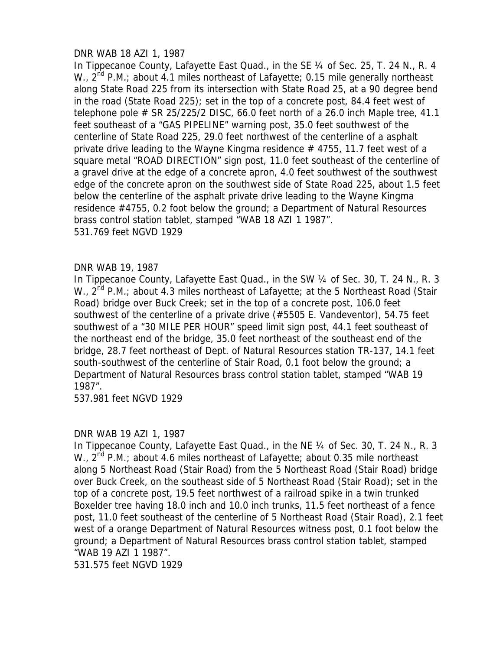# DNR WAB 18 AZI 1, 1987

In Tippecanoe County, Lafayette East Quad., in the SE 1/4 of Sec. 25, T. 24 N., R. 4 W.,  $2^{nd}$  P.M.; about 4.1 miles northeast of Lafayette; 0.15 mile generally northeast along State Road 225 from its intersection with State Road 25, at a 90 degree bend in the road (State Road 225); set in the top of a concrete post, 84.4 feet west of telephone pole  $\#$  SR 25/225/2 DISC, 66.0 feet north of a 26.0 inch Maple tree, 41.1 feet southeast of a "GAS PIPELINE" warning post, 35.0 feet southwest of the centerline of State Road 225, 29.0 feet northwest of the centerline of a asphalt private drive leading to the Wayne Kingma residence  $#$  4755, 11.7 feet west of a square metal "ROAD DIRECTION" sign post, 11.0 feet southeast of the centerline of a gravel drive at the edge of a concrete apron, 4.0 feet southwest of the southwest edge of the concrete apron on the southwest side of State Road 225, about 1.5 feet below the centerline of the asphalt private drive leading to the Wayne Kingma residence #4755, 0.2 foot below the ground; a Department of Natural Resources brass control station tablet, stamped "WAB 18 AZI 1 1987". 531.769 feet NGVD 1929

# DNR WAB 19, 1987

In Tippecanoe County, Lafayette East Quad., in the SW 1/4 of Sec. 30, T. 24 N., R. 3 W.,  $2^{nd}$  P.M.; about 4.3 miles northeast of Lafayette; at the 5 Northeast Road (Stair Road) bridge over Buck Creek; set in the top of a concrete post, 106.0 feet southwest of the centerline of a private drive (#5505 E. Vandeventor), 54.75 feet southwest of a "30 MILE PER HOUR" speed limit sign post, 44.1 feet southeast of the northeast end of the bridge, 35.0 feet northeast of the southeast end of the bridge, 28.7 feet northeast of Dept. of Natural Resources station TR-137, 14.1 feet south-southwest of the centerline of Stair Road, 0.1 foot below the ground; a Department of Natural Resources brass control station tablet, stamped "WAB 19 1987".

537.981 feet NGVD 1929

### DNR WAB 19 AZI 1, 1987

In Tippecanoe County, Lafayette East Quad., in the NE 1/4 of Sec. 30, T. 24 N., R. 3 W.,  $2^{nd}$  P.M.; about 4.6 miles northeast of Lafayette; about 0.35 mile northeast along 5 Northeast Road (Stair Road) from the 5 Northeast Road (Stair Road) bridge over Buck Creek, on the southeast side of 5 Northeast Road (Stair Road); set in the top of a concrete post, 19.5 feet northwest of a railroad spike in a twin trunked Boxelder tree having 18.0 inch and 10.0 inch trunks, 11.5 feet northeast of a fence post, 11.0 feet southeast of the centerline of 5 Northeast Road (Stair Road), 2.1 feet west of a orange Department of Natural Resources witness post, 0.1 foot below the ground; a Department of Natural Resources brass control station tablet, stamped "WAB 19 AZI 1 1987".

531.575 feet NGVD 1929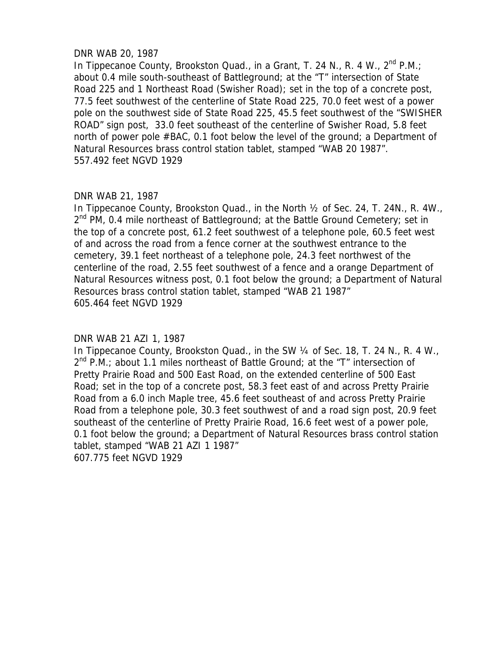# DNR WAB 20, 1987

In Tippecanoe County, Brookston Quad., in a Grant, T. 24 N., R. 4 W.,  $2^{nd}$  P.M.; about 0.4 mile south-southeast of Battleground; at the "T" intersection of State Road 225 and 1 Northeast Road (Swisher Road); set in the top of a concrete post, 77.5 feet southwest of the centerline of State Road 225, 70.0 feet west of a power pole on the southwest side of State Road 225, 45.5 feet southwest of the "SWISHER ROAD" sign post, 33.0 feet southeast of the centerline of Swisher Road, 5.8 feet north of power pole #BAC, 0.1 foot below the level of the ground; a Department of Natural Resources brass control station tablet, stamped "WAB 20 1987". 557.492 feet NGVD 1929

## DNR WAB 21, 1987

In Tippecanoe County, Brookston Quad., in the North ½ of Sec. 24, T. 24N., R. 4W.,  $2^{nd}$  PM, 0.4 mile northeast of Battleground; at the Battle Ground Cemetery; set in the top of a concrete post, 61.2 feet southwest of a telephone pole, 60.5 feet west of and across the road from a fence corner at the southwest entrance to the cemetery, 39.1 feet northeast of a telephone pole, 24.3 feet northwest of the centerline of the road, 2.55 feet southwest of a fence and a orange Department of Natural Resources witness post, 0.1 foot below the ground; a Department of Natural Resources brass control station tablet, stamped "WAB 21 1987" 605.464 feet NGVD 1929

# DNR WAB 21 AZI 1, 1987

In Tippecanoe County, Brookston Quad., in the SW 1/4 of Sec. 18, T. 24 N., R. 4 W.,  $2^{nd}$  P.M.; about 1.1 miles northeast of Battle Ground; at the "T" intersection of Pretty Prairie Road and 500 East Road, on the extended centerline of 500 East Road; set in the top of a concrete post, 58.3 feet east of and across Pretty Prairie Road from a 6.0 inch Maple tree, 45.6 feet southeast of and across Pretty Prairie Road from a telephone pole, 30.3 feet southwest of and a road sign post, 20.9 feet southeast of the centerline of Pretty Prairie Road, 16.6 feet west of a power pole, 0.1 foot below the ground; a Department of Natural Resources brass control station tablet, stamped "WAB 21 AZI 1 1987" 607.775 feet NGVD 1929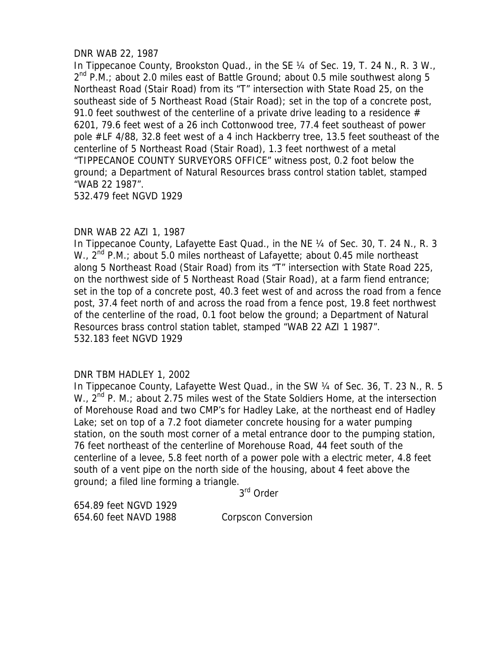# DNR WAB 22, 1987

In Tippecanoe County, Brookston Quad., in the SE 1/4 of Sec. 19, T. 24 N., R. 3 W.,  $2^{nd}$  P.M.; about 2.0 miles east of Battle Ground; about 0.5 mile southwest along 5 Northeast Road (Stair Road) from its "T" intersection with State Road 25, on the southeast side of 5 Northeast Road (Stair Road); set in the top of a concrete post, 91.0 feet southwest of the centerline of a private drive leading to a residence  $#$ 6201, 79.6 feet west of a 26 inch Cottonwood tree, 77.4 feet southeast of power pole #LF 4/88, 32.8 feet west of a 4 inch Hackberry tree, 13.5 feet southeast of the centerline of 5 Northeast Road (Stair Road), 1.3 feet northwest of a metal "TIPPECANOE COUNTY SURVEYORS OFFICE" witness post, 0.2 foot below the ground; a Department of Natural Resources brass control station tablet, stamped "WAB 22 1987".

532.479 feet NGVD 1929

# DNR WAB 22 AZI 1, 1987

In Tippecanoe County, Lafayette East Quad., in the NE 1/4 of Sec. 30, T. 24 N., R. 3 W.,  $2^{nd}$  P.M.; about 5.0 miles northeast of Lafayette; about 0.45 mile northeast along 5 Northeast Road (Stair Road) from its "T" intersection with State Road 225, on the northwest side of 5 Northeast Road (Stair Road), at a farm fiend entrance; set in the top of a concrete post, 40.3 feet west of and across the road from a fence post, 37.4 feet north of and across the road from a fence post, 19.8 feet northwest of the centerline of the road, 0.1 foot below the ground; a Department of Natural Resources brass control station tablet, stamped "WAB 22 AZI 1 1987". 532.183 feet NGVD 1929

# DNR TBM HADLEY 1, 2002

In Tippecanoe County, Lafayette West Quad., in the SW ¼ of Sec. 36, T. 23 N., R. 5 W.,  $2^{nd}$  P. M.; about 2.75 miles west of the State Soldiers Home, at the intersection of Morehouse Road and two CMP's for Hadley Lake, at the northeast end of Hadley Lake; set on top of a 7.2 foot diameter concrete housing for a water pumping station, on the south most corner of a metal entrance door to the pumping station, 76 feet northeast of the centerline of Morehouse Road, 44 feet south of the centerline of a levee, 5.8 feet north of a power pole with a electric meter, 4.8 feet south of a vent pipe on the north side of the housing, about 4 feet above the ground; a filed line forming a triangle.

3rd Order

654.89 feet NGVD 1929 654.60 feet NAVD 1988 Corpscon Conversion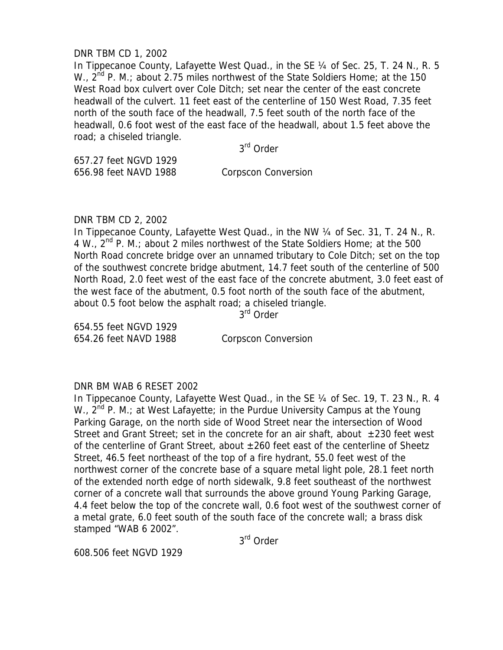## DNR TBM CD 1, 2002

In Tippecanoe County, Lafayette West Quad., in the SE 1/4 of Sec. 25, T. 24 N., R. 5 W.,  $2^{nd}$  P. M.; about 2.75 miles northwest of the State Soldiers Home; at the 150 West Road box culvert over Cole Ditch; set near the center of the east concrete headwall of the culvert. 11 feet east of the centerline of 150 West Road, 7.35 feet north of the south face of the headwall, 7.5 feet south of the north face of the headwall, 0.6 foot west of the east face of the headwall, about 1.5 feet above the road; a chiseled triangle.

3rd Order

657.27 feet NGVD 1929 656.98 feet NAVD 1988 Corpscon Conversion

DNR TBM CD 2, 2002

In Tippecanoe County, Lafayette West Quad., in the NW 1/4 of Sec. 31, T. 24 N., R. 4 W.,  $2^{nd}$  P. M.; about 2 miles northwest of the State Soldiers Home; at the 500 North Road concrete bridge over an unnamed tributary to Cole Ditch; set on the top of the southwest concrete bridge abutment, 14.7 feet south of the centerline of 500 North Road, 2.0 feet west of the east face of the concrete abutment, 3.0 feet east of the west face of the abutment, 0.5 foot north of the south face of the abutment, about 0.5 foot below the asphalt road; a chiseled triangle.

3rd Order

654.55 feet NGVD 1929 654.26 feet NAVD 1988 Corpscon Conversion

### DNR BM WAB 6 RESET 2002

In Tippecanoe County, Lafayette West Quad., in the SE 1/4 of Sec. 19, T. 23 N., R. 4 W., 2<sup>nd</sup> P. M.; at West Lafayette; in the Purdue University Campus at the Young Parking Garage, on the north side of Wood Street near the intersection of Wood Street and Grant Street; set in the concrete for an air shaft, about  $\pm 230$  feet west of the centerline of Grant Street, about  $\pm 260$  feet east of the centerline of Sheetz Street, 46.5 feet northeast of the top of a fire hydrant, 55.0 feet west of the northwest corner of the concrete base of a square metal light pole, 28.1 feet north of the extended north edge of north sidewalk, 9.8 feet southeast of the northwest corner of a concrete wall that surrounds the above ground Young Parking Garage, 4.4 feet below the top of the concrete wall, 0.6 foot west of the southwest corner of a metal grate, 6.0 feet south of the south face of the concrete wall; a brass disk stamped "WAB 6 2002".

3rd Order

608.506 feet NGVD 1929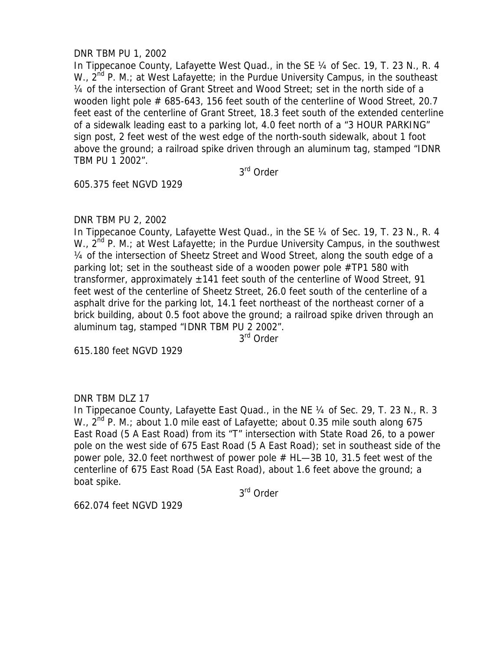# DNR TBM PU 1, 2002

In Tippecanoe County, Lafayette West Quad., in the SE 1/4 of Sec. 19, T. 23 N., R. 4 W.,  $2^{nd}$  P. M.; at West Lafayette; in the Purdue University Campus, in the southeast ¼ of the intersection of Grant Street and Wood Street; set in the north side of a wooden light pole # 685-643, 156 feet south of the centerline of Wood Street, 20.7 feet east of the centerline of Grant Street, 18.3 feet south of the extended centerline of a sidewalk leading east to a parking lot, 4.0 feet north of a "3 HOUR PARKING" sign post, 2 feet west of the west edge of the north-south sidewalk, about 1 foot above the ground; a railroad spike driven through an aluminum tag, stamped "IDNR TBM PU 1 2002".

3rd Order

605.375 feet NGVD 1929

## DNR TBM PU 2, 2002

In Tippecanoe County, Lafayette West Quad., in the SE 1/4 of Sec. 19, T. 23 N., R. 4 W.,  $2^{nd}$  P. M.; at West Lafayette; in the Purdue University Campus, in the southwest ¼ of the intersection of Sheetz Street and Wood Street, along the south edge of a parking lot; set in the southeast side of a wooden power pole #TP1 580 with transformer, approximately  $\pm$ 141 feet south of the centerline of Wood Street, 91 feet west of the centerline of Sheetz Street, 26.0 feet south of the centerline of a asphalt drive for the parking lot, 14.1 feet northeast of the northeast corner of a brick building, about 0.5 foot above the ground; a railroad spike driven through an aluminum tag, stamped "IDNR TBM PU 2 2002".

3<sup>rd</sup> Order

615.180 feet NGVD 1929

# DNR TBM DLZ 17

In Tippecanoe County, Lafayette East Quad., in the NE ¼ of Sec. 29, T. 23 N., R. 3 W.,  $2^{nd}$  P. M.; about 1.0 mile east of Lafayette; about 0.35 mile south along 675 East Road (5 A East Road) from its "T" intersection with State Road 26, to a power pole on the west side of 675 East Road (5 A East Road); set in southeast side of the power pole, 32.0 feet northwest of power pole  $#$  HL—3B 10, 31.5 feet west of the centerline of 675 East Road (5A East Road), about 1.6 feet above the ground; a boat spike.

3rd Order

662.074 feet NGVD 1929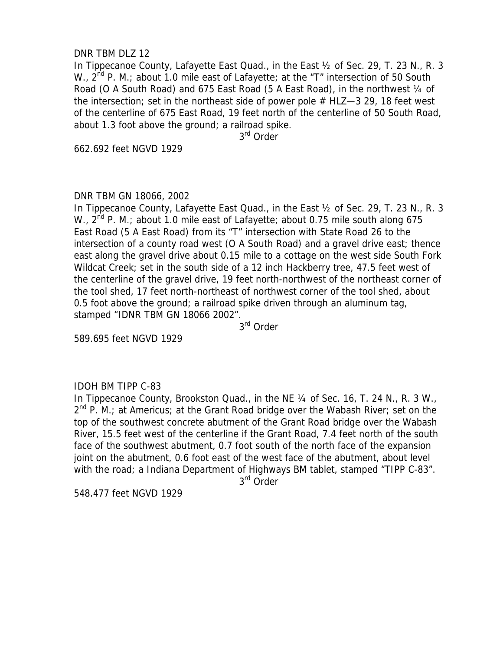## DNR TBM DLZ 12

In Tippecanoe County, Lafayette East Quad., in the East ½ of Sec. 29, T. 23 N., R. 3 W., 2<sup>nd</sup> P. M.; about 1.0 mile east of Lafayette; at the "T" intersection of 50 South Road (O A South Road) and 675 East Road (5 A East Road), in the northwest 1/4 of the intersection; set in the northeast side of power pole  $#$  HLZ $-3$  29, 18 feet west of the centerline of 675 East Road, 19 feet north of the centerline of 50 South Road, about 1.3 foot above the ground; a railroad spike.

3rd Order

662.692 feet NGVD 1929

## DNR TBM GN 18066, 2002

In Tippecanoe County, Lafayette East Quad., in the East ½ of Sec. 29, T. 23 N., R. 3 W.,  $2^{nd}$  P. M.; about 1.0 mile east of Lafayette; about 0.75 mile south along 675 East Road (5 A East Road) from its "T" intersection with State Road 26 to the intersection of a county road west (O A South Road) and a gravel drive east; thence east along the gravel drive about 0.15 mile to a cottage on the west side South Fork Wildcat Creek; set in the south side of a 12 inch Hackberry tree, 47.5 feet west of the centerline of the gravel drive, 19 feet north-northwest of the northeast corner of the tool shed, 17 feet north-northeast of northwest corner of the tool shed, about 0.5 foot above the ground; a railroad spike driven through an aluminum tag, stamped "IDNR TBM GN 18066 2002".

3rd Order

589.695 feet NGVD 1929

# IDOH BM TIPP C-83

In Tippecanoe County, Brookston Quad., in the NE 1/4 of Sec. 16, T. 24 N., R. 3 W.,  $2^{nd}$  P. M.; at Americus; at the Grant Road bridge over the Wabash River; set on the top of the southwest concrete abutment of the Grant Road bridge over the Wabash River, 15.5 feet west of the centerline if the Grant Road, 7.4 feet north of the south face of the southwest abutment, 0.7 foot south of the north face of the expansion joint on the abutment, 0.6 foot east of the west face of the abutment, about level with the road; a Indiana Department of Highways BM tablet, stamped "TIPP C-83".

3rd Order

548.477 feet NGVD 1929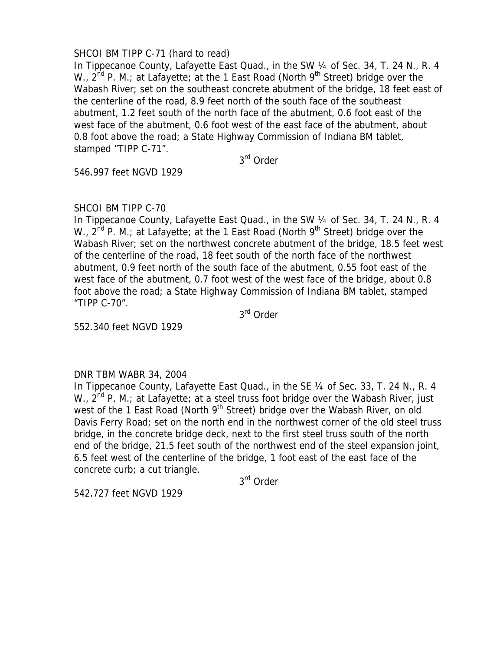# SHCOI BM TIPP C-71 (hard to read)

In Tippecanoe County, Lafayette East Quad., in the SW 1/4 of Sec. 34, T. 24 N., R. 4 W.,  $2^{nd}$  P. M.; at Lafayette; at the 1 East Road (North 9<sup>th</sup> Street) bridge over the Wabash River; set on the southeast concrete abutment of the bridge, 18 feet east of the centerline of the road, 8.9 feet north of the south face of the southeast abutment, 1.2 feet south of the north face of the abutment, 0.6 foot east of the west face of the abutment, 0.6 foot west of the east face of the abutment, about 0.8 foot above the road; a State Highway Commission of Indiana BM tablet, stamped "TIPP C-71".

3rd Order

546.997 feet NGVD 1929

# SHCOI BM TIPP C-70

In Tippecanoe County, Lafayette East Quad., in the SW 1/4 of Sec. 34, T. 24 N., R. 4 W.,  $2^{nd}$  P. M.; at Lafayette; at the 1 East Road (North 9<sup>th</sup> Street) bridge over the Wabash River; set on the northwest concrete abutment of the bridge, 18.5 feet west of the centerline of the road, 18 feet south of the north face of the northwest abutment, 0.9 feet north of the south face of the abutment, 0.55 foot east of the west face of the abutment, 0.7 foot west of the west face of the bridge, about 0.8 foot above the road; a State Highway Commission of Indiana BM tablet, stamped "TIPP C-70".

3rd Order

552.340 feet NGVD 1929

# DNR TBM WABR 34, 2004

In Tippecanoe County, Lafayette East Quad., in the SE 1/4 of Sec. 33, T. 24 N., R. 4 W.,  $2^{nd}$  P. M.; at Lafayette; at a steel truss foot bridge over the Wabash River, just west of the 1 East Road (North 9<sup>th</sup> Street) bridge over the Wabash River, on old Davis Ferry Road; set on the north end in the northwest corner of the old steel truss bridge, in the concrete bridge deck, next to the first steel truss south of the north end of the bridge, 21.5 feet south of the northwest end of the steel expansion joint, 6.5 feet west of the centerline of the bridge, 1 foot east of the east face of the concrete curb; a cut triangle.

3rd Order

542.727 feet NGVD 1929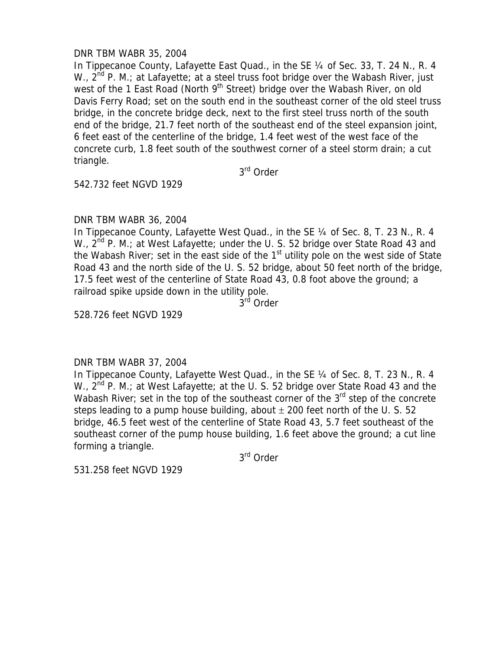# DNR TBM WABR 35, 2004

In Tippecanoe County, Lafayette East Quad., in the SE 1/4 of Sec. 33, T. 24 N., R. 4 W.,  $2^{nd}$  P. M.; at Lafayette; at a steel truss foot bridge over the Wabash River, just west of the 1 East Road (North  $9<sup>th</sup>$  Street) bridge over the Wabash River, on old Davis Ferry Road; set on the south end in the southeast corner of the old steel truss bridge, in the concrete bridge deck, next to the first steel truss north of the south end of the bridge, 21.7 feet north of the southeast end of the steel expansion joint, 6 feet east of the centerline of the bridge, 1.4 feet west of the west face of the concrete curb, 1.8 feet south of the southwest corner of a steel storm drain; a cut triangle.

3rd Order

542.732 feet NGVD 1929

## DNR TBM WABR 36, 2004

In Tippecanoe County, Lafayette West Quad., in the SE 1/4 of Sec. 8, T. 23 N., R. 4 W.,  $2^{nd}$  P. M.; at West Lafayette; under the U. S. 52 bridge over State Road 43 and the Wabash River; set in the east side of the  $1<sup>st</sup>$  utility pole on the west side of State Road 43 and the north side of the U. S. 52 bridge, about 50 feet north of the bridge, 17.5 feet west of the centerline of State Road 43, 0.8 foot above the ground; a railroad spike upside down in the utility pole.

3<sup>rd</sup> Order

528.726 feet NGVD 1929

### DNR TBM WABR 37, 2004

In Tippecanoe County, Lafayette West Quad., in the SE ¼ of Sec. 8, T. 23 N., R. 4 W., 2<sup>nd</sup> P. M.; at West Lafayette; at the U. S. 52 bridge over State Road 43 and the Wabash River; set in the top of the southeast corner of the  $3<sup>rd</sup>$  step of the concrete steps leading to a pump house building, about  $\pm$  200 feet north of the U.S. 52 bridge, 46.5 feet west of the centerline of State Road 43, 5.7 feet southeast of the southeast corner of the pump house building, 1.6 feet above the ground; a cut line forming a triangle.

3rd Order

531.258 feet NGVD 1929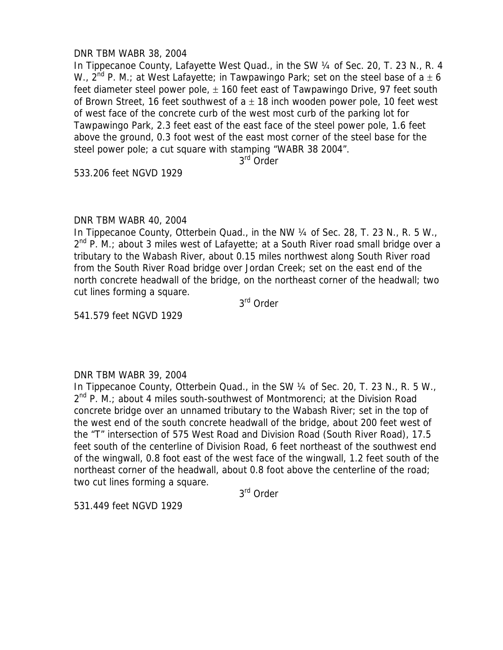## DNR TBM WABR 38, 2004

In Tippecanoe County, Lafayette West Quad., in the SW ¼ of Sec. 20, T. 23 N., R. 4 W., 2<sup>nd</sup> P. M.; at West Lafayette; in Tawpawingo Park; set on the steel base of a  $\pm$  6 feet diameter steel power pole,  $\pm$  160 feet east of Tawpawingo Drive, 97 feet south of Brown Street, 16 feet southwest of  $a \pm 18$  inch wooden power pole, 10 feet west of west face of the concrete curb of the west most curb of the parking lot for Tawpawingo Park, 2.3 feet east of the east face of the steel power pole, 1.6 feet above the ground, 0.3 foot west of the east most corner of the steel base for the steel power pole; a cut square with stamping "WABR 38 2004".

3rd Order

533.206 feet NGVD 1929

## DNR TBM WABR 40, 2004

In Tippecanoe County, Otterbein Quad., in the NW 1/4 of Sec. 28, T. 23 N., R. 5 W.,  $2^{nd}$  P. M.; about 3 miles west of Lafayette; at a South River road small bridge over a tributary to the Wabash River, about 0.15 miles northwest along South River road from the South River Road bridge over Jordan Creek; set on the east end of the north concrete headwall of the bridge, on the northeast corner of the headwall; two cut lines forming a square.

3rd Order

541.579 feet NGVD 1929

# DNR TBM WABR 39, 2004

In Tippecanoe County, Otterbein Quad., in the SW ¼ of Sec. 20, T. 23 N., R. 5 W.,  $2^{nd}$  P. M.; about 4 miles south-southwest of Montmorenci; at the Division Road concrete bridge over an unnamed tributary to the Wabash River; set in the top of the west end of the south concrete headwall of the bridge, about 200 feet west of the "T" intersection of 575 West Road and Division Road (South River Road), 17.5 feet south of the centerline of Division Road, 6 feet northeast of the southwest end of the wingwall, 0.8 foot east of the west face of the wingwall, 1.2 feet south of the northeast corner of the headwall, about 0.8 foot above the centerline of the road; two cut lines forming a square.

3rd Order

531.449 feet NGVD 1929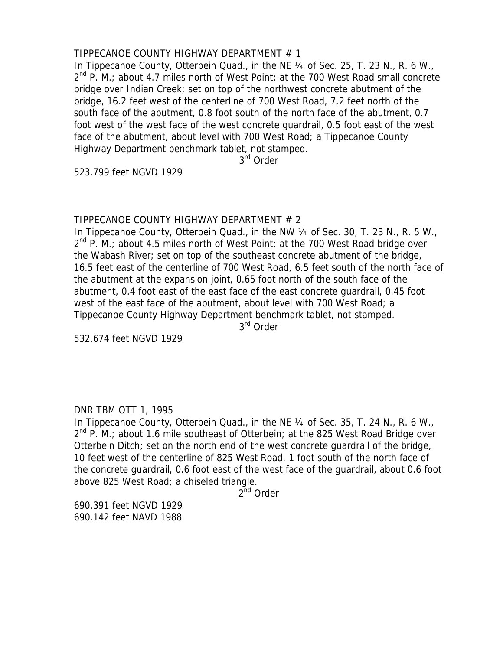# TIPPECANOE COUNTY HIGHWAY DEPARTMENT # 1

In Tippecanoe County, Otterbein Quad., in the NE 1/4 of Sec. 25, T. 23 N., R. 6 W.,  $2^{nd}$  P. M.; about 4.7 miles north of West Point; at the 700 West Road small concrete bridge over Indian Creek; set on top of the northwest concrete abutment of the bridge, 16.2 feet west of the centerline of 700 West Road, 7.2 feet north of the south face of the abutment, 0.8 foot south of the north face of the abutment, 0.7 foot west of the west face of the west concrete guardrail, 0.5 foot east of the west face of the abutment, about level with 700 West Road; a Tippecanoe County Highway Department benchmark tablet, not stamped.

3rd Order

523.799 feet NGVD 1929

## TIPPECANOE COUNTY HIGHWAY DEPARTMENT # 2

In Tippecanoe County, Otterbein Quad., in the NW 1/4 of Sec. 30, T. 23 N., R. 5 W.,  $2^{nd}$  P. M.; about 4.5 miles north of West Point; at the 700 West Road bridge over the Wabash River; set on top of the southeast concrete abutment of the bridge, 16.5 feet east of the centerline of 700 West Road, 6.5 feet south of the north face of the abutment at the expansion joint, 0.65 foot north of the south face of the abutment, 0.4 foot east of the east face of the east concrete guardrail, 0.45 foot west of the east face of the abutment, about level with 700 West Road; a Tippecanoe County Highway Department benchmark tablet, not stamped. 3rd Order

532.674 feet NGVD 1929

# DNR TBM OTT 1, 1995

In Tippecanoe County, Otterbein Quad., in the NE 1/4 of Sec. 35, T. 24 N., R. 6 W.,  $2^{nd}$  P. M.; about 1.6 mile southeast of Otterbein; at the 825 West Road Bridge over Otterbein Ditch; set on the north end of the west concrete guardrail of the bridge, 10 feet west of the centerline of 825 West Road, 1 foot south of the north face of the concrete guardrail, 0.6 foot east of the west face of the guardrail, about 0.6 foot above 825 West Road; a chiseled triangle.

2<sup>nd</sup> Order

690.391 feet NGVD 1929 690.142 feet NAVD 1988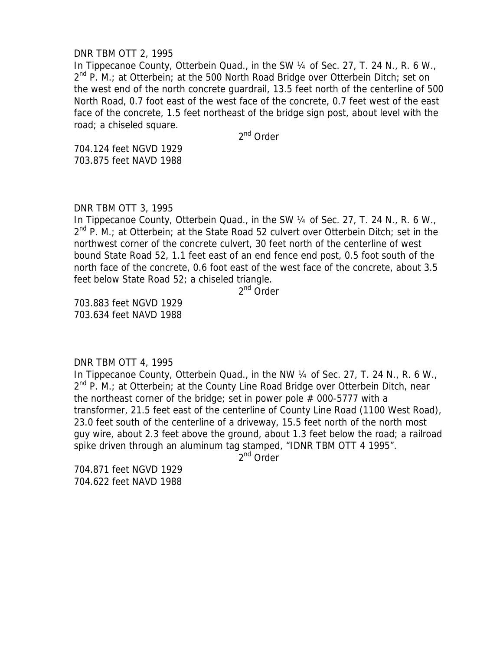### DNR TBM OTT 2, 1995

In Tippecanoe County, Otterbein Quad., in the SW 1/4 of Sec. 27, T. 24 N., R. 6 W.,  $2^{nd}$  P. M.; at Otterbein; at the 500 North Road Bridge over Otterbein Ditch; set on the west end of the north concrete guardrail, 13.5 feet north of the centerline of 500 North Road, 0.7 foot east of the west face of the concrete, 0.7 feet west of the east face of the concrete, 1.5 feet northeast of the bridge sign post, about level with the road; a chiseled square.

2<sup>nd</sup> Order

704.124 feet NGVD 1929 703.875 feet NAVD 1988

### DNR TBM OTT 3, 1995

In Tippecanoe County, Otterbein Quad., in the SW 1/4 of Sec. 27, T. 24 N., R. 6 W.,  $2^{nd}$  P. M.; at Otterbein; at the State Road 52 culvert over Otterbein Ditch; set in the northwest corner of the concrete culvert, 30 feet north of the centerline of west bound State Road 52, 1.1 feet east of an end fence end post, 0.5 foot south of the north face of the concrete, 0.6 foot east of the west face of the concrete, about 3.5 feet below State Road 52; a chiseled triangle.

2<sup>nd</sup> Order

703.883 feet NGVD 1929 703.634 feet NAVD 1988

DNR TBM OTT 4, 1995

In Tippecanoe County, Otterbein Quad., in the NW 1/4 of Sec. 27, T. 24 N., R. 6 W., 2<sup>nd</sup> P. M.; at Otterbein; at the County Line Road Bridge over Otterbein Ditch, near the northeast corner of the bridge; set in power pole  $#$  000-5777 with a transformer, 21.5 feet east of the centerline of County Line Road (1100 West Road), 23.0 feet south of the centerline of a driveway, 15.5 feet north of the north most guy wire, about 2.3 feet above the ground, about 1.3 feet below the road; a railroad spike driven through an aluminum tag stamped, "IDNR TBM OTT 4 1995".

2<sup>nd</sup> Order

704.871 feet NGVD 1929 704.622 feet NAVD 1988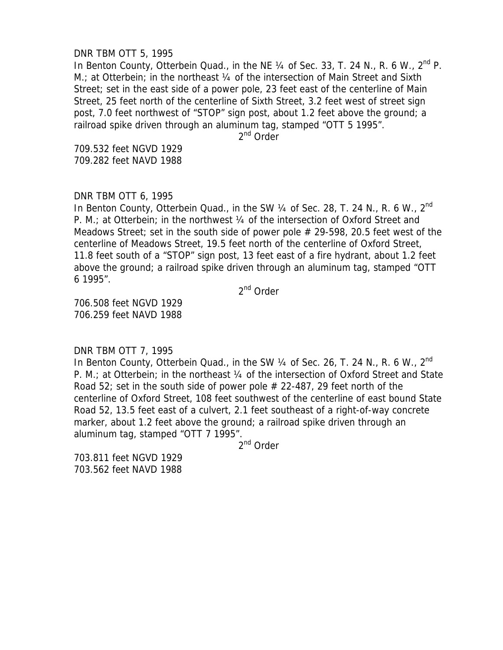### DNR TBM OTT 5, 1995

In Benton County, Otterbein Quad., in the NE  $\frac{1}{4}$  of Sec. 33, T. 24 N., R. 6 W.,  $2^{nd}$  P. M.; at Otterbein; in the northeast 1/4 of the intersection of Main Street and Sixth Street; set in the east side of a power pole, 23 feet east of the centerline of Main Street, 25 feet north of the centerline of Sixth Street, 3.2 feet west of street sign post, 7.0 feet northwest of "STOP" sign post, about 1.2 feet above the ground; a railroad spike driven through an aluminum tag, stamped "OTT 5 1995".

2<sup>nd</sup> Order

709.532 feet NGVD 1929 709.282 feet NAVD 1988

## DNR TBM OTT 6, 1995

In Benton County, Otterbein Quad., in the SW 1/4 of Sec. 28, T. 24 N., R. 6 W., 2<sup>nd</sup> P. M.; at Otterbein; in the northwest 1/4 of the intersection of Oxford Street and Meadows Street; set in the south side of power pole  $# 29-598$ , 20.5 feet west of the centerline of Meadows Street, 19.5 feet north of the centerline of Oxford Street, 11.8 feet south of a "STOP" sign post, 13 feet east of a fire hydrant, about 1.2 feet above the ground; a railroad spike driven through an aluminum tag, stamped "OTT 6 1995".

2<sup>nd</sup> Order

706.508 feet NGVD 1929 706.259 feet NAVD 1988

DNR TBM OTT 7, 1995

In Benton County, Otterbein Quad., in the SW  $\frac{1}{4}$  of Sec. 26, T. 24 N., R. 6 W., 2<sup>nd</sup> P. M.; at Otterbein; in the northeast 1/4 of the intersection of Oxford Street and State Road 52; set in the south side of power pole  $# 22-487$ , 29 feet north of the centerline of Oxford Street, 108 feet southwest of the centerline of east bound State Road 52, 13.5 feet east of a culvert, 2.1 feet southeast of a right-of-way concrete marker, about 1.2 feet above the ground; a railroad spike driven through an aluminum tag, stamped "OTT 7 1995".

2nd Order

703.811 feet NGVD 1929 703.562 feet NAVD 1988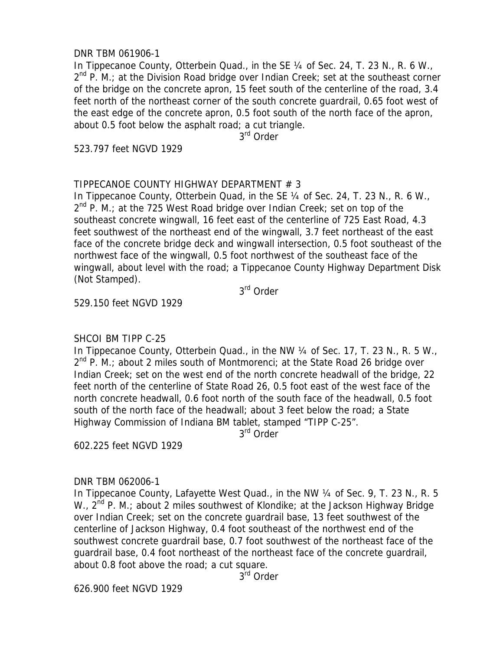## DNR TBM 061906-1

In Tippecanoe County, Otterbein Quad., in the SE 1/4 of Sec. 24, T. 23 N., R. 6 W.,  $2^{nd}$  P. M.; at the Division Road bridge over Indian Creek; set at the southeast corner of the bridge on the concrete apron, 15 feet south of the centerline of the road, 3.4 feet north of the northeast corner of the south concrete guardrail, 0.65 foot west of the east edge of the concrete apron, 0.5 foot south of the north face of the apron, about 0.5 foot below the asphalt road; a cut triangle.

3rd Order

523.797 feet NGVD 1929

# TIPPECANOE COUNTY HIGHWAY DEPARTMENT # 3

In Tippecanoe County, Otterbein Quad, in the SE 1/4 of Sec. 24, T. 23 N., R. 6 W., 2<sup>nd</sup> P. M.; at the 725 West Road bridge over Indian Creek; set on top of the southeast concrete wingwall, 16 feet east of the centerline of 725 East Road, 4.3 feet southwest of the northeast end of the wingwall, 3.7 feet northeast of the east face of the concrete bridge deck and wingwall intersection, 0.5 foot southeast of the northwest face of the wingwall, 0.5 foot northwest of the southeast face of the wingwall, about level with the road; a Tippecanoe County Highway Department Disk (Not Stamped).

3rd Order

529.150 feet NGVD 1929

# SHCOI BM TIPP C-25

In Tippecanoe County, Otterbein Quad., in the NW 1/4 of Sec. 17, T. 23 N., R. 5 W.,  $2^{nd}$  P. M.; about 2 miles south of Montmorenci; at the State Road 26 bridge over Indian Creek; set on the west end of the north concrete headwall of the bridge, 22 feet north of the centerline of State Road 26, 0.5 foot east of the west face of the north concrete headwall, 0.6 foot north of the south face of the headwall, 0.5 foot south of the north face of the headwall; about 3 feet below the road; a State Highway Commission of Indiana BM tablet, stamped "TIPP C-25".

3rd Order

602.225 feet NGVD 1929

### DNR TBM 062006-1

In Tippecanoe County, Lafayette West Quad., in the NW 1/4 of Sec. 9, T. 23 N., R. 5 W., 2<sup>nd</sup> P. M.; about 2 miles southwest of Klondike; at the Jackson Highway Bridge over Indian Creek; set on the concrete guardrail base, 13 feet southwest of the centerline of Jackson Highway, 0.4 foot southeast of the northwest end of the southwest concrete guardrail base, 0.7 foot southwest of the northeast face of the guardrail base, 0.4 foot northeast of the northeast face of the concrete guardrail, about 0.8 foot above the road; a cut square.

3rd Order

626.900 feet NGVD 1929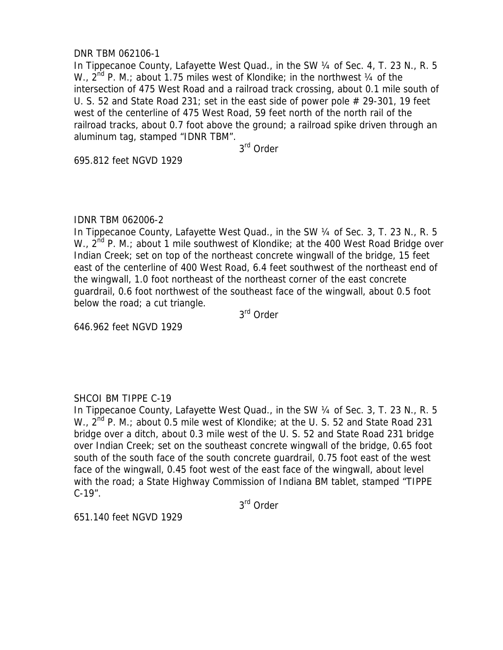# DNR TBM 062106-1

In Tippecanoe County, Lafayette West Quad., in the SW 1/4 of Sec. 4, T. 23 N., R. 5 W.,  $2^{nd}$  P. M.; about 1.75 miles west of Klondike; in the northwest  $\frac{1}{4}$  of the intersection of 475 West Road and a railroad track crossing, about 0.1 mile south of U. S. 52 and State Road 231; set in the east side of power pole  $#$  29-301, 19 feet west of the centerline of 475 West Road, 59 feet north of the north rail of the railroad tracks, about 0.7 foot above the ground; a railroad spike driven through an aluminum tag, stamped "IDNR TBM".

3rd Order

695.812 feet NGVD 1929

### IDNR TBM 062006-2

In Tippecanoe County, Lafayette West Quad., in the SW 1/4 of Sec. 3, T. 23 N., R. 5 W., 2<sup>nd</sup> P. M.; about 1 mile southwest of Klondike; at the 400 West Road Bridge over Indian Creek; set on top of the northeast concrete wingwall of the bridge, 15 feet east of the centerline of 400 West Road, 6.4 feet southwest of the northeast end of the wingwall, 1.0 foot northeast of the northeast corner of the east concrete guardrail, 0.6 foot northwest of the southeast face of the wingwall, about 0.5 foot below the road; a cut triangle.

3rd Order

646.962 feet NGVD 1929

# SHCOI BM TIPPE C-19

In Tippecanoe County, Lafayette West Quad., in the SW 1/4 of Sec. 3, T. 23 N., R. 5 W.,  $2^{nd}$  P. M.; about 0.5 mile west of Klondike; at the U. S. 52 and State Road 231 bridge over a ditch, about 0.3 mile west of the U. S. 52 and State Road 231 bridge over Indian Creek; set on the southeast concrete wingwall of the bridge, 0.65 foot south of the south face of the south concrete guardrail, 0.75 foot east of the west face of the wingwall, 0.45 foot west of the east face of the wingwall, about level with the road; a State Highway Commission of Indiana BM tablet, stamped "TIPPE C-19".

3rd Order

651.140 feet NGVD 1929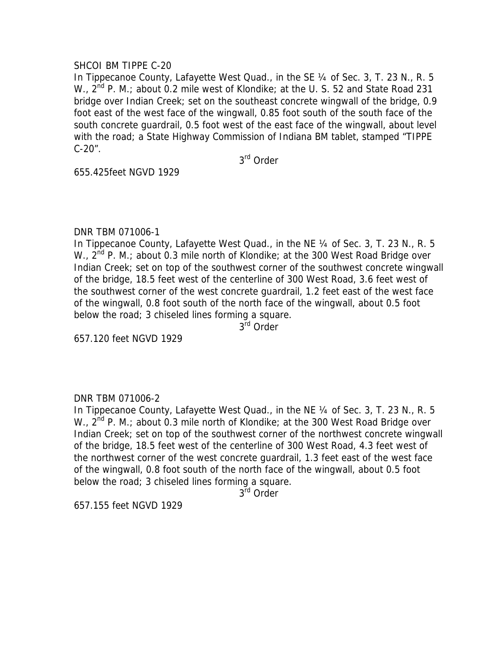## SHCOI BM TIPPE C-20

In Tippecanoe County, Lafayette West Quad., in the SE ¼ of Sec. 3, T. 23 N., R. 5 W., 2<sup>nd</sup> P. M.; about 0.2 mile west of Klondike; at the U. S. 52 and State Road 231 bridge over Indian Creek; set on the southeast concrete wingwall of the bridge, 0.9 foot east of the west face of the wingwall, 0.85 foot south of the south face of the south concrete guardrail, 0.5 foot west of the east face of the wingwall, about level with the road; a State Highway Commission of Indiana BM tablet, stamped "TIPPE C-20".

3rd Order

655.425feet NGVD 1929

## DNR TBM 071006-1

In Tippecanoe County, Lafayette West Quad., in the NE ¼ of Sec. 3, T. 23 N., R. 5 W.,  $2^{nd}$  P. M.; about 0.3 mile north of Klondike; at the 300 West Road Bridge over Indian Creek; set on top of the southwest corner of the southwest concrete wingwall of the bridge, 18.5 feet west of the centerline of 300 West Road, 3.6 feet west of the southwest corner of the west concrete guardrail, 1.2 feet east of the west face of the wingwall, 0.8 foot south of the north face of the wingwall, about 0.5 foot below the road; 3 chiseled lines forming a square.

3<sup>rd</sup> Order

657.120 feet NGVD 1929

# DNR TBM 071006-2

In Tippecanoe County, Lafayette West Quad., in the NE ¼ of Sec. 3, T. 23 N., R. 5 W.,  $2^{nd}$  P. M.; about 0.3 mile north of Klondike; at the 300 West Road Bridge over Indian Creek; set on top of the southwest corner of the northwest concrete wingwall of the bridge, 18.5 feet west of the centerline of 300 West Road, 4.3 feet west of the northwest corner of the west concrete guardrail, 1.3 feet east of the west face of the wingwall, 0.8 foot south of the north face of the wingwall, about 0.5 foot below the road; 3 chiseled lines forming a square.

3<sup>rd</sup> Order

657.155 feet NGVD 1929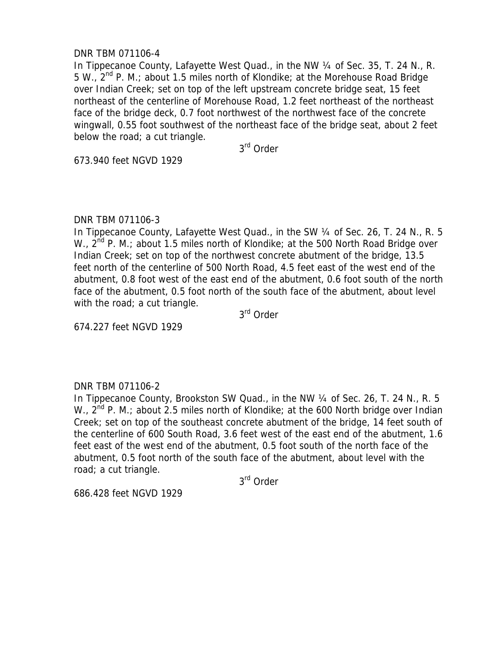# DNR TBM 071106-4

In Tippecanoe County, Lafayette West Quad., in the NW 1/4 of Sec. 35, T. 24 N., R. 5 W.,  $2^{nd}$  P. M.; about 1.5 miles north of Klondike; at the Morehouse Road Bridge over Indian Creek; set on top of the left upstream concrete bridge seat, 15 feet northeast of the centerline of Morehouse Road, 1.2 feet northeast of the northeast face of the bridge deck, 0.7 foot northwest of the northwest face of the concrete wingwall, 0.55 foot southwest of the northeast face of the bridge seat, about 2 feet below the road; a cut triangle.

3rd Order

673.940 feet NGVD 1929

## DNR TBM 071106-3

In Tippecanoe County, Lafayette West Quad., in the SW ¼ of Sec. 26, T. 24 N., R. 5 W., 2<sup>nd</sup> P. M.; about 1.5 miles north of Klondike; at the 500 North Road Bridge over Indian Creek; set on top of the northwest concrete abutment of the bridge, 13.5 feet north of the centerline of 500 North Road, 4.5 feet east of the west end of the abutment, 0.8 foot west of the east end of the abutment, 0.6 foot south of the north face of the abutment, 0.5 foot north of the south face of the abutment, about level with the road; a cut triangle.

3rd Order

674.227 feet NGVD 1929

# DNR TBM 071106-2

In Tippecanoe County, Brookston SW Quad., in the NW 1/4 of Sec. 26, T. 24 N., R. 5 W., 2<sup>nd</sup> P. M.; about 2.5 miles north of Klondike; at the 600 North bridge over Indian Creek; set on top of the southeast concrete abutment of the bridge, 14 feet south of the centerline of 600 South Road, 3.6 feet west of the east end of the abutment, 1.6 feet east of the west end of the abutment, 0.5 foot south of the north face of the abutment, 0.5 foot north of the south face of the abutment, about level with the road; a cut triangle.

3rd Order

686.428 feet NGVD 1929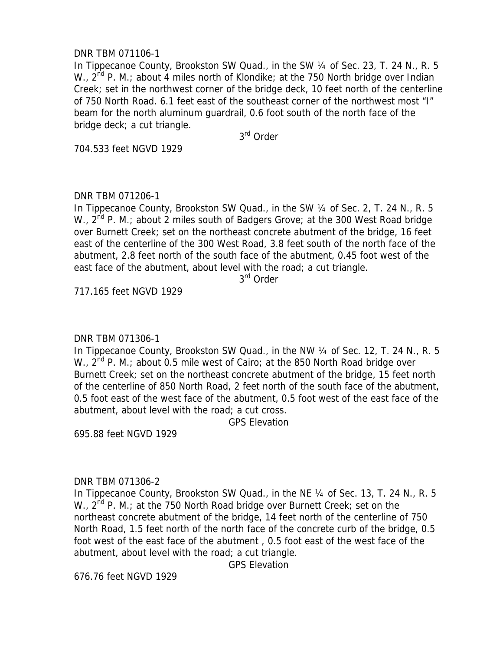# DNR TBM 071106-1

In Tippecanoe County, Brookston SW Quad., in the SW 1/4 of Sec. 23, T. 24 N., R. 5 W.,  $2^{nd}$  P. M.; about 4 miles north of Klondike; at the 750 North bridge over Indian Creek; set in the northwest corner of the bridge deck, 10 feet north of the centerline of 750 North Road. 6.1 feet east of the southeast corner of the northwest most "I" beam for the north aluminum guardrail, 0.6 foot south of the north face of the bridge deck; a cut triangle.

3rd Order

704.533 feet NGVD 1929

# DNR TBM 071206-1

In Tippecanoe County, Brookston SW Quad., in the SW 1/4 of Sec. 2, T. 24 N., R. 5 W.,  $2^{nd}$  P. M.; about 2 miles south of Badgers Grove; at the 300 West Road bridge over Burnett Creek; set on the northeast concrete abutment of the bridge, 16 feet east of the centerline of the 300 West Road, 3.8 feet south of the north face of the abutment, 2.8 feet north of the south face of the abutment, 0.45 foot west of the east face of the abutment, about level with the road; a cut triangle.

3<sup>rd</sup> Order

717.165 feet NGVD 1929

# DNR TBM 071306-1

In Tippecanoe County, Brookston SW Quad., in the NW 1/4 of Sec. 12, T. 24 N., R. 5 W.,  $2^{nd}$  P. M.; about 0.5 mile west of Cairo; at the 850 North Road bridge over Burnett Creek; set on the northeast concrete abutment of the bridge, 15 feet north of the centerline of 850 North Road, 2 feet north of the south face of the abutment, 0.5 foot east of the west face of the abutment, 0.5 foot west of the east face of the abutment, about level with the road; a cut cross.

GPS Elevation

695.88 feet NGVD 1929

# DNR TBM 071306-2

In Tippecanoe County, Brookston SW Quad., in the NE 1/4 of Sec. 13, T. 24 N., R. 5 W., 2<sup>nd</sup> P. M.; at the 750 North Road bridge over Burnett Creek; set on the northeast concrete abutment of the bridge, 14 feet north of the centerline of 750 North Road, 1.5 feet north of the north face of the concrete curb of the bridge, 0.5 foot west of the east face of the abutment , 0.5 foot east of the west face of the abutment, about level with the road; a cut triangle.

GPS Elevation

676.76 feet NGVD 1929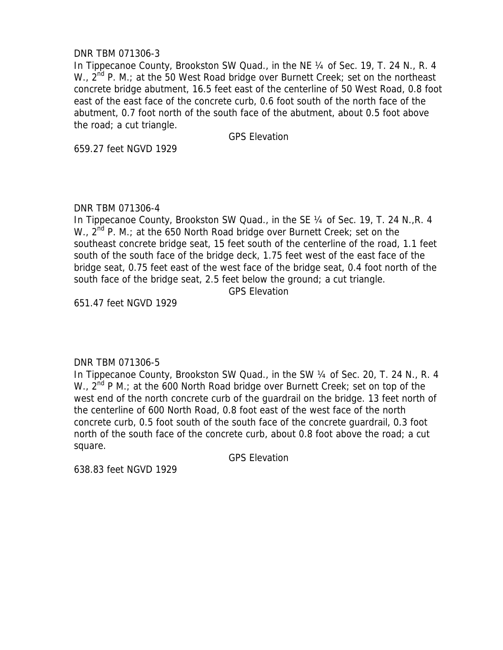# DNR TBM 071306-3

In Tippecanoe County, Brookston SW Quad., in the NE 1/4 of Sec. 19, T. 24 N., R. 4 W.,  $2^{nd}$  P. M.; at the 50 West Road bridge over Burnett Creek; set on the northeast concrete bridge abutment, 16.5 feet east of the centerline of 50 West Road, 0.8 foot east of the east face of the concrete curb, 0.6 foot south of the north face of the abutment, 0.7 foot north of the south face of the abutment, about 0.5 foot above the road; a cut triangle.

GPS Elevation

659.27 feet NGVD 1929

# DNR TBM 071306-4

In Tippecanoe County, Brookston SW Quad., in the SE ¼ of Sec. 19, T. 24 N.,R. 4 W.,  $2^{nd}$  P. M.; at the 650 North Road bridge over Burnett Creek; set on the southeast concrete bridge seat, 15 feet south of the centerline of the road, 1.1 feet south of the south face of the bridge deck, 1.75 feet west of the east face of the bridge seat, 0.75 feet east of the west face of the bridge seat, 0.4 foot north of the south face of the bridge seat, 2.5 feet below the ground; a cut triangle.

GPS Elevation

651.47 feet NGVD 1929

# DNR TBM 071306-5

In Tippecanoe County, Brookston SW Quad., in the SW 1/4 of Sec. 20, T. 24 N., R. 4 W., 2<sup>nd</sup> P M.; at the 600 North Road bridge over Burnett Creek; set on top of the west end of the north concrete curb of the guardrail on the bridge. 13 feet north of the centerline of 600 North Road, 0.8 foot east of the west face of the north concrete curb, 0.5 foot south of the south face of the concrete guardrail, 0.3 foot north of the south face of the concrete curb, about 0.8 foot above the road; a cut square.

GPS Elevation

638.83 feet NGVD 1929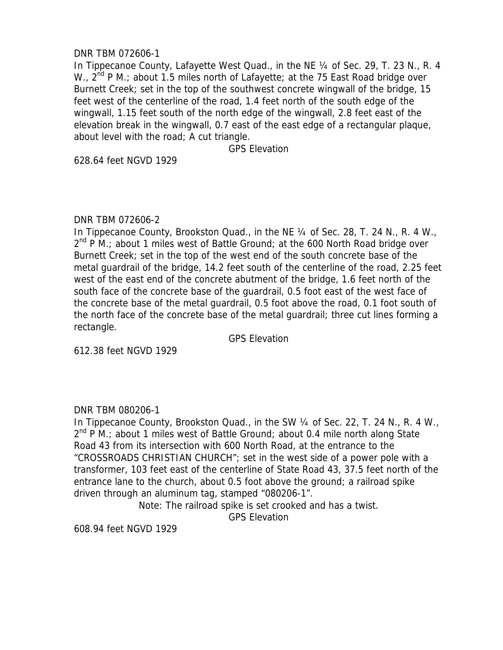## DNR TBM 072606-1

In Tippecanoe County, Lafayette West Quad., in the NE 1/4 of Sec. 29, T. 23 N., R. 4 W.,  $2^{nd}$  P M.; about 1.5 miles north of Lafayette; at the 75 East Road bridge over Burnett Creek; set in the top of the southwest concrete wingwall of the bridge, 15 feet west of the centerline of the road, 1.4 feet north of the south edge of the wingwall, 1.15 feet south of the north edge of the wingwall, 2.8 feet east of the elevation break in the wingwall, 0.7 east of the east edge of a rectangular plaque, about level with the road; A cut triangle.

GPS Elevation

628.64 feet NGVD 1929

## DNR TBM 072606-2

In Tippecanoe County, Brookston Quad., in the NE 1/4 of Sec. 28, T. 24 N., R. 4 W.,  $2^{nd}$  P M.; about 1 miles west of Battle Ground; at the 600 North Road bridge over Burnett Creek; set in the top of the west end of the south concrete base of the metal guardrail of the bridge, 14.2 feet south of the centerline of the road, 2.25 feet west of the east end of the concrete abutment of the bridge, 1.6 feet north of the south face of the concrete base of the guardrail, 0.5 foot east of the west face of the concrete base of the metal guardrail, 0.5 foot above the road, 0.1 foot south of the north face of the concrete base of the metal guardrail; three cut lines forming a rectangle.

GPS Elevation

612.38 feet NGVD 1929

# DNR TBM 080206-1

In Tippecanoe County, Brookston Quad., in the SW 1/4 of Sec. 22, T. 24 N., R. 4 W.,  $2^{nd}$  P M.; about 1 miles west of Battle Ground; about 0.4 mile north along State Road 43 from its intersection with 600 North Road, at the entrance to the "CROSSROADS CHRISTIAN CHURCH"; set in the west side of a power pole with a transformer, 103 feet east of the centerline of State Road 43, 37.5 feet north of the entrance lane to the church, about 0.5 foot above the ground; a railroad spike driven through an aluminum tag, stamped "080206-1".

Note: The railroad spike is set crooked and has a twist.

GPS Elevation

608.94 feet NGVD 1929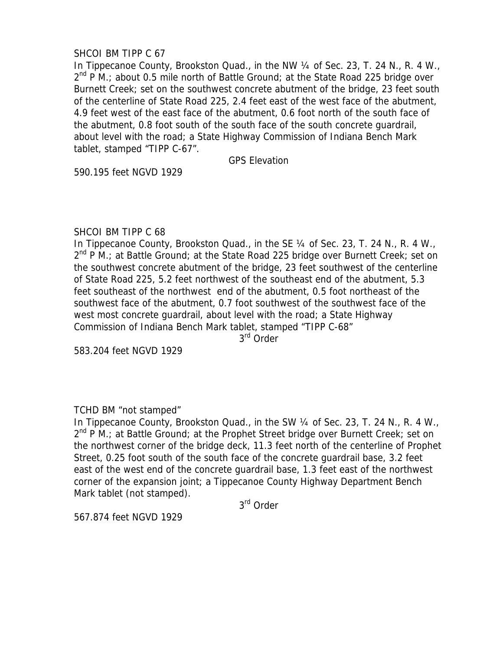## SHCOI BM TIPP C 67

In Tippecanoe County, Brookston Quad., in the NW 1/4 of Sec. 23, T. 24 N., R. 4 W.,  $2^{nd}$  P M.; about 0.5 mile north of Battle Ground; at the State Road 225 bridge over Burnett Creek; set on the southwest concrete abutment of the bridge, 23 feet south of the centerline of State Road 225, 2.4 feet east of the west face of the abutment, 4.9 feet west of the east face of the abutment, 0.6 foot north of the south face of the abutment, 0.8 foot south of the south face of the south concrete guardrail, about level with the road; a State Highway Commission of Indiana Bench Mark tablet, stamped "TIPP C-67".

GPS Elevation

590.195 feet NGVD 1929

### SHCOI BM TIPP C 68

In Tippecanoe County, Brookston Quad., in the SE 1/4 of Sec. 23, T. 24 N., R. 4 W.,  $2^{nd}$  P M.; at Battle Ground; at the State Road 225 bridge over Burnett Creek; set on the southwest concrete abutment of the bridge, 23 feet southwest of the centerline of State Road 225, 5.2 feet northwest of the southeast end of the abutment, 5.3 feet southeast of the northwest end of the abutment, 0.5 foot northeast of the southwest face of the abutment, 0.7 foot southwest of the southwest face of the west most concrete guardrail, about level with the road; a State Highway Commission of Indiana Bench Mark tablet, stamped "TIPP C-68"

3rd Order

583.204 feet NGVD 1929

## TCHD BM "not stamped"

In Tippecanoe County, Brookston Quad., in the SW 1/4 of Sec. 23, T. 24 N., R. 4 W.,  $2^{nd}$  P M.; at Battle Ground; at the Prophet Street bridge over Burnett Creek; set on the northwest corner of the bridge deck, 11.3 feet north of the centerline of Prophet Street, 0.25 foot south of the south face of the concrete guardrail base, 3.2 feet east of the west end of the concrete guardrail base, 1.3 feet east of the northwest corner of the expansion joint; a Tippecanoe County Highway Department Bench Mark tablet (not stamped).

3rd Order

567.874 feet NGVD 1929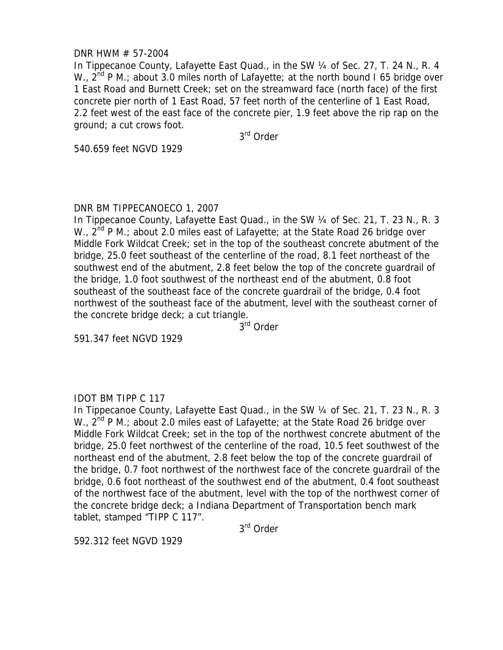### DNR HWM # 57-2004

In Tippecanoe County, Lafayette East Quad., in the SW 1/4 of Sec. 27, T. 24 N., R. 4 W.,  $2^{nd}$  P M.; about 3.0 miles north of Lafayette; at the north bound I 65 bridge over 1 East Road and Burnett Creek; set on the streamward face (north face) of the first concrete pier north of 1 East Road, 57 feet north of the centerline of 1 East Road, 2.2 feet west of the east face of the concrete pier, 1.9 feet above the rip rap on the ground; a cut crows foot.

3rd Order

540.659 feet NGVD 1929

## DNR BM TIPPECANOECO 1, 2007

In Tippecanoe County, Lafayette East Quad., in the SW 1/4 of Sec. 21, T. 23 N., R. 3 W.,  $2^{nd}$  P M.; about 2.0 miles east of Lafayette; at the State Road 26 bridge over Middle Fork Wildcat Creek; set in the top of the southeast concrete abutment of the bridge, 25.0 feet southeast of the centerline of the road, 8.1 feet northeast of the southwest end of the abutment, 2.8 feet below the top of the concrete guardrail of the bridge, 1.0 foot southwest of the northeast end of the abutment, 0.8 foot southeast of the southeast face of the concrete guardrail of the bridge, 0.4 foot northwest of the southeast face of the abutment, level with the southeast corner of the concrete bridge deck; a cut triangle.

3<sup>rd</sup> Order

591.347 feet NGVD 1929

## IDOT BM TIPP C 117

In Tippecanoe County, Lafayette East Quad., in the SW 1/4 of Sec. 21, T. 23 N., R. 3 W.,  $2^{nd}$  P M.; about 2.0 miles east of Lafayette; at the State Road 26 bridge over Middle Fork Wildcat Creek; set in the top of the northwest concrete abutment of the bridge, 25.0 feet northwest of the centerline of the road, 10.5 feet southwest of the northeast end of the abutment, 2.8 feet below the top of the concrete guardrail of the bridge, 0.7 foot northwest of the northwest face of the concrete guardrail of the bridge, 0.6 foot northeast of the southwest end of the abutment, 0.4 foot southeast of the northwest face of the abutment, level with the top of the northwest corner of the concrete bridge deck; a Indiana Department of Transportation bench mark tablet, stamped "TIPP C 117".

3rd Order

592.312 feet NGVD 1929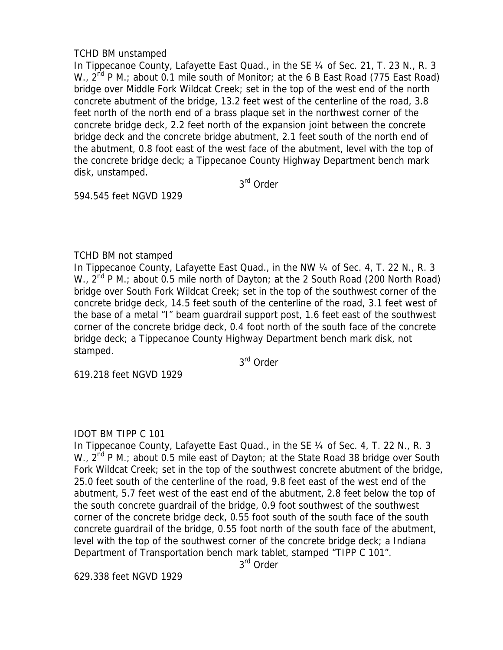## TCHD BM unstamped

In Tippecanoe County, Lafayette East Quad., in the SE 1/4 of Sec. 21, T. 23 N., R. 3 W.,  $2^{nd}$  P M.; about 0.1 mile south of Monitor; at the 6 B East Road (775 East Road) bridge over Middle Fork Wildcat Creek; set in the top of the west end of the north concrete abutment of the bridge, 13.2 feet west of the centerline of the road, 3.8 feet north of the north end of a brass plaque set in the northwest corner of the concrete bridge deck, 2.2 feet north of the expansion joint between the concrete bridge deck and the concrete bridge abutment, 2.1 feet south of the north end of the abutment, 0.8 foot east of the west face of the abutment, level with the top of the concrete bridge deck; a Tippecanoe County Highway Department bench mark disk, unstamped.

3rd Order

594.545 feet NGVD 1929

# TCHD BM not stamped

In Tippecanoe County, Lafayette East Quad., in the NW 1/4 of Sec. 4, T. 22 N., R. 3 W.,  $2^{nd}$  P M.; about 0.5 mile north of Dayton; at the 2 South Road (200 North Road) bridge over South Fork Wildcat Creek; set in the top of the southwest corner of the concrete bridge deck, 14.5 feet south of the centerline of the road, 3.1 feet west of the base of a metal "I" beam guardrail support post, 1.6 feet east of the southwest corner of the concrete bridge deck, 0.4 foot north of the south face of the concrete bridge deck; a Tippecanoe County Highway Department bench mark disk, not stamped.

3rd Order

619.218 feet NGVD 1929

## IDOT BM TIPP C 101

In Tippecanoe County, Lafayette East Quad., in the SE 1/4 of Sec. 4, T. 22 N., R. 3 W., 2<sup>nd</sup> P M.; about 0.5 mile east of Dayton; at the State Road 38 bridge over South Fork Wildcat Creek; set in the top of the southwest concrete abutment of the bridge, 25.0 feet south of the centerline of the road, 9.8 feet east of the west end of the abutment, 5.7 feet west of the east end of the abutment, 2.8 feet below the top of the south concrete guardrail of the bridge, 0.9 foot southwest of the southwest corner of the concrete bridge deck, 0.55 foot south of the south face of the south concrete guardrail of the bridge, 0.55 foot north of the south face of the abutment, level with the top of the southwest corner of the concrete bridge deck; a Indiana Department of Transportation bench mark tablet, stamped "TIPP C 101".

3<sup>rd</sup> Order

629.338 feet NGVD 1929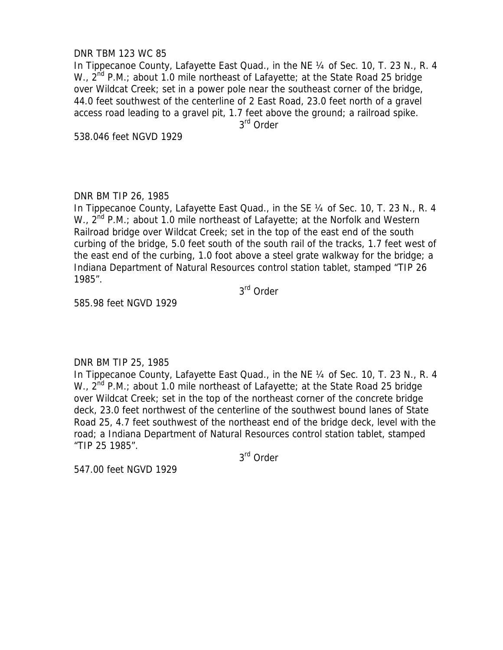### DNR TBM 123 WC 85

In Tippecanoe County, Lafayette East Quad., in the NE ¼ of Sec. 10, T. 23 N., R. 4 W.,  $2^{nd}$  P.M.; about 1.0 mile northeast of Lafayette; at the State Road 25 bridge over Wildcat Creek; set in a power pole near the southeast corner of the bridge, 44.0 feet southwest of the centerline of 2 East Road, 23.0 feet north of a gravel access road leading to a gravel pit, 1.7 feet above the ground; a railroad spike. 3<sup>rd</sup> Order

538.046 feet NGVD 1929

# DNR BM TIP 26, 1985

In Tippecanoe County, Lafayette East Quad., in the SE 1/4 of Sec. 10, T. 23 N., R. 4 W.,  $2^{nd}$  P.M.; about 1.0 mile northeast of Lafayette; at the Norfolk and Western Railroad bridge over Wildcat Creek; set in the top of the east end of the south curbing of the bridge, 5.0 feet south of the south rail of the tracks, 1.7 feet west of the east end of the curbing, 1.0 foot above a steel grate walkway for the bridge; a Indiana Department of Natural Resources control station tablet, stamped "TIP 26 1985".

3<sup>rd</sup> Order

585.98 feet NGVD 1929

## DNR BM TIP 25, 1985

In Tippecanoe County, Lafayette East Quad., in the NE ¼ of Sec. 10, T. 23 N., R. 4 W., 2<sup>nd</sup> P.M.; about 1.0 mile northeast of Lafayette; at the State Road 25 bridge over Wildcat Creek; set in the top of the northeast corner of the concrete bridge deck, 23.0 feet northwest of the centerline of the southwest bound lanes of State Road 25, 4.7 feet southwest of the northeast end of the bridge deck, level with the road; a Indiana Department of Natural Resources control station tablet, stamped "TIP 25 1985".

3rd Order

547.00 feet NGVD 1929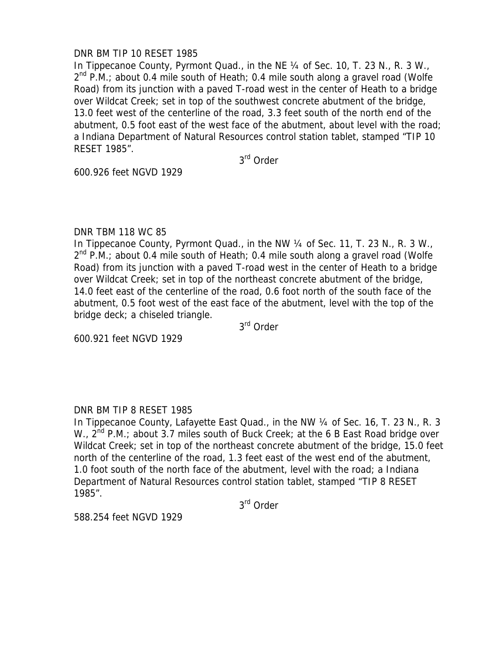### DNR BM TIP 10 RESET 1985

In Tippecanoe County, Pyrmont Quad., in the NE 1/4 of Sec. 10, T. 23 N., R. 3 W.,  $2^{nd}$  P.M.; about 0.4 mile south of Heath; 0.4 mile south along a gravel road (Wolfe Road) from its junction with a paved T-road west in the center of Heath to a bridge over Wildcat Creek; set in top of the southwest concrete abutment of the bridge, 13.0 feet west of the centerline of the road, 3.3 feet south of the north end of the abutment, 0.5 foot east of the west face of the abutment, about level with the road; a Indiana Department of Natural Resources control station tablet, stamped "TIP 10 RESET 1985".

3rd Order

600.926 feet NGVD 1929

#### DNR TBM 118 WC 85

In Tippecanoe County, Pyrmont Quad., in the NW 1/4 of Sec. 11, T. 23 N., R. 3 W.,  $2^{nd}$  P.M.; about 0.4 mile south of Heath; 0.4 mile south along a gravel road (Wolfe Road) from its junction with a paved T-road west in the center of Heath to a bridge over Wildcat Creek; set in top of the northeast concrete abutment of the bridge, 14.0 feet east of the centerline of the road, 0.6 foot north of the south face of the abutment, 0.5 foot west of the east face of the abutment, level with the top of the bridge deck; a chiseled triangle.

3rd Order

600.921 feet NGVD 1929

## DNR BM TIP 8 RESET 1985

In Tippecanoe County, Lafayette East Quad., in the NW 1/4 of Sec. 16, T. 23 N., R. 3 W.,  $2^{nd}$  P.M.; about 3.7 miles south of Buck Creek; at the 6 B East Road bridge over Wildcat Creek; set in top of the northeast concrete abutment of the bridge, 15.0 feet north of the centerline of the road, 1.3 feet east of the west end of the abutment, 1.0 foot south of the north face of the abutment, level with the road; a Indiana Department of Natural Resources control station tablet, stamped "TIP 8 RESET 1985".

3rd Order

588.254 feet NGVD 1929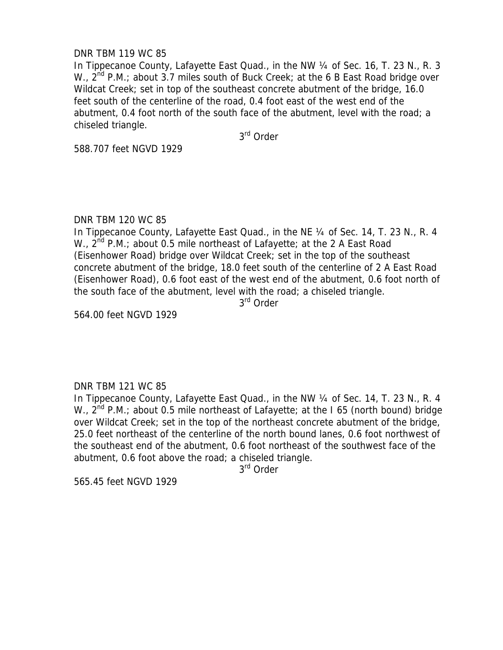### DNR TBM 119 WC 85

In Tippecanoe County, Lafayette East Quad., in the NW 1/4 of Sec. 16, T. 23 N., R. 3 W.,  $2^{nd}$  P.M.; about 3.7 miles south of Buck Creek; at the 6 B East Road bridge over Wildcat Creek; set in top of the southeast concrete abutment of the bridge, 16.0 feet south of the centerline of the road, 0.4 foot east of the west end of the abutment, 0.4 foot north of the south face of the abutment, level with the road; a chiseled triangle.

3rd Order

588.707 feet NGVD 1929

### DNR TBM 120 WC 85

In Tippecanoe County, Lafayette East Quad., in the NE 1/4 of Sec. 14, T. 23 N., R. 4 W.,  $2^{nd}$  P.M.; about 0.5 mile northeast of Lafayette; at the 2 A East Road (Eisenhower Road) bridge over Wildcat Creek; set in the top of the southeast concrete abutment of the bridge, 18.0 feet south of the centerline of 2 A East Road (Eisenhower Road), 0.6 foot east of the west end of the abutment, 0.6 foot north of the south face of the abutment, level with the road; a chiseled triangle.

3<sup>rd</sup> Order

564.00 feet NGVD 1929

#### DNR TBM 121 WC 85

In Tippecanoe County, Lafayette East Quad., in the NW ¼ of Sec. 14, T. 23 N., R. 4 W.,  $2^{nd}$  P.M.; about 0.5 mile northeast of Lafayette; at the I 65 (north bound) bridge over Wildcat Creek; set in the top of the northeast concrete abutment of the bridge, 25.0 feet northeast of the centerline of the north bound lanes, 0.6 foot northwest of the southeast end of the abutment, 0.6 foot northeast of the southwest face of the abutment, 0.6 foot above the road; a chiseled triangle.

3rd Order

565.45 feet NGVD 1929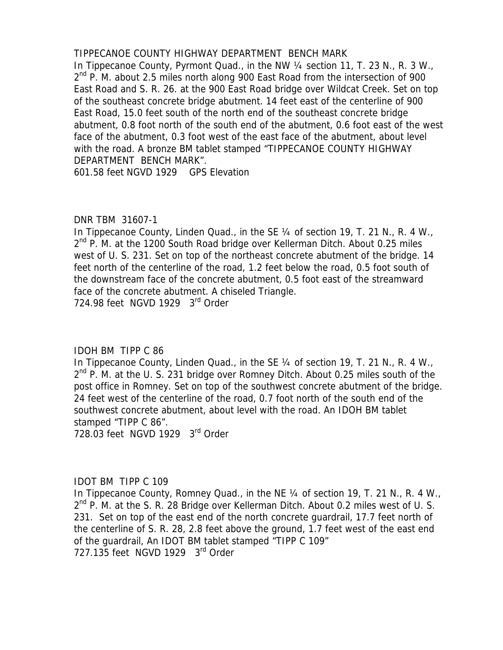# TIPPECANOE COUNTY HIGHWAY DEPARTMENT BENCH MARK

In Tippecanoe County, Pyrmont Quad., in the NW 1/4 section 11, T. 23 N., R. 3 W.,  $2<sup>nd</sup>$  P. M. about 2.5 miles north along 900 East Road from the intersection of 900 East Road and S. R. 26. at the 900 East Road bridge over Wildcat Creek. Set on top of the southeast concrete bridge abutment. 14 feet east of the centerline of 900 East Road, 15.0 feet south of the north end of the southeast concrete bridge abutment, 0.8 foot north of the south end of the abutment, 0.6 foot east of the west face of the abutment, 0.3 foot west of the east face of the abutment, about level with the road. A bronze BM tablet stamped "TIPPECANOE COUNTY HIGHWAY DEPARTMENT BENCH MARK".

601.58 feet NGVD 1929 GPS Elevation

## DNR TBM 31607-1

In Tippecanoe County, Linden Quad., in the SE 1/4 of section 19, T. 21 N., R. 4 W.,  $2^{nd}$  P. M. at the 1200 South Road bridge over Kellerman Ditch. About 0.25 miles west of U. S. 231. Set on top of the northeast concrete abutment of the bridge. 14 feet north of the centerline of the road, 1.2 feet below the road, 0.5 foot south of the downstream face of the concrete abutment, 0.5 foot east of the streamward face of the concrete abutment. A chiseled Triangle.

724.98 feet NGVD 1929 3<sup>rd</sup> Order

## IDOH BM TIPP C 86

In Tippecanoe County, Linden Quad., in the SE 1/4 of section 19, T. 21 N., R. 4 W.,  $2^{nd}$  P. M. at the U. S. 231 bridge over Romney Ditch. About 0.25 miles south of the post office in Romney. Set on top of the southwest concrete abutment of the bridge. 24 feet west of the centerline of the road, 0.7 foot north of the south end of the southwest concrete abutment, about level with the road. An IDOH BM tablet stamped "TIPP C 86".

728.03 feet NGVD 1929 3rd Order

#### IDOT BM TIPP C 109

In Tippecanoe County, Romney Quad., in the NE 1/4 of section 19, T. 21 N., R. 4 W., 2<sup>nd</sup> P. M. at the S. R. 28 Bridge over Kellerman Ditch. About 0.2 miles west of U. S. 231. Set on top of the east end of the north concrete guardrail, 17.7 feet north of the centerline of S. R. 28, 2.8 feet above the ground, 1.7 feet west of the east end of the guardrail, An IDOT BM tablet stamped "TIPP C 109" 727.135 feet NGVD 1929 3<sup>rd</sup> Order